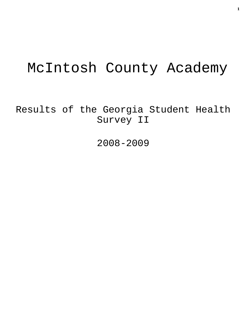# McIntosh County Academy

Results of the Georgia Student Health Survey II

2008-2009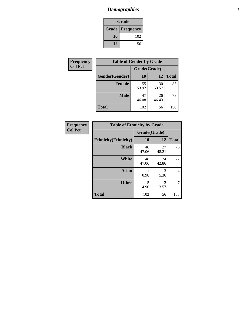# *Demographics* **2**

| Grade                    |     |  |  |
|--------------------------|-----|--|--|
| <b>Grade   Frequency</b> |     |  |  |
| 10                       | 102 |  |  |
| 12                       | 56  |  |  |

| Frequency      | <b>Table of Gender by Grade</b> |              |             |              |  |  |
|----------------|---------------------------------|--------------|-------------|--------------|--|--|
| <b>Col Pct</b> |                                 | Grade(Grade) |             |              |  |  |
|                | Gender(Gender)                  | 10           | 12          | <b>Total</b> |  |  |
|                | <b>Female</b>                   | 55<br>53.92  | 30<br>53.57 | 85           |  |  |
|                | <b>Male</b>                     | 47<br>46.08  | 26<br>46.43 | 73           |  |  |
|                | <b>Total</b>                    | 102          | 56          | 158          |  |  |

| <b>Frequency</b> |
|------------------|
| <b>Col Pct</b>   |

| <b>Table of Ethnicity by Grade</b> |              |                        |              |  |  |  |  |
|------------------------------------|--------------|------------------------|--------------|--|--|--|--|
|                                    | Grade(Grade) |                        |              |  |  |  |  |
| <b>Ethnicity</b> (Ethnicity)       | 10           | 12                     | <b>Total</b> |  |  |  |  |
| <b>Black</b>                       | 48<br>47.06  | 27<br>48.21            | 75           |  |  |  |  |
| <b>White</b>                       | 48<br>47.06  | 24<br>42.86            | 72           |  |  |  |  |
| <b>Asian</b>                       | 0.98         | 3<br>5.36              | 4            |  |  |  |  |
| <b>Other</b>                       | 5<br>4.90    | $\mathfrak{D}$<br>3.57 | 7            |  |  |  |  |
| <b>Total</b>                       | 102          | 56                     | 158          |  |  |  |  |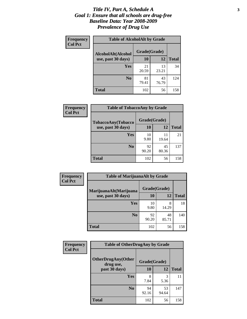#### *Title IV, Part A, Schedule A* **3** *Goal 1: Ensure that all schools are drug-free Baseline Data: Year 2008-2009 Prevalence of Drug Use*

| Frequency<br><b>Col Pct</b> | <b>Table of AlcoholAlt by Grade</b> |              |             |              |  |  |
|-----------------------------|-------------------------------------|--------------|-------------|--------------|--|--|
|                             | AlcoholAlt(Alcohol                  | Grade(Grade) |             |              |  |  |
|                             | use, past 30 days)                  | <b>10</b>    | 12          | <b>Total</b> |  |  |
|                             | Yes                                 | 21<br>20.59  | 13<br>23.21 | 34           |  |  |
|                             | N <sub>0</sub>                      | 81<br>79.41  | 43<br>76.79 | 124          |  |  |
|                             | Total                               | 102          | 56          | 158          |  |  |

| Frequency      | <b>Table of TobaccoAny by Grade</b> |              |             |              |  |
|----------------|-------------------------------------|--------------|-------------|--------------|--|
| <b>Col Pct</b> | TobaccoAny(Tobacco                  | Grade(Grade) |             |              |  |
|                | use, past 30 days)                  | 10           | 12          | <b>Total</b> |  |
|                | Yes                                 | 10<br>9.80   | 11<br>19.64 | 21           |  |
|                | N <sub>0</sub>                      | 92<br>90.20  | 45<br>80.36 | 137          |  |
|                | <b>Total</b>                        | 102          | 56          | 158          |  |

| Frequency<br><b>Col Pct</b> | <b>Table of MarijuanaAlt by Grade</b> |              |             |              |  |  |
|-----------------------------|---------------------------------------|--------------|-------------|--------------|--|--|
|                             | MarijuanaAlt(Marijuana                | Grade(Grade) |             |              |  |  |
|                             | use, past 30 days)                    | 10           | 12          | <b>Total</b> |  |  |
|                             | Yes                                   | 10<br>9.80   | 8<br>14.29  | 18           |  |  |
|                             | N <sub>0</sub>                        | 92<br>90.20  | 48<br>85.71 | 140          |  |  |
|                             | <b>Total</b>                          | 102          | 56          | 158          |  |  |

| Frequency<br><b>Col Pct</b> | <b>Table of OtherDrugAny by Grade</b>  |              |             |              |  |
|-----------------------------|----------------------------------------|--------------|-------------|--------------|--|
|                             | <b>OtherDrugAny(Other</b><br>drug use, | Grade(Grade) |             |              |  |
|                             | past 30 days)                          | 10           | <b>12</b>   | <b>Total</b> |  |
|                             | Yes                                    | 8<br>7.84    | 3<br>5.36   | 11           |  |
|                             | N <sub>0</sub>                         | 94<br>92.16  | 53<br>94.64 | 147          |  |
|                             | <b>Total</b>                           | 102          | 56          | 158          |  |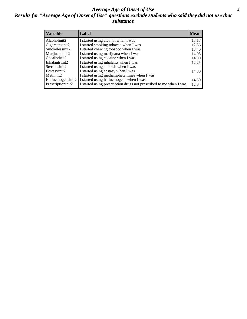#### *Average Age of Onset of Use* **4** *Results for "Average Age of Onset of Use" questions exclude students who said they did not use that substance*

| <b>Variable</b>    | Label                                                              | <b>Mean</b> |
|--------------------|--------------------------------------------------------------------|-------------|
| Alcoholinit2       | I started using alcohol when I was                                 | 13.17       |
| Cigarettesinit2    | I started smoking tobacco when I was                               | 12.56       |
| Smokelessinit2     | I started chewing tobacco when I was                               | 13.40       |
| Marijuanainit2     | I started using marijuana when I was                               | 14.05       |
| Cocaineinit2       | I started using cocaine when I was                                 | 14.00       |
| Inhalantsinit2     | I started using inhalants when I was                               | 12.25       |
| Steroidsinit2      | I started using steroids when I was                                |             |
| Ecstasyinit2       | I started using ecstasy when I was                                 | 14.80       |
| Methinit2          | I started using methamphetamines when I was                        |             |
| Hallucinogensinit2 | I started using hallucinogens when I was                           | 14.50       |
| Prescriptioninit2  | I started using prescription drugs not prescribed to me when I was | 12.64       |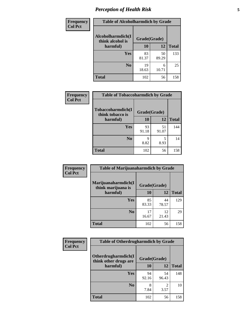# *Perception of Health Risk* **5**

| Frequency      | <b>Table of Alcoholharmdich by Grade</b> |              |             |              |  |
|----------------|------------------------------------------|--------------|-------------|--------------|--|
| <b>Col Pct</b> | Alcoholharmdich(I<br>think alcohol is    | Grade(Grade) |             |              |  |
|                | harmful)                                 | 10           | 12          | <b>Total</b> |  |
|                | Yes                                      | 83<br>81.37  | 50<br>89.29 | 133          |  |
|                | N <sub>0</sub>                           | 19<br>18.63  | 6<br>10.71  | 25           |  |
|                | <b>Total</b>                             | 102          | 56          | 158          |  |

| <b>Frequency</b> | <b>Table of Tobaccoharmdich by Grade</b> |              |             |              |  |
|------------------|------------------------------------------|--------------|-------------|--------------|--|
| <b>Col Pct</b>   | Tobaccoharmdich(I<br>think tobacco is    | Grade(Grade) |             |              |  |
|                  | harmful)                                 | 10           | 12          | <b>Total</b> |  |
|                  | Yes                                      | 93<br>91.18  | 51<br>91.07 | 144          |  |
|                  | N <sub>0</sub>                           | 9<br>8.82    | 5<br>8.93   | 14           |  |
|                  | <b>Total</b>                             | 102          | 56          | 158          |  |

| Frequency      | <b>Table of Marijuanaharmdich by Grade</b> |              |             |              |  |
|----------------|--------------------------------------------|--------------|-------------|--------------|--|
| <b>Col Pct</b> | Marijuanaharmdich(I<br>think marijuana is  | Grade(Grade) |             |              |  |
|                | harmful)                                   | 10           | 12          | <b>Total</b> |  |
|                | Yes                                        | 85<br>83.33  | 44<br>78.57 | 129          |  |
|                | N <sub>0</sub>                             | 17<br>16.67  | 12<br>21.43 | 29           |  |
|                | <b>Total</b>                               | 102          | 56          | 158          |  |

| Frequency      | <b>Table of Otherdrugharmdich by Grade</b>   |              |             |              |  |  |
|----------------|----------------------------------------------|--------------|-------------|--------------|--|--|
| <b>Col Pct</b> | Otherdrugharmdich(I<br>think other drugs are | Grade(Grade) |             |              |  |  |
|                | harmful)                                     | 10           | 12          | <b>Total</b> |  |  |
|                | Yes                                          | 94<br>92.16  | 54<br>96.43 | 148          |  |  |
|                | N <sub>0</sub>                               | 8<br>7.84    | 3.57        | 10           |  |  |
|                | <b>Total</b>                                 | 102          | 56          | 158          |  |  |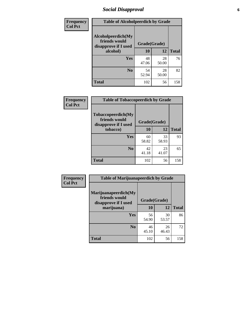## *Social Disapproval* **6**

| <b>Frequency</b> | <b>Table of Alcoholpeerdich by Grade</b>                                |              |             |              |
|------------------|-------------------------------------------------------------------------|--------------|-------------|--------------|
| <b>Col Pct</b>   | Alcoholpeerdich(My<br>friends would<br>disapprove if I used<br>alcohol) | Grade(Grade) |             |              |
|                  |                                                                         | 10           | 12          | <b>Total</b> |
|                  | <b>Yes</b>                                                              | 48<br>47.06  | 28<br>50.00 | 76           |
|                  | N <sub>0</sub>                                                          | 54<br>52.94  | 28<br>50.00 | 82           |
|                  | <b>Total</b>                                                            | 102          | 56          | 158          |

| <b>Frequency</b> |
|------------------|
| <b>Col Pct</b>   |

| <b>Table of Tobaccopeerdich by Grade</b>                    |              |             |              |  |
|-------------------------------------------------------------|--------------|-------------|--------------|--|
| Tobaccopeerdich(My<br>friends would<br>disapprove if I used | Grade(Grade) |             |              |  |
| tobacco)                                                    | 10           | 12          | <b>Total</b> |  |
| Yes                                                         | 60<br>58.82  | 33<br>58.93 | 93           |  |
| N <sub>0</sub>                                              | 42<br>41.18  | 23<br>41.07 | 65           |  |
| <b>Total</b>                                                | 102          | 56          | 158          |  |

| Frequency      | <b>Table of Marijuanapeerdich by Grade</b>                    |              |             |              |  |  |
|----------------|---------------------------------------------------------------|--------------|-------------|--------------|--|--|
| <b>Col Pct</b> | Marijuanapeerdich(My<br>friends would<br>disapprove if I used | Grade(Grade) |             |              |  |  |
|                | marijuana)                                                    | 10           | 12          | <b>Total</b> |  |  |
|                | <b>Yes</b>                                                    | 56<br>54.90  | 30<br>53.57 | 86           |  |  |
|                | N <sub>0</sub>                                                | 46<br>45.10  | 26<br>46.43 | 72           |  |  |
|                | <b>Total</b>                                                  | 102          | 56          | 158          |  |  |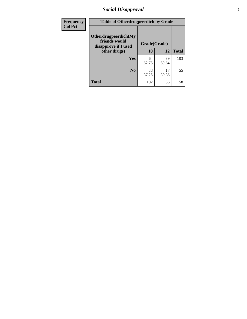## *Social Disapproval* **7**

| Frequency      | <b>Table of Otherdrugpeerdich by Grade</b>                    |              |             |              |  |  |
|----------------|---------------------------------------------------------------|--------------|-------------|--------------|--|--|
| <b>Col Pct</b> | Otherdrugpeerdich(My<br>friends would<br>disapprove if I used | Grade(Grade) |             |              |  |  |
|                | other drugs)                                                  | 10           | 12          | <b>Total</b> |  |  |
|                | Yes                                                           | 64<br>62.75  | 39<br>69.64 | 103          |  |  |
|                | N <sub>0</sub>                                                | 38<br>37.25  | 17<br>30.36 | 55           |  |  |
|                | <b>Total</b>                                                  | 102          | 56          | 158          |  |  |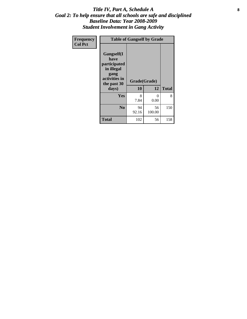#### Title IV, Part A, Schedule A **8** *Goal 2: To help ensure that all schools are safe and disciplined Baseline Data: Year 2008-2009 Student Involvement in Gang Activity*

| Frequency      | <b>Table of Gangself by Grade</b>                                                                 |                    |                  |              |
|----------------|---------------------------------------------------------------------------------------------------|--------------------|------------------|--------------|
| <b>Col Pct</b> | Gangself(I<br>have<br>participated<br>in illegal<br>gang<br>activities in<br>the past 30<br>days) | Grade(Grade)<br>10 | 12               | <b>Total</b> |
|                | Yes                                                                                               | 8<br>7.84          | $\theta$<br>0.00 | 8            |
|                | N <sub>0</sub>                                                                                    | 94<br>92.16        | 56<br>100.00     | 150          |
|                | <b>Total</b>                                                                                      | 102                | 56               | 158          |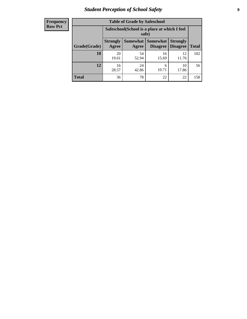# *Student Perception of School Safety* **9**

| Frequency           |
|---------------------|
| I<br><b>Row Pct</b> |

| <b>Table of Grade by Safeschool</b> |                                                                                                                                           |                                                        |             |             |     |  |
|-------------------------------------|-------------------------------------------------------------------------------------------------------------------------------------------|--------------------------------------------------------|-------------|-------------|-----|--|
|                                     |                                                                                                                                           | Safeschool (School is a place at which I feel<br>safe) |             |             |     |  |
| Grade(Grade)                        | <b>Somewhat</b><br><b>Somewhat</b><br><b>Strongly</b><br><b>Strongly</b><br><b>Disagree</b><br>Agree<br>Disagree<br><b>Total</b><br>Agree |                                                        |             |             |     |  |
| 10                                  | 20<br>19.61                                                                                                                               | 54<br>52.94                                            | 16<br>15.69 | 12<br>11.76 | 102 |  |
| 12                                  | 16<br>28.57                                                                                                                               | 24<br>42.86                                            | 6<br>10.71  | 10<br>17.86 | 56  |  |
| <b>Total</b>                        | 36                                                                                                                                        | 78                                                     | 22          | 22          | 158 |  |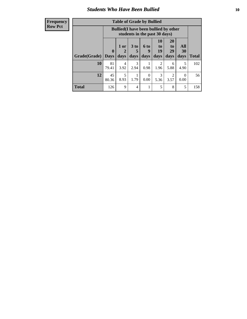### *Students Who Have Been Bullied* **10**

#### **Frequency Row Pct**

| <b>Table of Grade by Bullied</b> |                             |                                                                               |                              |                   |                        |                               |                   |              |
|----------------------------------|-----------------------------|-------------------------------------------------------------------------------|------------------------------|-------------------|------------------------|-------------------------------|-------------------|--------------|
|                                  |                             | <b>Bullied</b> (I have been bullied by other<br>students in the past 30 days) |                              |                   |                        |                               |                   |              |
| Grade(Grade)                     | $\mathbf{0}$<br><b>Days</b> | 1 or<br>$\mathbf{2}$<br>days                                                  | 3 <sub>to</sub><br>5<br>days | 6 to<br>9<br>days | 10<br>to<br>19<br>days | <b>20</b><br>to<br>29<br>days | All<br>30<br>days | <b>Total</b> |
| 10                               | 81<br>79.41                 | 4<br>3.92                                                                     | 3<br>2.94                    | 0.98              | $\mathfrak{D}$<br>1.96 | 6<br>5.88                     | 5<br>4.90         | 102          |
| 12                               | 45<br>80.36                 | 5<br>8.93                                                                     | 1.79                         | $\Omega$<br>0.00  | 3<br>5.36              | 2<br>3.57                     | 0.00              | 56           |
| <b>Total</b>                     | 126                         | 9                                                                             | $\overline{4}$               |                   | 5                      | 8                             | 5                 | 158          |

 $\blacksquare$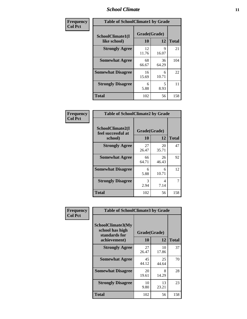#### *School Climate* **11**

| Frequency      | <b>Table of SchoolClimate1 by Grade</b> |                    |             |              |  |  |
|----------------|-----------------------------------------|--------------------|-------------|--------------|--|--|
| <b>Col Pct</b> | SchoolClimate1(I<br>like school)        | Grade(Grade)<br>10 | 12          | <b>Total</b> |  |  |
|                | <b>Strongly Agree</b>                   | 12<br>11.76        | 9<br>16.07  | 21           |  |  |
|                | <b>Somewhat Agree</b>                   | 68<br>66.67        | 36<br>64.29 | 104          |  |  |
|                | <b>Somewhat Disagree</b>                | 16<br>15.69        | 6<br>10.71  | 22           |  |  |
|                | <b>Strongly Disagree</b>                | 6<br>5.88          | 5<br>8.93   | 11           |  |  |
|                | <b>Total</b>                            | 102                | 56          | 158          |  |  |

| Frequency      | <b>Table of SchoolClimate2 by Grade</b>           |                    |             |              |  |  |
|----------------|---------------------------------------------------|--------------------|-------------|--------------|--|--|
| <b>Col Pct</b> | SchoolClimate2(I<br>feel successful at<br>school) | Grade(Grade)<br>10 | 12          | <b>Total</b> |  |  |
|                | <b>Strongly Agree</b>                             | 27<br>26.47        | 20<br>35.71 | 47           |  |  |
|                | <b>Somewhat Agree</b>                             | 66<br>64.71        | 26<br>46.43 | 92           |  |  |
|                | <b>Somewhat Disagree</b>                          | 6<br>5.88          | 6<br>10.71  | 12           |  |  |
|                | <b>Strongly Disagree</b>                          | 3<br>2.94          | 4<br>7.14   | 7            |  |  |
|                | <b>Total</b>                                      | 102                | 56          | 158          |  |  |

| Frequency | <b>Table of SchoolClimate3 by Grade</b>                                      |                    |             |              |
|-----------|------------------------------------------------------------------------------|--------------------|-------------|--------------|
| Col Pct   | <b>SchoolClimate3(My</b><br>school has high<br>standards for<br>achievement) | Grade(Grade)<br>10 | 12          | <b>Total</b> |
|           |                                                                              |                    |             |              |
|           | <b>Strongly Agree</b>                                                        | 27<br>26.47        | 10<br>17.86 | 37           |
|           | <b>Somewhat Agree</b>                                                        | 45<br>44.12        | 25<br>44.64 | 70           |
|           | <b>Somewhat Disagree</b>                                                     | 20<br>19.61        | 8<br>14.29  | 28           |
|           | <b>Strongly Disagree</b>                                                     | 10<br>9.80         | 13<br>23.21 | 23           |
|           | Total                                                                        | 102                | 56          | 158          |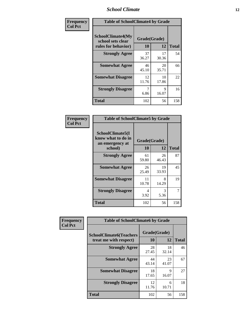#### *School Climate* **12**

| Frequency      | <b>Table of SchoolClimate4 by Grade</b>                              |                    |             |              |
|----------------|----------------------------------------------------------------------|--------------------|-------------|--------------|
| <b>Col Pct</b> | <b>SchoolClimate4(My</b><br>school sets clear<br>rules for behavior) | Grade(Grade)<br>10 | 12          | <b>Total</b> |
|                | <b>Strongly Agree</b>                                                | 37<br>36.27        | 17<br>30.36 | 54           |
|                | <b>Somewhat Agree</b>                                                | 46<br>45.10        | 20<br>35.71 | 66           |
|                | <b>Somewhat Disagree</b>                                             | 12<br>11.76        | 10<br>17.86 | 22           |
|                | <b>Strongly Disagree</b>                                             | 7<br>6.86          | 9<br>16.07  | 16           |
|                | <b>Total</b>                                                         | 102                | 56          | 158          |

| <b>Table of SchoolClimate5 by Grade</b>                   |              |             |              |  |
|-----------------------------------------------------------|--------------|-------------|--------------|--|
| SchoolClimate5(I<br>know what to do in<br>an emergency at | Grade(Grade) |             |              |  |
| school)                                                   | 10           | 12          | <b>Total</b> |  |
| <b>Strongly Agree</b>                                     | 61<br>59.80  | 26<br>46.43 | 87           |  |
| <b>Somewhat Agree</b>                                     | 26<br>25.49  | 19<br>33.93 | 45           |  |
| <b>Somewhat Disagree</b>                                  | 11<br>10.78  | 8<br>14.29  | 19           |  |
| <b>Strongly Disagree</b>                                  | 4<br>3.92    | 3<br>5.36   | 7            |  |
| Total                                                     | 102          | 56          | 158          |  |

| Frequency      | <b>Table of SchoolClimate6 by Grade</b>                  |                    |             |              |
|----------------|----------------------------------------------------------|--------------------|-------------|--------------|
| <b>Col Pct</b> | <b>SchoolClimate6(Teachers</b><br>treat me with respect) | Grade(Grade)<br>10 | 12          | <b>Total</b> |
|                | <b>Strongly Agree</b>                                    | 28<br>27.45        | 18<br>32.14 | 46           |
|                | <b>Somewhat Agree</b>                                    | 44<br>43.14        | 23<br>41.07 | 67           |
|                | <b>Somewhat Disagree</b>                                 | 18<br>17.65        | 9<br>16.07  | 27           |
|                | <b>Strongly Disagree</b>                                 | 12<br>11.76        | 6<br>10.71  | 18           |
|                | <b>Total</b>                                             | 102                | 56          | 158          |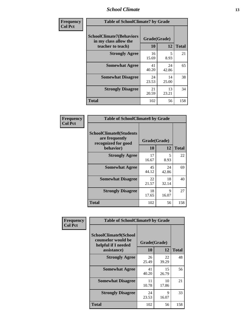#### *School Climate* **13**

| Frequency      | <b>Table of SchoolClimate7 by Grade</b>                                       |                           |             |              |
|----------------|-------------------------------------------------------------------------------|---------------------------|-------------|--------------|
| <b>Col Pct</b> | <b>SchoolClimate7(Behaviors</b><br>in my class allow the<br>teacher to teach) | Grade(Grade)<br><b>10</b> | 12          | <b>Total</b> |
|                | <b>Strongly Agree</b>                                                         | 16<br>15.69               | 5<br>8.93   | 21           |
|                | <b>Somewhat Agree</b>                                                         | 41<br>40.20               | 24<br>42.86 | 65           |
|                | <b>Somewhat Disagree</b>                                                      | 24<br>23.53               | 14<br>25.00 | 38           |
|                | <b>Strongly Disagree</b>                                                      | 21<br>20.59               | 13<br>23.21 | 34           |
|                | <b>Total</b>                                                                  | 102                       | 56          | 158          |

| Frequency      | <b>Table of SchoolClimate8 by Grade</b>                                 |              |             |              |
|----------------|-------------------------------------------------------------------------|--------------|-------------|--------------|
| <b>Col Pct</b> | <b>SchoolClimate8(Students</b><br>are frequently<br>recognized for good | Grade(Grade) |             |              |
|                | behavior)                                                               | 10           | 12          | <b>Total</b> |
|                | <b>Strongly Agree</b>                                                   | 17<br>16.67  | 5<br>8.93   | 22           |
|                | <b>Somewhat Agree</b>                                                   | 45<br>44.12  | 24<br>42.86 | 69           |
|                | <b>Somewhat Disagree</b>                                                | 22<br>21.57  | 18<br>32.14 | 40           |
|                | <b>Strongly Disagree</b>                                                | 18<br>17.65  | 9<br>16.07  | 27           |
|                | <b>Total</b>                                                            | 102          | 56          | 158          |

| Frequency      | <b>Table of SchoolClimate9 by Grade</b>                                           |                    |             |              |
|----------------|-----------------------------------------------------------------------------------|--------------------|-------------|--------------|
| <b>Col Pct</b> | SchoolClimate9(School<br>counselor would be<br>helpful if I needed<br>assistance) | Grade(Grade)<br>10 | 12          | <b>Total</b> |
|                | <b>Strongly Agree</b>                                                             | 26<br>25.49        | 22<br>39.29 | 48           |
|                | <b>Somewhat Agree</b>                                                             | 41<br>40.20        | 15<br>26.79 | 56           |
|                | <b>Somewhat Disagree</b>                                                          | 11<br>10.78        | 10<br>17.86 | 21           |
|                | <b>Strongly Disagree</b>                                                          | 24<br>23.53        | 9<br>16.07  | 33           |
|                | <b>Total</b>                                                                      | 102                | 56          | 158          |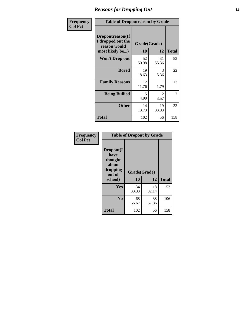### *Reasons for Dropping Out* **14**

| <b>Frequency</b> | <b>Table of Dropoutreason by Grade</b>                                   |             |                    |              |
|------------------|--------------------------------------------------------------------------|-------------|--------------------|--------------|
| <b>Col Pct</b>   | Dropoutreason(If<br>I dropped out the<br>reason would<br>most likely be) | 10          | Grade(Grade)<br>12 | <b>Total</b> |
|                  | <b>Won't Drop out</b>                                                    | 52<br>50.98 | 31<br>55.36        | 83           |
|                  | <b>Bored</b>                                                             | 19<br>18.63 | 3<br>5.36          | 22           |
|                  | <b>Family Reasons</b>                                                    | 12<br>11.76 | 1.79               | 13           |
|                  | <b>Being Bullied</b>                                                     | 5<br>4.90   | 2<br>3.57          | 7            |
|                  | <b>Other</b>                                                             | 14<br>13.73 | 19<br>33.93        | 33           |
|                  | Total                                                                    | 102         | 56                 | 158          |

| Frequency      | <b>Table of Dropout by Grade</b>                                       |                    |             |              |  |
|----------------|------------------------------------------------------------------------|--------------------|-------------|--------------|--|
| <b>Col Pct</b> | Dropout(I<br>have<br>thought<br>about<br>dropping<br>out of<br>school) | Grade(Grade)<br>10 | 12          | <b>Total</b> |  |
|                | Yes                                                                    | 34<br>33.33        | 18<br>32.14 | 52           |  |
|                | N <sub>0</sub>                                                         | 68<br>66.67        | 38<br>67.86 | 106          |  |
|                | <b>Total</b>                                                           | 102                | 56          | 158          |  |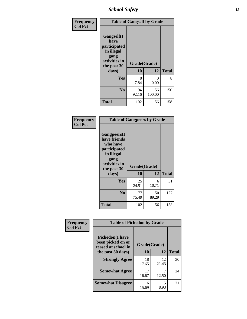*School Safety* **15**

| Frequency      | <b>Table of Gangself by Grade</b>                                                                 |                          |              |              |
|----------------|---------------------------------------------------------------------------------------------------|--------------------------|--------------|--------------|
| <b>Col Pct</b> | Gangself(I<br>have<br>participated<br>in illegal<br>gang<br>activities in<br>the past 30<br>days) | Grade(Grade)<br>10<br>12 |              | <b>Total</b> |
|                | Yes                                                                                               | 8<br>7.84                | 0<br>0.00    | 8            |
|                | N <sub>0</sub>                                                                                    | 94<br>92.16              | 56<br>100.00 | 150          |
|                | <b>Total</b>                                                                                      | 102                      | 56           | 158          |

| Frequency<br><b>Col Pct</b> | <b>Table of Gangpeers by Grade</b>                                                                                             |                    |             |              |
|-----------------------------|--------------------------------------------------------------------------------------------------------------------------------|--------------------|-------------|--------------|
|                             | <b>Gangpeers</b> (I<br>have friends<br>who have<br>participated<br>in illegal<br>gang<br>activities in<br>the past 30<br>days) | Grade(Grade)<br>10 | 12          | <b>Total</b> |
|                             | <b>Yes</b>                                                                                                                     | 25<br>24.51        | 6<br>10.71  | 31           |
|                             | N <sub>0</sub>                                                                                                                 | 77<br>75.49        | 50<br>89.29 | 127          |
|                             | <b>Total</b>                                                                                                                   | 102                | 56          | 158          |

| Frequency      | <b>Table of Pickedon by Grade</b>                                  |              |             |              |
|----------------|--------------------------------------------------------------------|--------------|-------------|--------------|
| <b>Col Pct</b> | <b>Pickedon(I have</b><br>been picked on or<br>teased at school in | Grade(Grade) |             |              |
|                | the past 30 days)                                                  | 10           | 12          | <b>Total</b> |
|                | <b>Strongly Agree</b>                                              | 18<br>17.65  | 12<br>21.43 | 30           |
|                | <b>Somewhat Agree</b>                                              | 17<br>16.67  | 12.50       | 24           |
|                | <b>Somewhat Disagree</b>                                           | 16<br>15.69  | 5<br>8.93   | 21           |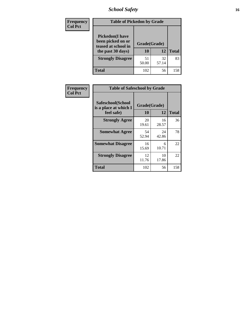*School Safety* **16**

| <b>Frequency</b> | <b>Table of Pickedon by Grade</b>                                                        |                    |              |     |  |  |  |  |  |  |
|------------------|------------------------------------------------------------------------------------------|--------------------|--------------|-----|--|--|--|--|--|--|
| <b>Col Pct</b>   | <b>Pickedon</b> (I have<br>been picked on or<br>teased at school in<br>the past 30 days) | Grade(Grade)<br>10 | <b>Total</b> |     |  |  |  |  |  |  |
|                  | <b>Strongly Disagree</b>                                                                 | 51<br>50.00        | 32<br>57.14  | 83  |  |  |  |  |  |  |
|                  | Total                                                                                    | 102                | 56           | 158 |  |  |  |  |  |  |

| Frequency      |                                                          | <b>Table of Safeschool by Grade</b> |              |     |  |  |  |  |  |  |
|----------------|----------------------------------------------------------|-------------------------------------|--------------|-----|--|--|--|--|--|--|
| <b>Col Pct</b> | Safeschool(School<br>is a place at which I<br>feel safe) | Grade(Grade)<br><b>10</b>           | <b>Total</b> |     |  |  |  |  |  |  |
|                | <b>Strongly Agree</b>                                    | 20<br>19.61                         | 16<br>28.57  | 36  |  |  |  |  |  |  |
|                | <b>Somewhat Agree</b>                                    | 54<br>52.94                         | 24<br>42.86  | 78  |  |  |  |  |  |  |
|                | <b>Somewhat Disagree</b>                                 | 16<br>15.69                         | 6<br>10.71   | 22  |  |  |  |  |  |  |
|                | <b>Strongly Disagree</b>                                 | 12<br>11.76                         | 10<br>17.86  | 22  |  |  |  |  |  |  |
|                | <b>Total</b>                                             | 102                                 | 56           | 158 |  |  |  |  |  |  |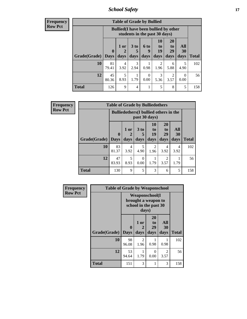*School Safety* **17**

| <b>Frequency</b> |  |
|------------------|--|
| Row Pct          |  |

| V | <b>Table of Grade by Bullied</b> |                         |                                                                               |                         |                   |                        |                               |                   |              |  |  |  |
|---|----------------------------------|-------------------------|-------------------------------------------------------------------------------|-------------------------|-------------------|------------------------|-------------------------------|-------------------|--------------|--|--|--|
|   |                                  |                         | <b>Bullied</b> (I have been bullied by other<br>students in the past 30 days) |                         |                   |                        |                               |                   |              |  |  |  |
|   | Grade(Grade)                     | $\bf{0}$<br><b>Days</b> | 1 or<br>2<br>days                                                             | 3 <sub>to</sub><br>days | 6 to<br>9<br>days | 10<br>to<br>19<br>days | <b>20</b><br>to<br>29<br>days | All<br>30<br>days | <b>Total</b> |  |  |  |
|   | <b>10</b>                        | 81<br>79.41             | 4<br>3.92                                                                     | 3<br>2.94               | 0.98              | 2<br>1.96              | 6<br>5.88                     | 5<br>4.90         | 102          |  |  |  |
|   | 12                               | 45<br>80.36             | 5<br>8.93                                                                     | 1.79                    | $\Omega$<br>0.00  | 3<br>5.36              | $\mathfrak{D}$<br>3.57        | 0<br>0.00         | 56           |  |  |  |
|   | <b>Total</b>                     | 126                     | 9                                                                             | $\overline{4}$          | 1                 | 5                      | 8                             | 5                 | 158          |  |  |  |

| <b>Frequency</b> |                     | <b>Table of Grade by Bulliedothers</b>        |              |              |                                  |                               |                        |              |
|------------------|---------------------|-----------------------------------------------|--------------|--------------|----------------------------------|-------------------------------|------------------------|--------------|
| <b>Row Pct</b>   |                     | <b>Bulliedothers</b> (I bullied others in the |              |              |                                  |                               |                        |              |
|                  | Grade(Grade)   Days | $\mathbf{0}$                                  | 1 or<br>days | 3 to<br>days | 10<br>$\mathbf{t}$<br>19<br>days | <b>20</b><br>to<br>29<br>days | All<br>30<br>days      | <b>Total</b> |
|                  | 10                  | 83<br>81.37                                   | 4<br>3.92    | 5<br>4.90    | 2<br>1.96                        | 4<br>3.92                     | $\overline{4}$<br>3.92 | 102          |
|                  | 12                  | 47<br>83.93                                   | 5<br>8.93    | 0<br>0.00    | 1.79                             | 2<br>3.57                     | 1.79                   | 56           |
|                  | <b>Total</b>        | 130                                           | 9            | 5            | 3                                | 6                             | 5                      | 158          |

| Frequency      | <b>Table of Grade by Weaponschool</b> |                                                                        |                        |                               |                   |              |  |  |  |  |
|----------------|---------------------------------------|------------------------------------------------------------------------|------------------------|-------------------------------|-------------------|--------------|--|--|--|--|
| <b>Row Pct</b> |                                       | <b>Weaponschool</b> (I<br>brought a weapon to<br>school in the past 30 |                        |                               |                   |              |  |  |  |  |
|                | Grade(Grade)                          | $\boldsymbol{0}$<br><b>Days</b>                                        | 1 or<br>2<br>days      | <b>20</b><br>to<br>29<br>days | All<br>30<br>days | <b>Total</b> |  |  |  |  |
|                | 10                                    | 98<br>96.08                                                            | $\mathfrak{D}$<br>1.96 | 0.98                          | 0.98              | 102          |  |  |  |  |
|                | 12                                    | 53<br>94.64                                                            | 1.79                   | $\Omega$<br>0.00              | 2<br>3.57         | 56           |  |  |  |  |
|                | <b>Total</b>                          | 151                                                                    | 3                      |                               | 3                 | 158          |  |  |  |  |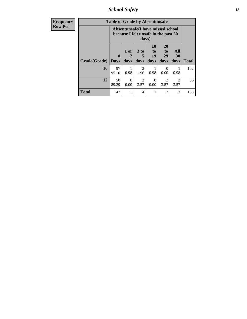*School Safety* **18**

| <b>Frequency</b> | <b>Table of Grade by Absentunsafe</b> |                         |                   |                        |                                                                           |                                           |                        |              |  |  |
|------------------|---------------------------------------|-------------------------|-------------------|------------------------|---------------------------------------------------------------------------|-------------------------------------------|------------------------|--------------|--|--|
| <b>Row Pct</b>   |                                       |                         |                   | days)                  | Absentunsafe(I have missed school<br>because I felt unsafe in the past 30 |                                           |                        |              |  |  |
|                  | Grade(Grade)                          | $\bf{0}$<br><b>Days</b> | 1 or<br>2<br>days | 3 to<br>5<br>days      | <b>10</b><br>to<br>19<br>days                                             | <b>20</b><br>t <sub>0</sub><br>29<br>days | All<br>30<br>days      | <b>Total</b> |  |  |
|                  | 10                                    | 97<br>95.10             | 0.98              | $\mathfrak{D}$<br>1.96 | 0.98                                                                      | 0<br>0.00                                 | 0.98                   | 102          |  |  |
|                  | 12                                    | 50<br>89.29             | $\Omega$<br>0.00  | $\mathfrak{D}$<br>3.57 | 0<br>0.00                                                                 | $\overline{\mathcal{L}}$<br>3.57          | $\mathfrak{D}$<br>3.57 | 56           |  |  |
|                  | <b>Total</b>                          | 147                     |                   | 4                      |                                                                           | 2                                         | 3                      | 158          |  |  |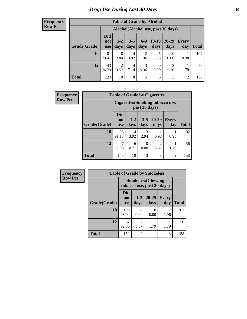# *Drug Use During Last 30 Days* **19**

#### **Frequency Row Pct**

| <b>Table of Grade by Alcohol</b> |                                 |                                    |                 |               |                        |                   |              |       |  |  |  |
|----------------------------------|---------------------------------|------------------------------------|-----------------|---------------|------------------------|-------------------|--------------|-------|--|--|--|
|                                  |                                 | Alcohol(Alcohol use, past 30 days) |                 |               |                        |                   |              |       |  |  |  |
| Grade(Grade)                     | <b>Did</b><br>not<br><b>use</b> | $1-2$<br>days                      | $3 - 5$<br>days | $6-9$<br>days | $10-19$<br>days        | $20 - 29$<br>days | Every<br>day | Total |  |  |  |
| 10                               | 81<br>79.41                     | 8<br>7.84                          | 4<br>3.92       | 2<br>1.96     | 6<br>5.88              | 0<br>0.00         | 0.98         | 102   |  |  |  |
| 12                               | 43<br>76.79                     | $\overline{2}$<br>3.57             | 4<br>7.14       | 3<br>5.36     | $\overline{0}$<br>0.00 | 3<br>5.36         | 1.79         | 56    |  |  |  |
| <b>Total</b>                     | 124                             | 10                                 | 8               | 5             | 6                      | 3                 | 2            | 158   |  |  |  |

| Frequency      | <b>Table of Grade by Cigarettes</b> |                                  |                 |                  |                   |                     |              |  |  |
|----------------|-------------------------------------|----------------------------------|-----------------|------------------|-------------------|---------------------|--------------|--|--|
| <b>Row Pct</b> |                                     | Cigarettes (Smoking tobacco use, |                 |                  |                   |                     |              |  |  |
|                | Grade(Grade)                        | <b>Did</b><br>not<br><b>use</b>  | $1 - 2$<br>days | $3 - 5$<br>days  | $20 - 29$<br>days | <b>Every</b><br>day | <b>Total</b> |  |  |
|                | 10                                  | 93<br>91.18                      | 4<br>3.92       | 3<br>2.94        | 0.98              | 0.98                | 102          |  |  |
|                | 12                                  | 47<br>83.93                      | 6<br>10.71      | $\Omega$<br>0.00 | 3.57              | 1.79                | 56           |  |  |
|                | <b>Total</b>                        | 140                              | 10              | 3                | 3                 | $\overline{2}$      | 158          |  |  |

| Frequency      |              |                                                         |                | <b>Table of Grade by Smokeless</b> |                     |              |
|----------------|--------------|---------------------------------------------------------|----------------|------------------------------------|---------------------|--------------|
| <b>Row Pct</b> |              | <b>Smokeless</b> (Chewing<br>tobacco use, past 30 days) |                |                                    |                     |              |
|                | Grade(Grade) | <b>Did</b><br>not<br><b>use</b>                         | $1-2$<br>days  | $20 - 29$<br>days                  | <b>Every</b><br>day | <b>Total</b> |
|                | 10           | 100<br>98.04                                            | 0<br>0.00      | 0<br>0.00                          | 2<br>1.96           | 102          |
|                | 12           | 52<br>92.86                                             | 2<br>3.57      | 1.79                               | 1.79                | 56           |
|                | <b>Total</b> | 152                                                     | $\mathfrak{D}$ |                                    | 3                   | 158          |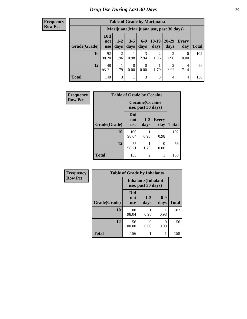#### **Frequency Row Pct**

| <b>Table of Grade by Marijuana</b> |                          |                                         |                 |               |                        |               |                |       |  |  |  |
|------------------------------------|--------------------------|-----------------------------------------|-----------------|---------------|------------------------|---------------|----------------|-------|--|--|--|
|                                    |                          | Marijuana (Marijuana use, past 30 days) |                 |               |                        |               |                |       |  |  |  |
| Grade(Grade)                       | Did<br>not<br><b>use</b> | $1 - 2$<br>days                         | $3 - 5$<br>days | $6-9$<br>days | $10-19$<br>days        | 20-29<br>days | Every<br>day   | Total |  |  |  |
| 10                                 | 92<br>90.20              | $\overline{2}$<br>1.96                  | 0.98            | 3<br>2.94     | $\mathfrak{D}$<br>1.96 | ↑<br>1.96     | 0<br>0.00      | 102   |  |  |  |
| 12                                 | 48<br>85.71              | 1.79                                    | 0<br>0.00       | 0<br>0.00     | 1.79                   | ∍<br>3.57     | 4<br>7.14      | 56    |  |  |  |
| <b>Total</b>                       | 140                      | 3                                       |                 | 3             | 3                      | 4             | $\overline{4}$ | 158   |  |  |  |

| Frequency      | <b>Table of Grade by Cocaine</b> |                                               |                |                       |              |  |  |  |  |  |
|----------------|----------------------------------|-----------------------------------------------|----------------|-----------------------|--------------|--|--|--|--|--|
| <b>Row Pct</b> |                                  | <b>Cocaine</b> (Cocaine<br>use, past 30 days) |                |                       |              |  |  |  |  |  |
|                | Grade(Grade)                     | <b>Did</b><br>not<br><b>use</b>               | $1-2$<br>days  | <b>Every</b><br>day   | <b>Total</b> |  |  |  |  |  |
|                | 10                               | 100<br>98.04                                  | 0.98           | 0.98                  | 102          |  |  |  |  |  |
|                | 12                               | 55<br>98.21                                   | 1.79           | $\mathcal{O}$<br>0.00 | 56           |  |  |  |  |  |
|                | <b>Total</b>                     | 155                                           | $\overline{2}$ | 1                     | 158          |  |  |  |  |  |

| Frequency      | <b>Table of Grade by Inhalants</b> |                                                  |                 |               |              |
|----------------|------------------------------------|--------------------------------------------------|-----------------|---------------|--------------|
| <b>Row Pct</b> |                                    | <b>Inhalants</b> (Inhalant<br>use, past 30 days) |                 |               |              |
|                | Grade(Grade)                       | <b>Did</b><br>not<br><b>use</b>                  | $1 - 2$<br>days | $6-9$<br>days | <b>Total</b> |
|                | 10                                 | 100<br>98.04                                     | 0.98            | 0.98          | 102          |
|                | 12                                 | 56<br>100.00                                     | 0<br>0.00       | 0<br>0.00     | 56           |
|                | <b>Total</b>                       | 156                                              |                 |               | 158          |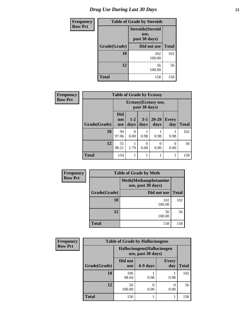| <b>Frequency</b> | <b>Table of Grade by Steroids</b> |                                                   |              |  |  |
|------------------|-----------------------------------|---------------------------------------------------|--------------|--|--|
| <b>Row Pct</b>   |                                   | <b>Steroids</b> (Steroid<br>use,<br>past 30 days) |              |  |  |
|                  | Grade(Grade)                      | Did not use                                       | <b>Total</b> |  |  |
|                  | 10                                | 102<br>100.00                                     | 102          |  |  |
|                  | 12                                | 56<br>100.00                                      | 56           |  |  |
|                  | Total                             | 158                                               | 158          |  |  |

| Frequency      | <b>Table of Grade by Ecstasy</b> |                                        |               |                  |                   |                     |              |
|----------------|----------------------------------|----------------------------------------|---------------|------------------|-------------------|---------------------|--------------|
| <b>Row Pct</b> |                                  | Ecstasy (Ecstasy use,<br>past 30 days) |               |                  |                   |                     |              |
|                | Grade(Grade)                     | <b>Did</b><br>not<br><b>use</b>        | $1-2$<br>days | $3 - 5$<br>days  | $20 - 29$<br>days | <b>Every</b><br>day | <b>Total</b> |
|                | 10                               | 99<br>97.06                            | 0<br>0.00     | 0.98             | 0.98              | 0.98                | 102          |
|                | 12                               | 55<br>98.21                            | 1.79          | $\theta$<br>0.00 | 0<br>0.00         | $\Omega$<br>0.00    | 56           |
|                | <b>Total</b>                     | 154                                    |               |                  | 1                 |                     | 158          |

| <b>Frequency</b> |                                                    | <b>Table of Grade by Meth</b> |              |
|------------------|----------------------------------------------------|-------------------------------|--------------|
| <b>Row Pct</b>   | <b>Meth</b> (Methamphetamine<br>use, past 30 days) |                               |              |
|                  | Grade(Grade)                                       | Did not use                   | <b>Total</b> |
|                  | 10                                                 | 102<br>100.00                 | 102          |
|                  | 12                                                 | 56<br>100.00                  | 56           |
|                  | <b>Total</b>                                       | 158                           | 158          |

| Frequency      | <b>Table of Grade by Hallucinogens</b> |                                                   |           |                     |              |  |
|----------------|----------------------------------------|---------------------------------------------------|-----------|---------------------|--------------|--|
| <b>Row Pct</b> |                                        | Hallucinogens (Hallucinogen<br>use, past 30 days) |           |                     |              |  |
|                | Grade(Grade)                           | Did not<br><b>use</b>                             | 6-9 days  | <b>Every</b><br>day | <b>Total</b> |  |
|                | 10                                     | 100<br>98.04                                      | 0.98      | 0.98                | 102          |  |
|                | 12                                     | 56<br>100.00                                      | 0<br>0.00 | 0<br>0.00           | 56           |  |
|                | <b>Total</b>                           | 156                                               |           |                     | 158          |  |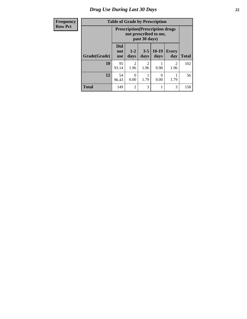# *Drug Use During Last 30 Days* **22**

| Frequency      |  |
|----------------|--|
| <b>Row Pct</b> |  |

# **Table of Grade by Prescription**

|              |                          | <b>Prescription</b> (Prescription drugs)<br>not prescribed to me,<br>past 30 days) |                        |                 |                        |              |
|--------------|--------------------------|------------------------------------------------------------------------------------|------------------------|-----------------|------------------------|--------------|
| Grade(Grade) | <b>Did</b><br>not<br>use | $1-2$<br>days                                                                      | $3 - 5$<br>days        | $10-19$<br>days | <b>Every</b><br>day    | <b>Total</b> |
| 10           | 95<br>93.14              | 2<br>1.96                                                                          | $\mathfrak{D}$<br>1.96 | 0.98            | $\overline{2}$<br>1.96 | 102          |
| 12           | 54<br>96.43              | 0<br>0.00                                                                          | 1.79                   | 0<br>0.00       | 1.79                   | 56           |
| <b>Total</b> | 149                      | $\overline{2}$                                                                     | 3                      |                 | 3                      | 158          |

٦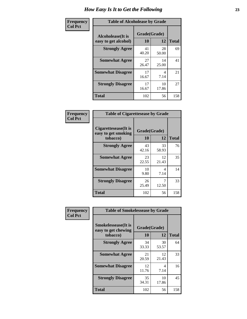| Frequency      | <b>Table of Alcoholease by Grade</b>              |                          |             |              |  |
|----------------|---------------------------------------------------|--------------------------|-------------|--------------|--|
| <b>Col Pct</b> | <b>Alcoholease</b> (It is<br>easy to get alcohol) | Grade(Grade)<br>10<br>12 |             | <b>Total</b> |  |
|                | <b>Strongly Agree</b>                             | 41<br>40.20              | 28<br>50.00 | 69           |  |
|                | <b>Somewhat Agree</b>                             | 27<br>26.47              | 14<br>25.00 | 41           |  |
|                | <b>Somewhat Disagree</b>                          | 17<br>16.67              | 4<br>7.14   | 21           |  |
|                | <b>Strongly Disagree</b>                          | 17<br>16.67              | 10<br>17.86 | 27           |  |
|                | <b>Total</b>                                      | 102                      | 56          | 158          |  |

| Frequency      | <b>Table of Cigarettesease by Grade</b>                 |                    |             |              |  |
|----------------|---------------------------------------------------------|--------------------|-------------|--------------|--|
| <b>Col Pct</b> | Cigarettesease(It is<br>easy to get smoking<br>tobacco) | Grade(Grade)<br>10 | 12          | <b>Total</b> |  |
|                | <b>Strongly Agree</b>                                   | 43<br>42.16        | 33<br>58.93 | 76           |  |
|                | <b>Somewhat Agree</b>                                   | 23<br>22.55        | 12<br>21.43 | 35           |  |
|                | <b>Somewhat Disagree</b>                                | 10<br>9.80         | 4<br>7.14   | 14           |  |
|                | <b>Strongly Disagree</b>                                | 26<br>25.49        | 12.50       | 33           |  |
|                | <b>Total</b>                                            | 102                | 56          | 158          |  |

| Frequency      | <b>Table of Smokelessease by Grade</b>             |              |             |              |  |  |
|----------------|----------------------------------------------------|--------------|-------------|--------------|--|--|
| <b>Col Pct</b> | <b>Smokelessease</b> (It is<br>easy to get chewing | Grade(Grade) |             |              |  |  |
|                | tobacco)                                           | <b>10</b>    | 12          | <b>Total</b> |  |  |
|                | <b>Strongly Agree</b>                              | 34<br>33.33  | 30<br>53.57 | 64           |  |  |
|                | <b>Somewhat Agree</b>                              | 21<br>20.59  | 12<br>21.43 | 33           |  |  |
|                | <b>Somewhat Disagree</b>                           | 12<br>11.76  | 4<br>7.14   | 16           |  |  |
|                | <b>Strongly Disagree</b>                           | 35<br>34.31  | 10<br>17.86 | 45           |  |  |
|                | <b>Total</b>                                       | 102          | 56          | 158          |  |  |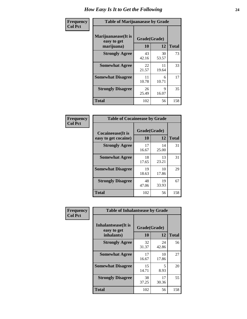| Frequency      | <b>Table of Marijuanaease by Grade</b>           |                           |             |              |  |
|----------------|--------------------------------------------------|---------------------------|-------------|--------------|--|
| <b>Col Pct</b> | Marijuanaease(It is<br>easy to get<br>marijuana) | Grade(Grade)<br><b>10</b> | 12          | <b>Total</b> |  |
|                | <b>Strongly Agree</b>                            | 43<br>42.16               | 30<br>53.57 | 73           |  |
|                | <b>Somewhat Agree</b>                            | 22<br>21.57               | 11<br>19.64 | 33           |  |
|                | <b>Somewhat Disagree</b>                         | 11<br>10.78               | 6<br>10.71  | 17           |  |
|                | <b>Strongly Disagree</b>                         | 26<br>25.49               | 9<br>16.07  | 35           |  |
|                | <b>Total</b>                                     | 102                       | 56          | 158          |  |

| <b>Table of Cocaineease by Grade</b>              |                    |              |     |  |  |  |
|---------------------------------------------------|--------------------|--------------|-----|--|--|--|
| <b>Cocaineease</b> (It is<br>easy to get cocaine) | Grade(Grade)<br>10 | <b>Total</b> |     |  |  |  |
|                                                   |                    | 12           |     |  |  |  |
| <b>Strongly Agree</b>                             | 17<br>16.67        | 14<br>25.00  | 31  |  |  |  |
| <b>Somewhat Agree</b>                             | 18<br>17.65        | 13<br>23.21  | 31  |  |  |  |
| <b>Somewhat Disagree</b>                          | 19<br>18.63        | 10<br>17.86  | 29  |  |  |  |
| <b>Strongly Disagree</b>                          | 48<br>47.06        | 19<br>33.93  | 67  |  |  |  |
| <b>Total</b>                                      | 102                | 56           | 158 |  |  |  |

| Frequency      | <b>Table of Inhalantsease by Grade</b>     |             |              |              |  |  |  |
|----------------|--------------------------------------------|-------------|--------------|--------------|--|--|--|
| <b>Col Pct</b> | <b>Inhalantsease</b> (It is<br>easy to get |             | Grade(Grade) |              |  |  |  |
|                | inhalants)                                 | 10          | 12           | <b>Total</b> |  |  |  |
|                | <b>Strongly Agree</b>                      | 32<br>31.37 | 24<br>42.86  | 56           |  |  |  |
|                | <b>Somewhat Agree</b>                      | 17<br>16.67 | 10<br>17.86  | 27           |  |  |  |
|                | <b>Somewhat Disagree</b>                   | 15<br>14.71 | 5<br>8.93    | 20           |  |  |  |
|                | <b>Strongly Disagree</b>                   | 38<br>37.25 | 17<br>30.36  | 55           |  |  |  |
|                | <b>Total</b>                               | 102         | 56           | 158          |  |  |  |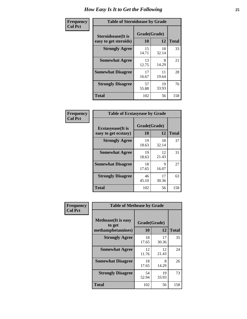| Frequency      | <b>Table of Steroidsease by Grade</b>               |                    |              |     |  |  |  |  |  |  |  |
|----------------|-----------------------------------------------------|--------------------|--------------|-----|--|--|--|--|--|--|--|
| <b>Col Pct</b> | <b>Steroidsease</b> (It is<br>easy to get steroids) | Grade(Grade)<br>10 | <b>Total</b> |     |  |  |  |  |  |  |  |
|                | <b>Strongly Agree</b>                               | 15<br>14.71        | 18<br>32.14  | 33  |  |  |  |  |  |  |  |
|                | <b>Somewhat Agree</b>                               | 13<br>12.75        | 8<br>14.29   | 21  |  |  |  |  |  |  |  |
|                | <b>Somewhat Disagree</b>                            | 17<br>16.67        | 11<br>19.64  | 28  |  |  |  |  |  |  |  |
|                | <b>Strongly Disagree</b>                            | 57<br>55.88        | 19<br>33.93  | 76  |  |  |  |  |  |  |  |
|                | <b>Total</b>                                        | 102                | 56           | 158 |  |  |  |  |  |  |  |

| Frequency      | <b>Table of Ecstasyease by Grade</b>              |                    |              |     |  |  |  |  |  |  |
|----------------|---------------------------------------------------|--------------------|--------------|-----|--|--|--|--|--|--|
| <b>Col Pct</b> | <b>Ecstasyease</b> (It is<br>easy to get ecstasy) | Grade(Grade)<br>10 | <b>Total</b> |     |  |  |  |  |  |  |
|                | <b>Strongly Agree</b>                             | 19<br>18.63        | 18<br>32.14  | 37  |  |  |  |  |  |  |
|                | <b>Somewhat Agree</b>                             | 19<br>18.63        | 12<br>21.43  | 31  |  |  |  |  |  |  |
|                | <b>Somewhat Disagree</b>                          | 18<br>17.65        | 9<br>16.07   | 27  |  |  |  |  |  |  |
|                | <b>Strongly Disagree</b>                          | 46<br>45.10        | 17<br>30.36  | 63  |  |  |  |  |  |  |
|                | <b>Total</b>                                      | 102                | 56           | 158 |  |  |  |  |  |  |

| Frequency      |                                                            | <b>Table of Methease by Grade</b> |             |              |  |  |  |  |  |  |  |
|----------------|------------------------------------------------------------|-----------------------------------|-------------|--------------|--|--|--|--|--|--|--|
| <b>Col Pct</b> | <b>Methease</b> (It is easy<br>to get<br>methamphetamines) | Grade(Grade)<br>10                | 12          | <b>Total</b> |  |  |  |  |  |  |  |
|                | <b>Strongly Agree</b>                                      | 18<br>17.65                       | 17<br>30.36 | 35           |  |  |  |  |  |  |  |
|                | <b>Somewhat Agree</b>                                      | 12<br>11.76                       | 12<br>21.43 | 24           |  |  |  |  |  |  |  |
|                | <b>Somewhat Disagree</b>                                   | 18<br>17.65                       | 8<br>14.29  | 26           |  |  |  |  |  |  |  |
|                | <b>Strongly Disagree</b>                                   | 54<br>52.94                       | 19<br>33.93 | 73           |  |  |  |  |  |  |  |
|                | Total                                                      | 102                               | 56          | 158          |  |  |  |  |  |  |  |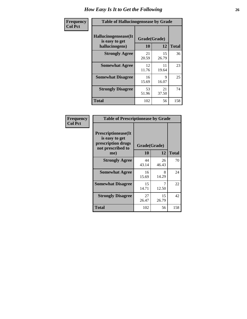| <b>Frequency</b> | <b>Table of Hallucinogensease by Grade</b>               |                    |             |              |  |  |  |  |  |  |  |
|------------------|----------------------------------------------------------|--------------------|-------------|--------------|--|--|--|--|--|--|--|
| <b>Col Pct</b>   | Hallucinogensease(It<br>is easy to get<br>hallucinogens) | Grade(Grade)<br>10 | 12          | <b>Total</b> |  |  |  |  |  |  |  |
|                  | <b>Strongly Agree</b>                                    | 21<br>20.59        | 15<br>26.79 | 36           |  |  |  |  |  |  |  |
|                  | <b>Somewhat Agree</b>                                    | 12<br>11.76        | 11<br>19.64 | 23           |  |  |  |  |  |  |  |
|                  | <b>Somewhat Disagree</b>                                 | 16<br>15.69        | 9<br>16.07  | 25           |  |  |  |  |  |  |  |
|                  | <b>Strongly Disagree</b>                                 | 53<br>51.96        | 21<br>37.50 | 74           |  |  |  |  |  |  |  |
|                  | <b>Total</b>                                             | 102                | 56          | 158          |  |  |  |  |  |  |  |

| Frequency<br>Col Pct |
|----------------------|
|                      |

| <b>Table of Prescriptionease by Grade</b>                                                |             |              |              |  |  |  |  |  |  |
|------------------------------------------------------------------------------------------|-------------|--------------|--------------|--|--|--|--|--|--|
| <b>Prescriptionease</b> (It<br>is easy to get<br>prescription drugs<br>not prescribed to |             | Grade(Grade) |              |  |  |  |  |  |  |
| me)                                                                                      | 10          | 12           | <b>Total</b> |  |  |  |  |  |  |
| <b>Strongly Agree</b>                                                                    | 44<br>43.14 | 26<br>46.43  | 70           |  |  |  |  |  |  |
| <b>Somewhat Agree</b>                                                                    | 16<br>15.69 | 8<br>14.29   | 24           |  |  |  |  |  |  |
| <b>Somewhat Disagree</b>                                                                 | 15<br>14.71 | 12.50        | 22           |  |  |  |  |  |  |
| <b>Strongly Disagree</b>                                                                 | 27<br>26.47 | 15<br>26.79  | 42           |  |  |  |  |  |  |
| <b>Total</b>                                                                             | 102         | 56           | 158          |  |  |  |  |  |  |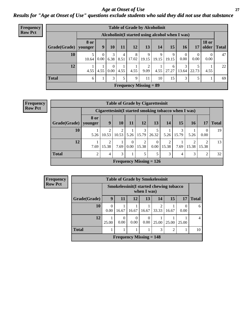#### *Age at Onset of Use* **27** *Results for "Age at Onset of Use" questions exclude students who said they did not use that substance*

| <b>Frequency</b> |                        |             |                  |                  |           |            | <b>Table of Grade by Alcoholinit</b>             |            |            |            |            |                       |              |
|------------------|------------------------|-------------|------------------|------------------|-----------|------------|--------------------------------------------------|------------|------------|------------|------------|-----------------------|--------------|
| <b>Row Pct</b>   |                        |             |                  |                  |           |            | Alcoholinit (I started using alcohol when I was) |            |            |            |            |                       |              |
|                  | Grade(Grade)   younger | <b>8 or</b> | 9                | 10               | 11        | 12         | 13                                               | 14         | 15         | <b>16</b>  | 17         | <b>18 or</b><br>older | <b>Total</b> |
|                  | 10                     | 10.64       | $\Omega$<br>0.00 | 3<br>6.38        | 4<br>8.51 | 8<br>17.02 | 9<br>19.15                                       | 9<br>19.15 | 9<br>19.15 | 0<br>0.00  | 0<br>0.00  | 0.00                  | 47           |
|                  | 12                     | 4.55        | 4.55             | $\Omega$<br>0.00 | 4.55      | 4.55       | 2<br>9.09                                        | 4.55       | 6<br>27.27 | 3<br>13.64 | 5<br>22.73 | 4.55                  | 22           |
|                  | <b>Total</b>           | 6           |                  | 3                |           | 9          | 11                                               | 10         | 15         | 3          | 5          |                       | 69           |
|                  |                        |             |                  |                  |           |            | <b>Frequency Missing = 89</b>                    |            |            |            |            |                       |              |

**Frequency Row Pct**

| <b>Table of Grade by Cigarettesinit</b> |                |                                                       |            |                  |            |                           |            |            |            |                  |              |  |
|-----------------------------------------|----------------|-------------------------------------------------------|------------|------------------|------------|---------------------------|------------|------------|------------|------------------|--------------|--|
|                                         |                | Cigarettesinit (I started smoking tobacco when I was) |            |                  |            |                           |            |            |            |                  |              |  |
| Grade(Grade)   younger                  | 8 or           | 9                                                     | <b>10</b>  | 11               | 12         | 13                        | 14         | 15         | <b>16</b>  | 17               | <b>Total</b> |  |
| 10                                      | 5.26           | 10.53                                                 | 2<br>10.53 | 5.26             | 3<br>15.79 | 26.32                     | 5.26       | 3<br>15.79 | 5.26       | $\Omega$<br>0.00 | 19           |  |
| 12                                      | 7.69           | ∍<br>15.38                                            | 7.69       | $\Omega$<br>0.00 | 2<br>15.38 | 0<br>0.00                 | ∍<br>15.38 | 7.69       | ∍<br>15.38 | ി<br>15.38       | 13           |  |
| <b>Total</b>                            | $\overline{c}$ | 4                                                     | 3          |                  | 5          | 5                         | 3          | 4          | 3          | 2                | 32           |  |
|                                         |                |                                                       |            |                  |            | Frequency Missing $= 126$ |            |            |            |                  |              |  |

**Frequency Row Pct**

| <b>Table of Grade by Smokelessinit</b> |                                             |                                                        |           |                  |                         |                |           |              |  |  |  |  |
|----------------------------------------|---------------------------------------------|--------------------------------------------------------|-----------|------------------|-------------------------|----------------|-----------|--------------|--|--|--|--|
|                                        |                                             | Smokelessinit(I started chewing tobacco<br>when I was) |           |                  |                         |                |           |              |  |  |  |  |
| Grade(Grade)                           | 9                                           | 11                                                     | 12        | 13               | 14                      | 15             | <b>17</b> | <b>Total</b> |  |  |  |  |
| 10                                     | 0.00                                        | 16.67                                                  | 16.67     | 16.67            | $\mathfrak{D}$<br>33.33 | 16.67          | 0.00      | 6            |  |  |  |  |
| 12                                     | 25.00                                       | 0.00                                                   | 0<br>0.00 | $\Omega$<br>0.00 | 25.00                   | 25.00          | 25.00     | 4            |  |  |  |  |
| <b>Total</b>                           |                                             |                                                        |           |                  | 3                       | $\mathfrak{D}$ |           | 10           |  |  |  |  |
|                                        | <b>Frequency Missing <math>= 148</math></b> |                                                        |           |                  |                         |                |           |              |  |  |  |  |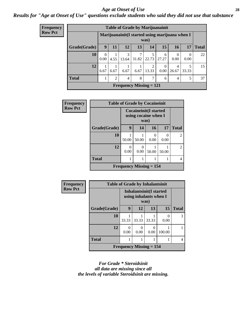#### *Age at Onset of Use* **28**

*Results for "Age at Onset of Use" questions exclude students who said they did not use that substance*

| <b>Frequency</b> |              |                  |                                                         |                                |       |            | <b>Table of Grade by Marijuanainit</b> |                         |                  |              |  |
|------------------|--------------|------------------|---------------------------------------------------------|--------------------------------|-------|------------|----------------------------------------|-------------------------|------------------|--------------|--|
| <b>Row Pct</b>   |              |                  | Marijuanainit (I started using marijuana when I<br>was) |                                |       |            |                                        |                         |                  |              |  |
|                  | Grade(Grade) | 9                | 11                                                      | 12                             | 13    | 14         | 15                                     | 16                      | 17               | <b>Total</b> |  |
|                  | 10           | $\Omega$<br>0.00 | 4.55                                                    | 3<br>13.64                     | 31.82 | 5<br>22.73 | 6<br>27.27                             | $\Omega$<br>0.00        | $\Omega$<br>0.00 | 22           |  |
|                  | 12           | 6.67             | 6.67                                                    | 6.67                           | 6.67  | 2<br>13.33 | 0<br>0.00                              | $\overline{4}$<br>26.67 | 33.33            | 15           |  |
|                  | <b>Total</b> |                  | $\mathfrak{D}$                                          | 4                              | 8     | 7          | 6                                      | $\overline{4}$          | 5                | 37           |  |
|                  |              |                  |                                                         | <b>Frequency Missing = 121</b> |       |            |                                        |                         |                  |              |  |

| Frequency      |              | <b>Table of Grade by Cocaineinit</b> |                           |                  |           |                |  |  |  |  |  |
|----------------|--------------|--------------------------------------|---------------------------|------------------|-----------|----------------|--|--|--|--|--|
| <b>Row Pct</b> |              | <b>Cocaineinit(I started</b>         | using cocaine when I      |                  |           |                |  |  |  |  |  |
|                | Grade(Grade) | 9                                    | 14                        | 16               | 17        | <b>Total</b>   |  |  |  |  |  |
|                | 10           | 50.00                                | 50.00                     | $\theta$<br>0.00 | 0<br>0.00 | $\mathfrak{D}$ |  |  |  |  |  |
|                | 12           | 0.00                                 | 0<br>0.00                 | 50.00            | 50.00     | $\mathfrak{D}$ |  |  |  |  |  |
|                | <b>Total</b> |                                      |                           |                  |           | $\overline{4}$ |  |  |  |  |  |
|                |              |                                      | Frequency Missing $= 154$ |                  |           |                |  |  |  |  |  |

| <b>Frequency</b> | <b>Table of Grade by Inhalantsinit</b> |                                                          |           |                       |           |              |
|------------------|----------------------------------------|----------------------------------------------------------|-----------|-----------------------|-----------|--------------|
| <b>Row Pct</b>   |                                        | <b>Inhalantsinit(I started</b><br>using inhalants when I |           |                       |           |              |
|                  | Grade(Grade)                           | 9                                                        | 12        | 13                    | 15        | <b>Total</b> |
|                  | 10                                     | 33.33                                                    | 33.33     | 33.33                 | 0<br>0.00 | 3            |
|                  | 12                                     | $\theta$<br>0.00                                         | 0<br>0.00 | $\mathcal{L}$<br>0.00 | 100.00    |              |
|                  | <b>Total</b>                           |                                                          |           |                       |           | 4            |
|                  | Frequency Missing $= 154$              |                                                          |           |                       |           |              |

*For Grade \* Steroidsinit all data are missing since all the levels of variable Steroidsinit are missing.*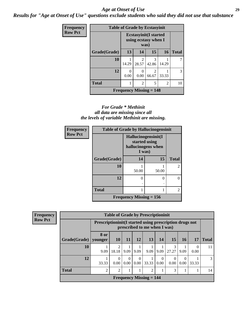#### *Age at Onset of Use* **29**

*Results for "Age at Onset of Use" questions exclude students who said they did not use that substance*

| Frequency      | <b>Table of Grade by Ecstasyinit</b>                          |                                |                         |                         |                |              |  |
|----------------|---------------------------------------------------------------|--------------------------------|-------------------------|-------------------------|----------------|--------------|--|
| <b>Row Pct</b> | <b>Ecstasyinit</b> (I started<br>using ecstasy when I<br>was) |                                |                         |                         |                |              |  |
|                | Grade(Grade)                                                  | 13                             | 14                      | 15                      | <b>16</b>      | <b>Total</b> |  |
|                | 10                                                            | 14.29                          | $\overline{2}$<br>28.57 | 3<br>42.86              | 14.29          | 7            |  |
|                | 12                                                            | 0<br>0.00                      | $\Omega$<br>0.00        | $\overline{c}$<br>66.67 | 33.33          | 3            |  |
|                | <b>Total</b>                                                  |                                | $\overline{2}$          | 5                       | $\overline{c}$ | 10           |  |
|                |                                                               | <b>Frequency Missing = 148</b> |                         |                         |                |              |  |

#### *For Grade \* Methinit all data are missing since all the levels of variable Methinit are missing.*

| <b>Frequency</b> | <b>Table of Grade by Hallucinogensinit</b> |                                                                      |                   |                |  |  |
|------------------|--------------------------------------------|----------------------------------------------------------------------|-------------------|----------------|--|--|
| <b>Row Pct</b>   |                                            | Hallucinogensinit(I<br>started using<br>hallucinogens when<br>I was) |                   |                |  |  |
|                  | Grade(Grade)                               | 14                                                                   | 15                | <b>Total</b>   |  |  |
|                  | 10                                         | 50.00                                                                | 50.00             | $\mathfrak{D}$ |  |  |
|                  | 12                                         | 0                                                                    | $\mathbf{\Omega}$ |                |  |  |
|                  | <b>Total</b>                               |                                                                      |                   | $\mathfrak{D}$ |  |  |
|                  |                                            | Frequency Missing $= 156$                                            |                   |                |  |  |

| <b>Frequency</b> | <b>Table of Grade by Prescriptioninit</b> |                 |                                                                                         |                  |                  |                                             |                            |                  |                  |                  |              |
|------------------|-------------------------------------------|-----------------|-----------------------------------------------------------------------------------------|------------------|------------------|---------------------------------------------|----------------------------|------------------|------------------|------------------|--------------|
| <b>Row Pct</b>   |                                           |                 | Prescriptioninit(I started using prescription drugs not<br>prescribed to me when I was) |                  |                  |                                             |                            |                  |                  |                  |              |
|                  | Grade(Grade)                              | 8 or<br>younger | 10                                                                                      | <b>11</b>        | 12               | 13                                          | 14                         | <b>15</b>        | 16               | 17               | <b>Total</b> |
|                  | <b>10</b>                                 | 9.09            | 18.18                                                                                   | 9.09             | 9.09             | 9.09                                        | 9.09                       | 3<br>27.27       | 9.09             | $\theta$<br>0.00 | 11           |
|                  | 12                                        | 33.33           | 0<br>$0.00^{\circ}$                                                                     | $\Omega$<br>0.00 | $\Omega$<br>0.00 | 33.33                                       | $\left($<br>$0.00^{\circ}$ | $\Omega$<br>0.00 | $\Omega$<br>0.00 | 33.33            | 3            |
|                  | <b>Total</b>                              | $\overline{2}$  | $\mathfrak{D}$                                                                          |                  |                  | $\mathfrak{D}$                              |                            | 3                |                  |                  | 14           |
|                  |                                           |                 |                                                                                         |                  |                  | <b>Frequency Missing <math>= 144</math></b> |                            |                  |                  |                  |              |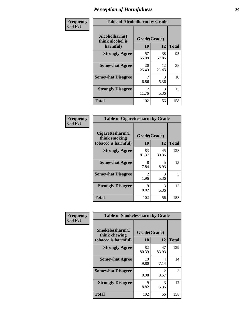| Frequency      | <b>Table of Alcoholharm by Grade</b>          |                    |             |              |
|----------------|-----------------------------------------------|--------------------|-------------|--------------|
| <b>Col Pct</b> | Alcoholharm(I<br>think alcohol is<br>harmful) | Grade(Grade)<br>10 | 12          | <b>Total</b> |
|                | <b>Strongly Agree</b>                         | 57<br>55.88        | 38<br>67.86 | 95           |
|                | <b>Somewhat Agree</b>                         | 26<br>25.49        | 12<br>21.43 | 38           |
|                | <b>Somewhat Disagree</b>                      | 7<br>6.86          | 3<br>5.36   | 10           |
|                | <b>Strongly Disagree</b>                      | 12<br>11.76        | 3<br>5.36   | 15           |
|                | <b>Total</b>                                  | 102                | 56          | 158          |

| <b>Table of Cigarettesharm by Grade</b>                  |                           |             |              |  |  |  |  |
|----------------------------------------------------------|---------------------------|-------------|--------------|--|--|--|--|
| Cigarettesharm(I<br>think smoking<br>tobacco is harmful) | Grade(Grade)<br><b>10</b> | 12          | <b>Total</b> |  |  |  |  |
| <b>Strongly Agree</b>                                    | 83<br>81.37               | 45<br>80.36 | 128          |  |  |  |  |
| <b>Somewhat Agree</b>                                    | 8<br>7.84                 | 5<br>8.93   | 13           |  |  |  |  |
| <b>Somewhat Disagree</b>                                 | 2<br>1.96                 | 3<br>5.36   | 5            |  |  |  |  |
| <b>Strongly Disagree</b>                                 | 9<br>8.82                 | 3<br>5.36   | 12           |  |  |  |  |
| <b>Total</b>                                             | 102                       | 56          | 158          |  |  |  |  |

| Frequency      |                                                         | <b>Table of Smokelessharm by Grade</b> |                        |              |  |  |  |
|----------------|---------------------------------------------------------|----------------------------------------|------------------------|--------------|--|--|--|
| <b>Col Pct</b> | Smokelessharm(I<br>think chewing<br>tobacco is harmful) | Grade(Grade)<br>12<br><b>10</b>        |                        | <b>Total</b> |  |  |  |
|                | <b>Strongly Agree</b>                                   | 82<br>80.39                            | 47<br>83.93            | 129          |  |  |  |
|                | <b>Somewhat Agree</b>                                   | 10<br>9.80                             | 4<br>7.14              | 14           |  |  |  |
|                | <b>Somewhat Disagree</b>                                | 0.98                                   | $\mathfrak{D}$<br>3.57 | 3            |  |  |  |
|                | <b>Strongly Disagree</b>                                | 9<br>8.82                              | 3<br>5.36              | 12           |  |  |  |
|                | <b>Total</b>                                            | 102                                    | 56                     | 158          |  |  |  |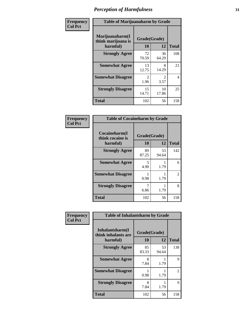| Frequency      | <b>Table of Marijuanaharm by Grade</b>            |                    |                        |              |  |
|----------------|---------------------------------------------------|--------------------|------------------------|--------------|--|
| <b>Col Pct</b> | Marijuanaharm(I<br>think marijuana is<br>harmful) | Grade(Grade)<br>10 | 12                     | <b>Total</b> |  |
|                | <b>Strongly Agree</b>                             | 72<br>70.59        | 36<br>64.29            | 108          |  |
|                | <b>Somewhat Agree</b>                             | 13<br>12.75        | 8<br>14.29             | 21           |  |
|                | <b>Somewhat Disagree</b>                          | 2<br>1.96          | $\mathfrak{D}$<br>3.57 | 4            |  |
|                | <b>Strongly Disagree</b>                          | 15<br>14.71        | 10<br>17.86            | 25           |  |
|                | <b>Total</b>                                      | 102                | 56                     | 158          |  |

| <b>Table of Cocaineharm by Grade</b>          |                    |             |                |  |  |  |  |
|-----------------------------------------------|--------------------|-------------|----------------|--|--|--|--|
| Cocaineharm(I<br>think cocaine is<br>harmful) | Grade(Grade)<br>10 | 12          | <b>Total</b>   |  |  |  |  |
| <b>Strongly Agree</b>                         | 89<br>87.25        | 53<br>94.64 | 142            |  |  |  |  |
| <b>Somewhat Agree</b>                         | 5<br>4.90          | 1.79        | 6              |  |  |  |  |
| <b>Somewhat Disagree</b>                      | 0.98               | 1.79        | $\overline{2}$ |  |  |  |  |
| <b>Strongly Disagree</b>                      | 7<br>6.86          | 1.79        | 8              |  |  |  |  |
| <b>Total</b>                                  | 102                | 56          | 158            |  |  |  |  |

| Frequency      | <b>Table of Inhalantsharm by Grade</b>             |                          |             |              |  |  |  |
|----------------|----------------------------------------------------|--------------------------|-------------|--------------|--|--|--|
| <b>Col Pct</b> | Inhalantsharm(I<br>think inhalants are<br>harmful) | Grade(Grade)<br>12<br>10 |             | <b>Total</b> |  |  |  |
|                | <b>Strongly Agree</b>                              | 85<br>83.33              | 53<br>94.64 | 138          |  |  |  |
|                | <b>Somewhat Agree</b>                              | 8<br>7.84                | 1.79        | 9            |  |  |  |
|                | <b>Somewhat Disagree</b>                           | 0.98                     | 1.79        | 2            |  |  |  |
|                | <b>Strongly Disagree</b>                           | 8<br>7.84                | 1.79        | 9            |  |  |  |
|                | <b>Total</b>                                       | 102                      | 56          | 158          |  |  |  |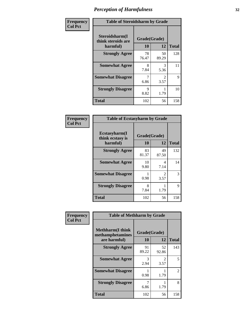| Frequency      | <b>Table of Steroidsharm by Grade</b>            |                    |                        |              |  |
|----------------|--------------------------------------------------|--------------------|------------------------|--------------|--|
| <b>Col Pct</b> | Steroidsharm(I<br>think steroids are<br>harmful) | Grade(Grade)<br>10 | 12                     | <b>Total</b> |  |
|                | <b>Strongly Agree</b>                            | 78<br>76.47        | 50<br>89.29            | 128          |  |
|                | <b>Somewhat Agree</b>                            | 8<br>7.84          | 3<br>5.36              | 11           |  |
|                | <b>Somewhat Disagree</b>                         | 6.86               | $\mathfrak{D}$<br>3.57 | 9            |  |
|                | <b>Strongly Disagree</b>                         | 9<br>8.82          | 1.79                   | 10           |  |
|                | <b>Total</b>                                     | 102                | 56                     | 158          |  |

| <b>Table of Ecstasyharm by Grade</b>          |                    |                        |              |  |  |  |  |
|-----------------------------------------------|--------------------|------------------------|--------------|--|--|--|--|
| Ecstasyharm(I<br>think ecstasy is<br>harmful) | Grade(Grade)<br>10 | 12                     | <b>Total</b> |  |  |  |  |
| <b>Strongly Agree</b>                         | 83<br>81.37        | 49<br>87.50            | 132          |  |  |  |  |
| <b>Somewhat Agree</b>                         | 10<br>9.80         | 4<br>7.14              | 14           |  |  |  |  |
| <b>Somewhat Disagree</b>                      | 0.98               | $\mathfrak{D}$<br>3.57 | 3            |  |  |  |  |
| <b>Strongly Disagree</b>                      | 8<br>7.84          | 1.79                   | 9            |  |  |  |  |
| <b>Total</b>                                  | 102                | 56                     | 158          |  |  |  |  |

| Frequency      | <b>Table of Methharm by Grade</b>                           |                    |                        |              |  |
|----------------|-------------------------------------------------------------|--------------------|------------------------|--------------|--|
| <b>Col Pct</b> | <b>Methharm(I think</b><br>methamphetamines<br>are harmful) | Grade(Grade)<br>10 | 12                     | <b>Total</b> |  |
|                | <b>Strongly Agree</b>                                       | 91<br>89.22        | 52<br>92.86            | 143          |  |
|                | <b>Somewhat Agree</b>                                       | 3<br>2.94          | $\mathfrak{D}$<br>3.57 | 5            |  |
|                | <b>Somewhat Disagree</b>                                    | 0.98               | 1.79                   | 2            |  |
|                | <b>Strongly Disagree</b>                                    | 6.86               | 1.79                   | 8            |  |
|                | <b>Total</b>                                                | 102                | 56                     | 158          |  |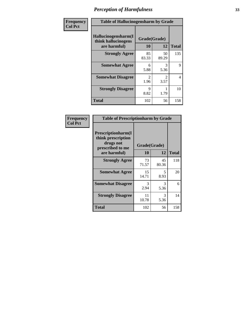| Frequency      | <b>Table of Hallucinogensharm by Grade</b>                 |                       |                       |              |
|----------------|------------------------------------------------------------|-----------------------|-----------------------|--------------|
| <b>Col Pct</b> | Hallucinogensharm(I<br>think hallucinogens<br>are harmful) | Grade(Grade)<br>10    | 12                    | <b>Total</b> |
|                | <b>Strongly Agree</b>                                      | 85<br>83.33           | 50<br>89.29           | 135          |
|                | <b>Somewhat Agree</b>                                      | 6<br>5.88             | 3<br>5.36             | 9            |
|                | <b>Somewhat Disagree</b>                                   | $\mathcal{L}$<br>1.96 | $\mathcal{L}$<br>3.57 | 4            |
|                | <b>Strongly Disagree</b>                                   | 9<br>8.82             | 1.79                  | 10           |
|                | <b>Total</b>                                               | 102                   | 56                    | 158          |

| Frequency<br>  Col Pct |
|------------------------|

| <b>Table of Prescriptionharm by Grade</b>                                         |             |              |              |  |  |  |
|-----------------------------------------------------------------------------------|-------------|--------------|--------------|--|--|--|
| <b>Prescriptionharm(I)</b><br>think prescription<br>drugs not<br>prescribed to me |             | Grade(Grade) |              |  |  |  |
| are harmful)                                                                      | 10          | 12           | <b>Total</b> |  |  |  |
| <b>Strongly Agree</b>                                                             | 73<br>71.57 | 45<br>80.36  | 118          |  |  |  |
| <b>Somewhat Agree</b>                                                             | 15<br>14.71 | 5<br>8.93    | 20           |  |  |  |
| <b>Somewhat Disagree</b>                                                          | 3<br>2.94   | 3<br>5.36    | 6            |  |  |  |
| <b>Strongly Disagree</b>                                                          | 11<br>10.78 | 3<br>5.36    | 14           |  |  |  |
| <b>Total</b>                                                                      | 102         | 56           | 158          |  |  |  |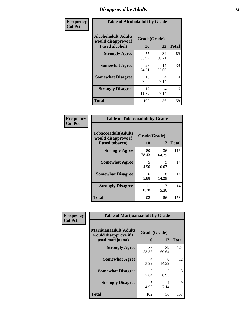## *Disapproval by Adults* **34**

| Frequency      | <b>Table of Alcoholadult by Grade</b>                                 |                    |             |              |
|----------------|-----------------------------------------------------------------------|--------------------|-------------|--------------|
| <b>Col Pct</b> | <b>Alcoholadult</b> (Adults<br>would disapprove if<br>I used alcohol) | Grade(Grade)<br>10 | 12          | <b>Total</b> |
|                | <b>Strongly Agree</b>                                                 | 55<br>53.92        | 34<br>60.71 | 89           |
|                | <b>Somewhat Agree</b>                                                 | 25<br>24.51        | 14<br>25.00 | 39           |
|                | <b>Somewhat Disagree</b>                                              | 10<br>9.80         | 4<br>7.14   | 14           |
|                | <b>Strongly Disagree</b>                                              | 12<br>11.76        | 4<br>7.14   | 16           |
|                | <b>Total</b>                                                          | 102                | 56          | 158          |

| <b>Table of Tobaccoadult by Grade</b>                         |              |             |     |  |  |  |  |
|---------------------------------------------------------------|--------------|-------------|-----|--|--|--|--|
| Tobaccoadult(Adults<br>would disapprove if<br>I used tobacco) | <b>Total</b> |             |     |  |  |  |  |
| <b>Strongly Agree</b>                                         | 80<br>78.43  | 36<br>64.29 | 116 |  |  |  |  |
| <b>Somewhat Agree</b>                                         | 5<br>4.90    | 9<br>16.07  | 14  |  |  |  |  |
| <b>Somewhat Disagree</b>                                      | 6<br>5.88    | 8<br>14.29  | 14  |  |  |  |  |
| <b>Strongly Disagree</b>                                      | 11<br>10.78  | 3<br>5.36   | 14  |  |  |  |  |
| <b>Total</b>                                                  | 102          | 56          | 158 |  |  |  |  |

| Frequency      | <b>Table of Marijuanaadult by Grade</b>                           |                    |             |              |
|----------------|-------------------------------------------------------------------|--------------------|-------------|--------------|
| <b>Col Pct</b> | Marijuanaadult(Adults<br>would disapprove if I<br>used marijuana) | Grade(Grade)<br>10 | 12          | <b>Total</b> |
|                | <b>Strongly Agree</b>                                             | 85<br>83.33        | 39<br>69.64 | 124          |
|                | <b>Somewhat Agree</b>                                             | 4<br>3.92          | 8<br>14.29  | 12           |
|                | <b>Somewhat Disagree</b>                                          | 8<br>7.84          | 5<br>8.93   | 13           |
|                | <b>Strongly Disagree</b>                                          | 5<br>4.90          | 4<br>7.14   | 9            |
|                | <b>Total</b>                                                      | 102                | 56          | 158          |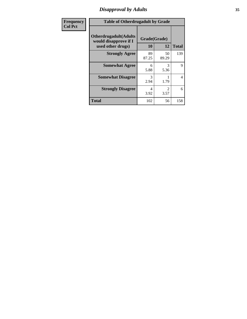## *Disapproval by Adults* **35**

| <b>Frequency</b> | <b>Table of Otherdrugadult by Grade</b>                                     |                    |             |              |
|------------------|-----------------------------------------------------------------------------|--------------------|-------------|--------------|
| <b>Col Pct</b>   | <b>Otherdrugadult</b> (Adults<br>would disapprove if I<br>used other drugs) | Grade(Grade)<br>10 | 12          | <b>Total</b> |
|                  | <b>Strongly Agree</b>                                                       | 89<br>87.25        | 50<br>89.29 | 139          |
|                  | <b>Somewhat Agree</b>                                                       | 6<br>5.88          | 3<br>5.36   | 9            |
|                  | <b>Somewhat Disagree</b>                                                    | 3<br>2.94          | 1.79        | 4            |
|                  | <b>Strongly Disagree</b>                                                    | 4<br>3.92          | 2<br>3.57   | 6            |
|                  | <b>Total</b>                                                                | 102                | 56          | 158          |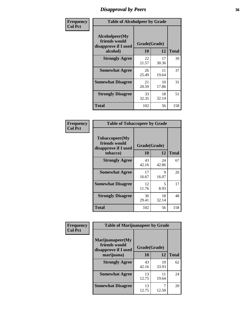## *Disapproval by Peers* **36**

| Frequency      | <b>Table of Alcoholpeer by Grade</b>                    |              |             |              |
|----------------|---------------------------------------------------------|--------------|-------------|--------------|
| <b>Col Pct</b> | Alcoholpeer(My<br>friends would<br>disapprove if I used | Grade(Grade) |             |              |
|                | alcohol)                                                | 10           | 12          | <b>Total</b> |
|                | <b>Strongly Agree</b>                                   | 22<br>21.57  | 17<br>30.36 | 39           |
|                | <b>Somewhat Agree</b>                                   | 26<br>25.49  | 11<br>19.64 | 37           |
|                | <b>Somewhat Disagree</b>                                | 21<br>20.59  | 10<br>17.86 | 31           |
|                | <b>Strongly Disagree</b>                                | 33<br>32.35  | 18<br>32.14 | 51           |
|                | Total                                                   | 102          | 56          | 158          |

| Frequency      | <b>Table of Tobaccopeer by Grade</b>                                |                    |             |              |
|----------------|---------------------------------------------------------------------|--------------------|-------------|--------------|
| <b>Col Pct</b> | Tobaccopeer(My<br>friends would<br>disapprove if I used<br>tobacco) | Grade(Grade)<br>10 | 12          | <b>Total</b> |
|                | <b>Strongly Agree</b>                                               | 43<br>42.16        | 24<br>42.86 | 67           |
|                | <b>Somewhat Agree</b>                                               | 17<br>16.67        | 9<br>16.07  | 26           |
|                | <b>Somewhat Disagree</b>                                            | 12<br>11.76        | 5<br>8.93   | 17           |
|                | <b>Strongly Disagree</b>                                            | 30<br>29.41        | 18<br>32.14 | 48           |
|                | Total                                                               | 102                | 56          | 158          |

| Frequency      | <b>Table of Marijuanapeer by Grade</b>                    |              |             |              |
|----------------|-----------------------------------------------------------|--------------|-------------|--------------|
| <b>Col Pct</b> | Marijuanapeer(My<br>friends would<br>disapprove if I used | Grade(Grade) |             |              |
|                | marijuana)                                                | <b>10</b>    | 12          | <b>Total</b> |
|                | <b>Strongly Agree</b>                                     | 43<br>42.16  | 19<br>33.93 | 62           |
|                | <b>Somewhat Agree</b>                                     | 13<br>12.75  | 11<br>19.64 | 24           |
|                | <b>Somewhat Disagree</b>                                  | 13<br>12.75  | 12.50       | 20           |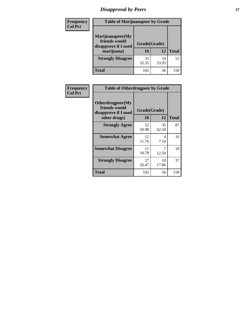# *Disapproval by Peers* **37**

| <b>Frequency</b> | <b>Table of Marijuanapeer by Grade</b>                                  |                           |             |              |  |
|------------------|-------------------------------------------------------------------------|---------------------------|-------------|--------------|--|
| <b>Col Pct</b>   | Marijuanapeer(My<br>friends would<br>disapprove if I used<br>marijuana) | Grade(Grade)<br><b>10</b> | 12          | <b>Total</b> |  |
|                  | <b>Strongly Disagree</b>                                                | 33<br>32.35               | 19<br>33.93 | 52           |  |
|                  | <b>Total</b>                                                            | 102                       | 56          | 158          |  |

| Frequency      | <b>Table of Otherdrugpeer by Grade</b>                                    |                    |             |              |
|----------------|---------------------------------------------------------------------------|--------------------|-------------|--------------|
| <b>Col Pct</b> | Otherdrugpeer(My<br>friends would<br>disapprove if I used<br>other drugs) | Grade(Grade)<br>10 | 12          | <b>Total</b> |
|                | <b>Strongly Agree</b>                                                     | 52<br>50.98        | 35<br>62.50 | 87           |
|                | <b>Somewhat Agree</b>                                                     | 12<br>11.76        | 4<br>7.14   | 16           |
|                | <b>Somewhat Disagree</b>                                                  | 11<br>10.78        | 7<br>12.50  | 18           |
|                | <b>Strongly Disagree</b>                                                  | 27<br>26.47        | 10<br>17.86 | 37           |
|                | <b>Total</b>                                                              | 102                | 56          | 158          |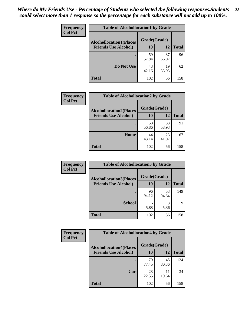| Frequency      | <b>Table of Alcohollocation1 by Grade</b> |              |             |              |
|----------------|-------------------------------------------|--------------|-------------|--------------|
| <b>Col Pct</b> | <b>Alcohollocation1(Places</b>            | Grade(Grade) |             |              |
|                | <b>Friends Use Alcohol)</b>               | 10           | 12          | <b>Total</b> |
|                |                                           | 59<br>57.84  | 37<br>66.07 | 96           |
|                | Do Not Use                                | 43<br>42.16  | 19<br>33.93 | 62           |
|                | <b>Total</b>                              | 102          | 56          | 158          |

| Frequency      | <b>Table of Alcohollocation2 by Grade</b>                     |                    |             |              |
|----------------|---------------------------------------------------------------|--------------------|-------------|--------------|
| <b>Col Pct</b> | <b>Alcohollocation2(Places</b><br><b>Friends Use Alcohol)</b> | Grade(Grade)<br>10 | <b>12</b>   | <b>Total</b> |
|                |                                                               | 58<br>56.86        | 33<br>58.93 | 91           |
|                | Home                                                          | 44<br>43.14        | 23<br>41.07 | 67           |
|                | <b>Total</b>                                                  | 102                | 56          | 158          |

| Frequency<br><b>Col Pct</b> | <b>Table of Alcohollocation 3 by Grade</b>                    |                    |             |              |  |
|-----------------------------|---------------------------------------------------------------|--------------------|-------------|--------------|--|
|                             | <b>Alcohollocation3(Places</b><br><b>Friends Use Alcohol)</b> | Grade(Grade)<br>10 | 12          | <b>Total</b> |  |
|                             |                                                               | 96<br>94.12        | 53<br>94.64 | 149          |  |
|                             | <b>School</b>                                                 | 6<br>5.88          | 3<br>5.36   | Q            |  |
|                             | <b>Total</b>                                                  | 102                | 56          | 158          |  |

| <b>Frequency</b> | <b>Table of Alcohollocation4 by Grade</b> |                                                |             |              |  |
|------------------|-------------------------------------------|------------------------------------------------|-------------|--------------|--|
| <b>Col Pct</b>   |                                           | Grade(Grade)<br><b>Alcohollocation4(Places</b> |             |              |  |
|                  | <b>Friends Use Alcohol)</b>               | 10                                             | 12          | <b>Total</b> |  |
|                  |                                           | 79<br>77.45                                    | 45<br>80.36 | 124          |  |
|                  | Car                                       | 23<br>22.55                                    | 11<br>19.64 | 34           |  |
|                  | <b>Total</b>                              | 102                                            | 56          | 158          |  |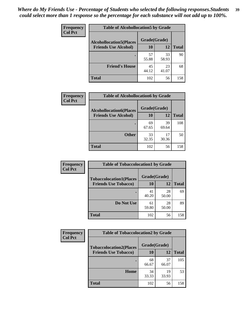| Frequency<br><b>Col Pct</b> | <b>Table of Alcohollocation5 by Grade</b> |              |             |              |  |
|-----------------------------|-------------------------------------------|--------------|-------------|--------------|--|
|                             | <b>Alcohollocation5(Places</b>            | Grade(Grade) |             |              |  |
|                             | <b>Friends Use Alcohol)</b>               | 10           | 12          | <b>Total</b> |  |
|                             |                                           | 57<br>55.88  | 33<br>58.93 | 90           |  |
|                             | <b>Friend's House</b>                     | 45<br>44.12  | 23<br>41.07 | 68           |  |
|                             | <b>Total</b>                              | 102          | 56          | 158          |  |

| <b>Frequency</b> | <b>Table of Alcohollocation6 by Grade</b> |              |             |              |
|------------------|-------------------------------------------|--------------|-------------|--------------|
| <b>Col Pct</b>   | <b>Alcohollocation6(Places</b>            | Grade(Grade) |             |              |
|                  | <b>Friends Use Alcohol)</b>               | 10           | 12          | <b>Total</b> |
|                  |                                           | 69<br>67.65  | 39<br>69.64 | 108          |
|                  | <b>Other</b>                              | 33<br>32.35  | 17<br>30.36 | 50           |
|                  | <b>Total</b>                              | 102          | 56          | 158          |

| Frequency      | <b>Table of Tobaccolocation1 by Grade</b> |              |             |              |
|----------------|-------------------------------------------|--------------|-------------|--------------|
| <b>Col Pct</b> | <b>Tobaccolocation1(Places</b>            | Grade(Grade) |             |              |
|                | <b>Friends Use Tobacco)</b>               | 10           | <b>12</b>   | <b>Total</b> |
|                |                                           | 41<br>40.20  | 28<br>50.00 | 69           |
|                | Do Not Use                                | 61<br>59.80  | 28<br>50.00 | 89           |
|                | <b>Total</b>                              | 102          | 56          | 158          |

| Frequency      | <b>Table of Tobaccolocation2 by Grade</b> |              |             |              |  |
|----------------|-------------------------------------------|--------------|-------------|--------------|--|
| <b>Col Pct</b> | <b>Tobaccolocation2(Places</b>            | Grade(Grade) |             |              |  |
|                | <b>Friends Use Tobacco)</b>               | 10           | 12          | <b>Total</b> |  |
|                |                                           | 68<br>66.67  | 37<br>66.07 | 105          |  |
|                | Home                                      | 34<br>33.33  | 19<br>33.93 | 53           |  |
|                | <b>Total</b>                              | 102          | 56          | 158          |  |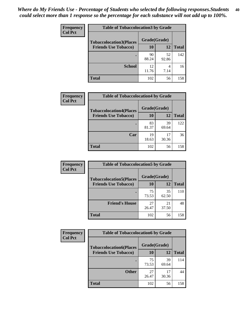| Frequency      | <b>Table of Tobaccolocation 3 by Grade</b> |              |             |              |
|----------------|--------------------------------------------|--------------|-------------|--------------|
| <b>Col Pct</b> | <b>Tobaccolocation3(Places</b>             | Grade(Grade) |             |              |
|                | <b>Friends Use Tobacco)</b>                | 10           | <b>12</b>   | <b>Total</b> |
|                | ٠                                          | 90<br>88.24  | 52<br>92.86 | 142          |
|                | <b>School</b>                              | 12<br>11.76  | 4<br>7.14   | 16           |
|                | <b>Total</b>                               | 102          | 56          | 158          |

| Frequency      | <b>Table of Tobaccolocation4 by Grade</b>                     |                           |             |              |
|----------------|---------------------------------------------------------------|---------------------------|-------------|--------------|
| <b>Col Pct</b> | <b>Tobaccolocation4(Places</b><br><b>Friends Use Tobacco)</b> | Grade(Grade)<br><b>10</b> | 12          | <b>Total</b> |
|                |                                                               | 83<br>81.37               | 39<br>69.64 | 122          |
|                | Car                                                           | 19<br>18.63               | 17<br>30.36 | 36           |
|                | <b>Total</b>                                                  | 102                       | 56          | 158          |

| Frequency<br><b>Col Pct</b> | <b>Table of Tobaccolocation5 by Grade</b>                     |                    |             |              |
|-----------------------------|---------------------------------------------------------------|--------------------|-------------|--------------|
|                             | <b>Tobaccolocation5(Places</b><br><b>Friends Use Tobacco)</b> | Grade(Grade)<br>10 | 12          | <b>Total</b> |
|                             |                                                               |                    |             |              |
|                             |                                                               | 75<br>73.53        | 35<br>62.50 | 110          |
|                             | <b>Friend's House</b>                                         | 27<br>26.47        | 21<br>37.50 | 48           |
|                             | <b>Total</b>                                                  | 102                | 56          | 158          |

| <b>Frequency</b> | <b>Table of Tobaccolocation6 by Grade</b> |              |             |              |
|------------------|-------------------------------------------|--------------|-------------|--------------|
| <b>Col Pct</b>   | <b>Tobaccolocation6(Places</b>            | Grade(Grade) |             |              |
|                  | <b>Friends Use Tobacco)</b>               | 10           | 12          | <b>Total</b> |
|                  |                                           | 75<br>73.53  | 39<br>69.64 | 114          |
|                  | <b>Other</b>                              | 27<br>26.47  | 17<br>30.36 | 44           |
|                  | <b>Total</b>                              | 102          | 56          | 158          |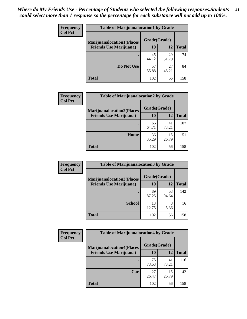| Frequency<br><b>Col Pct</b> | <b>Table of Marijuanalocation1 by Grade</b> |              |             |              |
|-----------------------------|---------------------------------------------|--------------|-------------|--------------|
|                             | <b>Marijuanalocation1(Places</b>            | Grade(Grade) |             |              |
|                             | <b>Friends Use Marijuana</b> )              | <b>10</b>    | 12          | <b>Total</b> |
|                             |                                             | 45<br>44.12  | 29<br>51.79 | 74           |
|                             | Do Not Use                                  | 57<br>55.88  | 27<br>48.21 | 84           |
|                             | <b>Total</b>                                | 102          | 56          | 158          |

| <b>Frequency</b> | <b>Table of Marijuanalocation2 by Grade</b>                        |                    |             |              |  |
|------------------|--------------------------------------------------------------------|--------------------|-------------|--------------|--|
| <b>Col Pct</b>   | <b>Marijuanalocation2(Places</b><br><b>Friends Use Marijuana</b> ) | Grade(Grade)<br>10 | 12          | <b>Total</b> |  |
|                  |                                                                    | 66<br>64.71        | 41<br>73.21 | 107          |  |
|                  | Home                                                               | 36<br>35.29        | 15<br>26.79 | 51           |  |
|                  | <b>Total</b>                                                       | 102                | 56          | 158          |  |

| <b>Frequency</b><br><b>Col Pct</b> | <b>Table of Marijuanalocation3 by Grade</b>                         |                           |             |              |
|------------------------------------|---------------------------------------------------------------------|---------------------------|-------------|--------------|
|                                    | <b>Marijuanalocation3</b> (Places<br><b>Friends Use Marijuana</b> ) | Grade(Grade)<br><b>10</b> | 12          | <b>Total</b> |
|                                    |                                                                     |                           |             |              |
|                                    |                                                                     | 89<br>87.25               | 53<br>94.64 | 142          |
|                                    | <b>School</b>                                                       | 13<br>12.75               | 5.36        | 16           |
|                                    | <b>Total</b>                                                        | 102                       | 56          | 158          |

| <b>Frequency</b> | <b>Table of Marijuanalocation4 by Grade</b> |              |             |              |  |
|------------------|---------------------------------------------|--------------|-------------|--------------|--|
| <b>Col Pct</b>   | <b>Marijuanalocation4(Places</b>            | Grade(Grade) |             |              |  |
|                  | <b>Friends Use Marijuana</b> )              | <b>10</b>    | 12          | <b>Total</b> |  |
|                  |                                             | 75<br>73.53  | 41<br>73.21 | 116          |  |
|                  | Car                                         | 27<br>26.47  | 15<br>26.79 | 42           |  |
|                  | <b>Total</b>                                | 102          | 56          | 158          |  |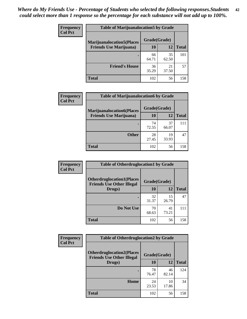| <b>Frequency</b> | <b>Table of Marijuanalocation5 by Grade</b>                         |              |             |              |
|------------------|---------------------------------------------------------------------|--------------|-------------|--------------|
| <b>Col Pct</b>   | <b>Marijuanalocation5</b> (Places<br><b>Friends Use Marijuana</b> ) | Grade(Grade) |             |              |
|                  |                                                                     | 10           | 12          | <b>Total</b> |
|                  |                                                                     | 66<br>64.71  | 35<br>62.50 | 101          |
|                  | <b>Friend's House</b>                                               | 36<br>35.29  | 21<br>37.50 | 57           |
|                  | <b>Total</b>                                                        | 102          | 56          | 158          |

| <b>Frequency</b> | <b>Table of Marijuanalocation6 by Grade</b>                        |                    |             |              |
|------------------|--------------------------------------------------------------------|--------------------|-------------|--------------|
| <b>Col Pct</b>   | <b>Marijuanalocation6(Places</b><br><b>Friends Use Marijuana</b> ) | Grade(Grade)<br>10 | 12          | <b>Total</b> |
|                  |                                                                    | 74<br>72.55        | 37<br>66.07 | 111          |
|                  | <b>Other</b>                                                       | 28<br>27.45        | 19<br>33.93 | 47           |
|                  | <b>Total</b>                                                       | 102                | 56          | 158          |

| <b>Frequency</b> | <b>Table of Otherdruglocation1 by Grade</b>                          |              |             |              |
|------------------|----------------------------------------------------------------------|--------------|-------------|--------------|
| <b>Col Pct</b>   | <b>Otherdruglocation1(Places</b><br><b>Friends Use Other Illegal</b> | Grade(Grade) |             |              |
|                  | Drugs)                                                               | 10           | 12          | <b>Total</b> |
|                  |                                                                      | 32<br>31.37  | 15<br>26.79 | 47           |
|                  | Do Not Use                                                           | 70<br>68.63  | 41<br>73.21 | 111          |
|                  | <b>Total</b>                                                         | 102          | 56          | 158          |

| <b>Frequency</b> | <b>Table of Otherdruglocation2 by Grade</b>                          |              |             |              |
|------------------|----------------------------------------------------------------------|--------------|-------------|--------------|
| <b>Col Pct</b>   | <b>Otherdruglocation2(Places</b><br><b>Friends Use Other Illegal</b> | Grade(Grade) |             |              |
|                  | Drugs)                                                               | <b>10</b>    | 12          | <b>Total</b> |
|                  |                                                                      | 78<br>76.47  | 46<br>82.14 | 124          |
|                  | Home                                                                 | 24<br>23.53  | 10<br>17.86 | 34           |
|                  | <b>Total</b>                                                         | 102          | 56          | 158          |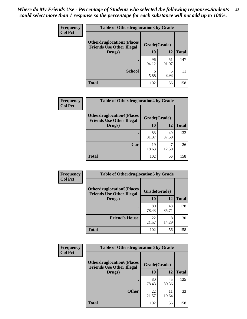| <b>Frequency</b> | <b>Table of Otherdruglocation 3 by Grade</b> |              |             |              |  |
|------------------|----------------------------------------------|--------------|-------------|--------------|--|
| <b>Col Pct</b>   | <b>Otherdruglocation3(Places</b>             | Grade(Grade) |             |              |  |
|                  | <b>Friends Use Other Illegal</b><br>Drugs)   | 10           | 12          | <b>Total</b> |  |
|                  |                                              | 96<br>94.12  | 51<br>91.07 | 147          |  |
|                  | <b>School</b>                                | 6<br>5.88    | 8.93        |              |  |
|                  | <b>Total</b>                                 | 102          | 56          | 158          |  |

| <b>Frequency</b> | <b>Table of Otherdruglocation4 by Grade</b>                          |              |             |              |
|------------------|----------------------------------------------------------------------|--------------|-------------|--------------|
| <b>Col Pct</b>   | <b>Otherdruglocation4(Places</b><br><b>Friends Use Other Illegal</b> | Grade(Grade) |             |              |
|                  | Drugs)                                                               | 10           | 12          | <b>Total</b> |
|                  |                                                                      | 83<br>81.37  | 49<br>87.50 | 132          |
|                  | Car                                                                  | 19<br>18.63  | 12.50       | 26           |
|                  | <b>Total</b>                                                         | 102          | 56          | 158          |

| Frequency      | <b>Table of Otherdruglocation5 by Grade</b>                          |              |             |              |
|----------------|----------------------------------------------------------------------|--------------|-------------|--------------|
| <b>Col Pct</b> | <b>Otherdruglocation5(Places</b><br><b>Friends Use Other Illegal</b> | Grade(Grade) |             |              |
|                | Drugs)                                                               | 10           | 12          | <b>Total</b> |
|                |                                                                      | 80<br>78.43  | 48<br>85.71 | 128          |
|                | <b>Friend's House</b>                                                | 22<br>21.57  | 8<br>14.29  | 30           |
|                | <b>Total</b>                                                         | 102          | 56          | 158          |

| <b>Frequency</b> | <b>Table of Otherdruglocation6 by Grade</b>                          |              |             |              |
|------------------|----------------------------------------------------------------------|--------------|-------------|--------------|
| <b>Col Pct</b>   | <b>Otherdruglocation6(Places</b><br><b>Friends Use Other Illegal</b> | Grade(Grade) |             |              |
|                  | Drugs)                                                               | <b>10</b>    | 12          | <b>Total</b> |
|                  |                                                                      | 80<br>78.43  | 45<br>80.36 | 125          |
|                  | <b>Other</b>                                                         | 22<br>21.57  | 11<br>19.64 | 33           |
|                  | Total                                                                | 102          | 56          | 158          |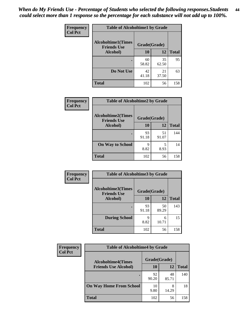| Frequency      | <b>Table of Alcoholtime1 by Grade</b>           |              |             |              |
|----------------|-------------------------------------------------|--------------|-------------|--------------|
| <b>Col Pct</b> | <b>Alcoholtime1(Times</b><br><b>Friends Use</b> | Grade(Grade) |             |              |
|                | Alcohol)                                        | 10           | 12          | <b>Total</b> |
|                |                                                 | 60<br>58.82  | 35<br>62.50 | 95           |
|                | Do Not Use                                      | 42<br>41.18  | 21<br>37.50 | 63           |
|                | <b>Total</b>                                    | 102          | 56          | 158          |

| Frequency      | <b>Table of Alcoholtime2 by Grade</b>           |              |             |              |
|----------------|-------------------------------------------------|--------------|-------------|--------------|
| <b>Col Pct</b> | <b>Alcoholtime2(Times</b><br><b>Friends Use</b> | Grade(Grade) |             |              |
|                | Alcohol)                                        | 10           | 12          | <b>Total</b> |
|                |                                                 | 93<br>91.18  | 51<br>91.07 | 144          |
|                | <b>On Way to School</b>                         | q<br>8.82    | 5<br>8.93   | 14           |
|                | <b>Total</b>                                    | 102          | 56          | 158          |

| Frequency<br><b>Col Pct</b> | <b>Table of Alcoholtime3 by Grade</b>           |              |             |              |  |
|-----------------------------|-------------------------------------------------|--------------|-------------|--------------|--|
|                             | <b>Alcoholtime3(Times</b><br><b>Friends Use</b> | Grade(Grade) |             |              |  |
|                             | Alcohol)                                        | 10           | 12          | <b>Total</b> |  |
|                             |                                                 | 93<br>91.18  | 50<br>89.29 | 143          |  |
|                             | <b>During School</b>                            | 9<br>8.82    | 6<br>10.71  | 15           |  |
|                             | <b>Total</b>                                    | 102          | 56          | 158          |  |

| <b>Frequency</b> | <b>Table of Alcoholtime4 by Grade</b> |              |             |              |  |
|------------------|---------------------------------------|--------------|-------------|--------------|--|
| <b>Col Pct</b>   | <b>Alcoholtime4(Times</b>             | Grade(Grade) |             |              |  |
|                  | <b>Friends Use Alcohol)</b>           | 10           | 12          | <b>Total</b> |  |
|                  |                                       | 92<br>90.20  | 48<br>85.71 | 140          |  |
|                  | <b>On Way Home From School</b>        | 10<br>9.80   | 8<br>14.29  | 18           |  |
|                  | <b>Total</b>                          | 102          | 56          | 158          |  |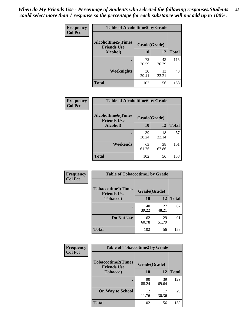*When do My Friends Use - Percentage of Students who selected the following responses.Students could select more than 1 response so the percentage for each substance will not add up to 100%.* **45**

| Frequency      | <b>Table of Alcoholtime5 by Grade</b>           |              |             |              |
|----------------|-------------------------------------------------|--------------|-------------|--------------|
| <b>Col Pct</b> | <b>Alcoholtime5(Times</b><br><b>Friends Use</b> | Grade(Grade) |             |              |
|                | Alcohol)                                        | 10           | 12          | <b>Total</b> |
|                | ٠                                               | 72<br>70.59  | 43<br>76.79 | 115          |
|                | Weeknights                                      | 30<br>29.41  | 13<br>23.21 | 43           |
|                | <b>Total</b>                                    | 102          | 56          | 158          |

| Frequency      | <b>Table of Alcoholtime6 by Grade</b>           |              |             |              |  |
|----------------|-------------------------------------------------|--------------|-------------|--------------|--|
| <b>Col Pct</b> | <b>Alcoholtime6(Times</b><br><b>Friends Use</b> | Grade(Grade) |             |              |  |
|                | Alcohol)                                        | 10           | 12          | <b>Total</b> |  |
|                |                                                 | 39<br>38.24  | 18<br>32.14 | 57           |  |
|                | Weekends                                        | 63<br>61.76  | 38<br>67.86 | 101          |  |
|                | <b>Total</b>                                    | 102          | 56          | 158          |  |

| Frequency      | <b>Table of Tobaccotime1 by Grade</b>           |              |             |              |
|----------------|-------------------------------------------------|--------------|-------------|--------------|
| <b>Col Pct</b> | <b>Tobaccotime1(Times</b><br><b>Friends Use</b> | Grade(Grade) |             |              |
|                | <b>Tobacco</b> )                                | 10           | 12          | <b>Total</b> |
|                | ٠                                               | 40<br>39.22  | 27<br>48.21 | 67           |
|                | Do Not Use                                      | 62<br>60.78  | 29<br>51.79 | 91           |
|                | <b>Total</b>                                    | 102          | 56          | 158          |

| Frequency      | <b>Table of Tobaccotime2 by Grade</b>           |              |             |              |
|----------------|-------------------------------------------------|--------------|-------------|--------------|
| <b>Col Pct</b> | <b>Tobaccotime2(Times</b><br><b>Friends Use</b> | Grade(Grade) |             |              |
|                | <b>Tobacco</b> )                                | 10           | 12          | <b>Total</b> |
|                | ٠                                               | 90<br>88.24  | 39<br>69.64 | 129          |
|                | <b>On Way to School</b>                         | 12<br>11.76  | 17<br>30.36 | 29           |
|                | <b>Total</b>                                    | 102          | 56          | 158          |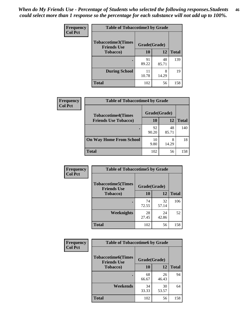*When do My Friends Use - Percentage of Students who selected the following responses.Students could select more than 1 response so the percentage for each substance will not add up to 100%.* **46**

| <b>Frequency</b> | <b>Table of Tobaccotime3 by Grade</b>           |              |             |              |  |
|------------------|-------------------------------------------------|--------------|-------------|--------------|--|
| <b>Col Pct</b>   | <b>Tobaccotime3(Times</b><br><b>Friends Use</b> | Grade(Grade) |             |              |  |
|                  | <b>Tobacco</b> )                                | 10           | 12          | <b>Total</b> |  |
|                  |                                                 | 91<br>89.22  | 48<br>85.71 | 139          |  |
|                  | <b>During School</b>                            | 11<br>10.78  | 8<br>14.29  | 19           |  |
|                  | <b>Total</b>                                    | 102          | 56          | 158          |  |

| <b>Frequency</b><br><b>Col Pct</b> | <b>Table of Tobaccotime4 by Grade</b> |              |             |              |  |
|------------------------------------|---------------------------------------|--------------|-------------|--------------|--|
|                                    | <b>Tobaccotime4(Times</b>             | Grade(Grade) |             |              |  |
|                                    | <b>Friends Use Tobacco)</b>           | 10           | 12          | <b>Total</b> |  |
|                                    |                                       | 92<br>90.20  | 48<br>85.71 | 140          |  |
|                                    | <b>On Way Home From School</b>        | 10<br>9.80   | 8<br>14.29  | 18           |  |
|                                    | <b>Total</b>                          | 102          | 56          | 158          |  |

| <b>Frequency</b> | <b>Table of Tobaccotime5 by Grade</b>           |              |             |              |
|------------------|-------------------------------------------------|--------------|-------------|--------------|
| <b>Col Pct</b>   | <b>Tobaccotime5(Times</b><br><b>Friends Use</b> | Grade(Grade) |             |              |
|                  | <b>Tobacco</b> )                                | 10           | 12          | <b>Total</b> |
|                  |                                                 | 74<br>72.55  | 32<br>57.14 | 106          |
|                  | Weeknights                                      | 28<br>27.45  | 24<br>42.86 | 52           |
|                  | <b>Total</b>                                    | 102          | 56          | 158          |

| Frequency      | <b>Table of Tobaccotime6 by Grade</b>           |              |             |              |
|----------------|-------------------------------------------------|--------------|-------------|--------------|
| <b>Col Pct</b> | <b>Tobaccotime6(Times</b><br><b>Friends Use</b> | Grade(Grade) |             |              |
|                | <b>Tobacco</b> )                                | 10           | 12          | <b>Total</b> |
|                | ٠                                               | 68<br>66.67  | 26<br>46.43 | 94           |
|                | Weekends                                        | 34<br>33.33  | 30<br>53.57 | 64           |
|                | <b>Total</b>                                    | 102          | 56          | 158          |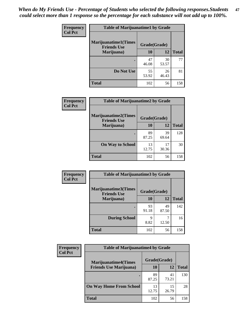| <b>Frequency</b> | <b>Table of Marijuanatime1 by Grade</b>           |              |             |              |  |
|------------------|---------------------------------------------------|--------------|-------------|--------------|--|
| <b>Col Pct</b>   | <b>Marijuanatime1(Times</b><br><b>Friends Use</b> | Grade(Grade) |             |              |  |
|                  | Marijuana)                                        | 10           | 12          | <b>Total</b> |  |
|                  |                                                   | 47<br>46.08  | 30<br>53.57 | 77           |  |
|                  | Do Not Use                                        | 55<br>53.92  | 26<br>46.43 | 81           |  |
|                  | <b>Total</b>                                      | 102          | 56          | 158          |  |

| Frequency      | <b>Table of Marijuanatime2 by Grade</b>           |              |             |              |  |
|----------------|---------------------------------------------------|--------------|-------------|--------------|--|
| <b>Col Pct</b> | <b>Marijuanatime2(Times</b><br><b>Friends Use</b> | Grade(Grade) |             |              |  |
|                | Marijuana)                                        | 10           | 12          | <b>Total</b> |  |
|                |                                                   | 89<br>87.25  | 39<br>69.64 | 128          |  |
|                | <b>On Way to School</b>                           | 13<br>12.75  | 17<br>30.36 | 30           |  |
|                | <b>Total</b>                                      | 102          | 56          | 158          |  |

| Frequency      | <b>Table of Marijuanatime3 by Grade</b>    |              |             |              |
|----------------|--------------------------------------------|--------------|-------------|--------------|
| <b>Col Pct</b> | Marijuanatime3(Times<br><b>Friends Use</b> | Grade(Grade) |             |              |
|                | Marijuana)                                 | 10           | 12          | <b>Total</b> |
|                |                                            | 93<br>91.18  | 49<br>87.50 | 142          |
|                | <b>During School</b>                       | 9<br>8.82    | 12.50       | 16           |
|                | <b>Total</b>                               | 102          | 56          | 158          |

| Frequency      | <b>Table of Marijuanatime4 by Grade</b> |              |             |              |  |
|----------------|-----------------------------------------|--------------|-------------|--------------|--|
| <b>Col Pct</b> | <b>Marijuanatime4(Times</b>             | Grade(Grade) |             |              |  |
|                | <b>Friends Use Marijuana</b> )          | 10           | 12          | <b>Total</b> |  |
|                |                                         | 89<br>87.25  | 41<br>73.21 | 130          |  |
|                | <b>On Way Home From School</b>          | 13<br>12.75  | 15<br>26.79 | 28           |  |
|                | <b>Total</b>                            | 102          | 56          | 158          |  |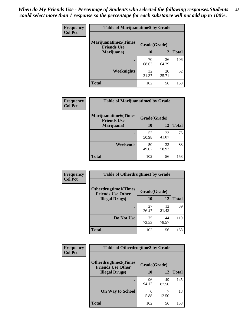| Frequency      | <b>Table of Marijuanatime5 by Grade</b>            |              |             |              |  |
|----------------|----------------------------------------------------|--------------|-------------|--------------|--|
| <b>Col Pct</b> | <b>Marijuanatime5</b> (Times<br><b>Friends Use</b> | Grade(Grade) |             |              |  |
|                | Marijuana)                                         | 10           | 12          | <b>Total</b> |  |
|                |                                                    | 70<br>68.63  | 36<br>64.29 | 106          |  |
|                | Weeknights                                         | 32<br>31.37  | 20<br>35.71 | 52           |  |
|                | <b>Total</b>                                       | 102          | 56          | 158          |  |

| Frequency      | <b>Table of Marijuanatime6 by Grade</b>            |              |             |              |
|----------------|----------------------------------------------------|--------------|-------------|--------------|
| <b>Col Pct</b> | <b>Marijuanatime6</b> (Times<br><b>Friends Use</b> | Grade(Grade) |             |              |
|                | Marijuana)                                         | 10           | 12          | <b>Total</b> |
|                |                                                    | 52<br>50.98  | 23<br>41.07 | 75           |
|                | Weekends                                           | 50<br>49.02  | 33<br>58.93 | 83           |
|                | <b>Total</b>                                       | 102          | 56          | 158          |

| <b>Frequency</b> | <b>Table of Otherdrugtime1 by Grade</b>                  |              |             |              |  |
|------------------|----------------------------------------------------------|--------------|-------------|--------------|--|
| <b>Col Pct</b>   | <b>Otherdrugtime1</b> (Times<br><b>Friends Use Other</b> | Grade(Grade) |             |              |  |
|                  | <b>Illegal Drugs</b> )                                   | 10           | 12          | <b>Total</b> |  |
|                  |                                                          | 27<br>26.47  | 12<br>21.43 | 39           |  |
|                  | Do Not Use                                               | 75<br>73.53  | 44<br>78.57 | 119          |  |
|                  | <b>Total</b>                                             | 102          | 56          | 158          |  |

| <b>Frequency</b><br><b>Col Pct</b> | <b>Table of Otherdrugtime2 by Grade</b>                 |              |             |              |  |
|------------------------------------|---------------------------------------------------------|--------------|-------------|--------------|--|
|                                    | <b>Otherdrugtime2(Times</b><br><b>Friends Use Other</b> | Grade(Grade) |             |              |  |
|                                    | <b>Illegal Drugs</b> )                                  | 10           | 12          | <b>Total</b> |  |
|                                    |                                                         | 96<br>94.12  | 49<br>87.50 | 145          |  |
|                                    | <b>On Way to School</b>                                 | 6<br>5.88    | 7<br>12.50  | 13           |  |
|                                    | Total                                                   | 102          | 56          | 158          |  |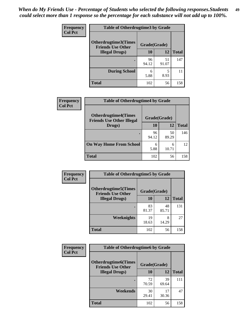| <b>Frequency</b> | <b>Table of Otherdrugtime3 by Grade</b>          |              |             |              |
|------------------|--------------------------------------------------|--------------|-------------|--------------|
| <b>Col Pct</b>   | Otherdrugtime3(Times<br><b>Friends Use Other</b> | Grade(Grade) |             |              |
|                  | <b>Illegal Drugs</b> )                           | 10           | 12          | <b>Total</b> |
|                  |                                                  | 96<br>94.12  | 51<br>91.07 | 147          |
|                  | <b>During School</b>                             | 6<br>5.88    | 5<br>8.93   | 11           |
|                  | <b>Total</b>                                     | 102          | 56          | 158          |

| Frequency      | <b>Table of Otherdrugtime4 by Grade</b>                         |              |             |              |
|----------------|-----------------------------------------------------------------|--------------|-------------|--------------|
| <b>Col Pct</b> | <b>Otherdrugtime4(Times</b><br><b>Friends Use Other Illegal</b> | Grade(Grade) |             |              |
|                | Drugs)                                                          | 10           | 12          | <b>Total</b> |
|                | $\bullet$                                                       | 96<br>94.12  | 50<br>89.29 | 146          |
|                | <b>On Way Home From School</b>                                  | 6<br>5.88    | 6<br>10.71  | 12           |
|                | <b>Total</b>                                                    | 102          | 56          | 158          |

| <b>Frequency</b> | <b>Table of Otherdrugtime5 by Grade</b>                  |              |             |              |
|------------------|----------------------------------------------------------|--------------|-------------|--------------|
| <b>Col Pct</b>   | <b>Otherdrugtime5</b> (Times<br><b>Friends Use Other</b> | Grade(Grade) |             |              |
|                  | <b>Illegal Drugs</b> )                                   | 10           | 12          | <b>Total</b> |
|                  |                                                          | 83<br>81.37  | 48<br>85.71 | 131          |
|                  | Weeknights                                               | 19<br>18.63  | 8<br>14.29  | 27           |
|                  | <b>Total</b>                                             | 102          | 56          | 158          |

| <b>Frequency</b> | <b>Table of Otherdrugtime6 by Grade</b>                 |              |             |              |
|------------------|---------------------------------------------------------|--------------|-------------|--------------|
| <b>Col Pct</b>   | <b>Otherdrugtime6(Times</b><br><b>Friends Use Other</b> | Grade(Grade) |             |              |
|                  | <b>Illegal Drugs</b> )                                  | 10           | 12          | <b>Total</b> |
|                  |                                                         | 72<br>70.59  | 39<br>69.64 | 111          |
|                  | Weekends                                                | 30<br>29.41  | 17<br>30.36 | 47           |
|                  | <b>Total</b>                                            | 102          | 56          | 158          |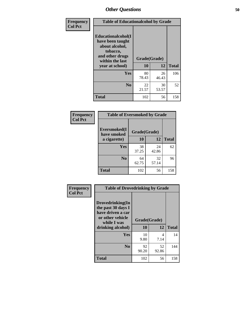| Frequency      | <b>Table of Educationalcohol by Grade</b>                                                                  |              |             |              |
|----------------|------------------------------------------------------------------------------------------------------------|--------------|-------------|--------------|
| <b>Col Pct</b> | Educationalcohol(I<br>have been taught<br>about alcohol,<br>tobacco,<br>and other drugs<br>within the last | Grade(Grade) |             |              |
|                | year at school)                                                                                            | 10           | 12          | <b>Total</b> |
|                | <b>Yes</b>                                                                                                 | 80<br>78.43  | 26<br>46.43 | 106          |
|                | N <sub>0</sub>                                                                                             | 22<br>21.57  | 30<br>53.57 | 52           |
|                | <b>Total</b>                                                                                               | 102          | 56          | 158          |

| Frequency      | <b>Table of Eversmoked by Grade</b> |              |             |              |  |
|----------------|-------------------------------------|--------------|-------------|--------------|--|
| <b>Col Pct</b> | Eversmoked(I<br>have smoked         | Grade(Grade) |             |              |  |
|                | a cigarette)                        | 10           | 12          | <b>Total</b> |  |
|                | Yes                                 | 38<br>37.25  | 24<br>42.86 | 62           |  |
|                | N <sub>0</sub>                      | 64<br>62.75  | 32<br>57.14 | 96           |  |
|                | <b>Total</b>                        | 102          | 56          | 158          |  |

| Frequency<br><b>Col Pct</b> | <b>Table of Drovedrinking by Grade</b>                                                                              |                    |             |              |
|-----------------------------|---------------------------------------------------------------------------------------------------------------------|--------------------|-------------|--------------|
|                             | Drovedrinking(In<br>the past 30 days I<br>have driven a car<br>or other vehicle<br>while I was<br>drinking alcohol) | Grade(Grade)<br>10 | 12          | <b>Total</b> |
|                             | <b>Yes</b>                                                                                                          | 10<br>9.80         | 4<br>7.14   | 14           |
|                             | N <sub>0</sub>                                                                                                      | 92<br>90.20        | 52<br>92.86 | 144          |
|                             | <b>Total</b>                                                                                                        | 102                | 56          | 158          |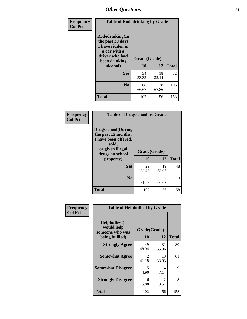| Frequency<br><b>Col Pct</b> | <b>Table of Rodedrinking by Grade</b>                                                                      |              |             |              |
|-----------------------------|------------------------------------------------------------------------------------------------------------|--------------|-------------|--------------|
|                             | Rodedrinking(In<br>the past 30 days<br>I have ridden in<br>a car with a<br>driver who had<br>been drinking | Grade(Grade) |             |              |
|                             | alcohol)                                                                                                   | 10           | 12          | <b>Total</b> |
|                             | <b>Yes</b>                                                                                                 | 34<br>33.33  | 18<br>32.14 | 52           |
|                             | N <sub>0</sub>                                                                                             | 68<br>66.67  | 38<br>67.86 | 106          |
|                             | <b>Total</b>                                                                                               | 102          | 56          | 158          |

#### **Frequency Col Pct**

| <b>Table of Drugsschool by Grade</b>                                                                                      |              |             |              |  |
|---------------------------------------------------------------------------------------------------------------------------|--------------|-------------|--------------|--|
| <b>Drugsschool</b> (During<br>the past 12 months,<br>I have been offered,<br>sold,<br>or given illegal<br>drugs on school | Grade(Grade) |             |              |  |
| property)                                                                                                                 | 10           | 12          | <b>Total</b> |  |
| Yes                                                                                                                       | 29<br>28.43  | 19<br>33.93 | 48           |  |
| N <sub>0</sub>                                                                                                            | 73<br>71.57  | 37<br>66.07 | 110          |  |
| <b>Total</b>                                                                                                              | 102          | 56          | 158          |  |

| Frequency      | <b>Table of Helpbullied by Grade</b>                             |                           |             |              |
|----------------|------------------------------------------------------------------|---------------------------|-------------|--------------|
| <b>Col Pct</b> | Helpbullied(I<br>would help<br>someone who was<br>being bullied) | Grade(Grade)<br><b>10</b> | 12          | <b>Total</b> |
|                |                                                                  |                           |             |              |
|                | <b>Strongly Agree</b>                                            | 49<br>48.04               | 31<br>55.36 | 80           |
|                | <b>Somewhat Agree</b>                                            | 42<br>41.18               | 19<br>33.93 | 61           |
|                | <b>Somewhat Disagree</b>                                         | 5<br>4.90                 | 4<br>7.14   | 9            |
|                | <b>Strongly Disagree</b>                                         | 6<br>5.88                 | 2<br>3.57   | 8            |
|                | Total                                                            | 102                       | 56          | 158          |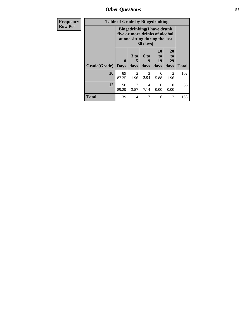| Frequency      | <b>Table of Grade by Bingedrinking</b> |                             |                                                                                                                    |                   |                        |                        |              |
|----------------|----------------------------------------|-----------------------------|--------------------------------------------------------------------------------------------------------------------|-------------------|------------------------|------------------------|--------------|
| <b>Row Pct</b> |                                        |                             | <b>Bingedrinking</b> (I have drunk<br>five or more drinks of alcohol<br>at one sitting during the last<br>30 days) |                   |                        |                        |              |
|                | Grade(Grade)                           | $\mathbf{0}$<br><b>Days</b> | 3 to<br>5<br>days                                                                                                  | 6 to<br>g<br>days | 10<br>to<br>19<br>days | 20<br>to<br>29<br>days | <b>Total</b> |
|                | 10                                     | 89<br>87.25                 | $\overline{2}$<br>1.96                                                                                             | 3<br>2.94         | 6<br>5.88              | 2<br>1.96              | 102          |
|                | 12                                     | 50<br>89.29                 | $\overline{2}$<br>3.57                                                                                             | 4<br>7.14         | $\theta$<br>0.00       | 0<br>0.00              | 56           |
|                | <b>Total</b>                           | 139                         | 4                                                                                                                  |                   | 6                      | 2                      | 158          |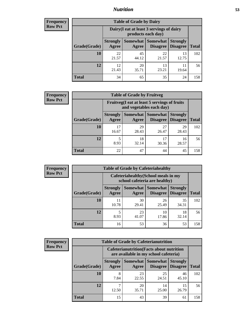## *Nutrition* **53**

| <b>Frequency</b><br>Row Pct |
|-----------------------------|
|                             |

| <b>Table of Grade by Dairy</b> |                          |                                                                                                                      |             |             |     |  |  |
|--------------------------------|--------------------------|----------------------------------------------------------------------------------------------------------------------|-------------|-------------|-----|--|--|
|                                |                          | Dairy (I eat at least 3 servings of dairy<br>products each day)                                                      |             |             |     |  |  |
| Grade(Grade)                   | <b>Strongly</b><br>Agree | <b>Somewhat</b><br><b>Somewhat</b><br><b>Strongly</b><br><b>Disagree</b><br><b>Disagree</b><br><b>Total</b><br>Agree |             |             |     |  |  |
| 10                             | 22<br>21.57              | 45<br>44.12                                                                                                          | 22<br>21.57 | 13<br>12.75 | 102 |  |  |
| 12                             | 12<br>21.43              | 20<br>35.71                                                                                                          | 13<br>23.21 | 11<br>19.64 | 56  |  |  |
| <b>Total</b>                   | 34                       | 65                                                                                                                   | 35          | 24          | 158 |  |  |

| <b>Frequency</b> |
|------------------|
| <b>Row Pct</b>   |

| 2y | <b>Table of Grade by Fruitveg</b> |                          |                                                                          |                             |                                    |              |  |  |
|----|-----------------------------------|--------------------------|--------------------------------------------------------------------------|-----------------------------|------------------------------------|--------------|--|--|
|    |                                   |                          | Fruitveg(I eat at least 5 servings of fruits<br>and vegetables each day) |                             |                                    |              |  |  |
|    | Grade(Grade)                      | <b>Strongly</b><br>Agree | Somewhat  <br>Agree                                                      | <b>Somewhat</b><br>Disagree | <b>Strongly</b><br><b>Disagree</b> | <b>Total</b> |  |  |
|    | 10                                | 17<br>16.67              | 29<br>28.43                                                              | 27<br>26.47                 | 29<br>28.43                        | 102          |  |  |
|    | 12                                | 8.93                     | 18<br>32.14                                                              | 17<br>30.36                 | 16<br>28.57                        | 56           |  |  |
|    | Total                             | 22                       | 47                                                                       | 44                          | 45                                 | 158          |  |  |

| <b>Frequency</b> | <b>Table of Grade by Cafeteriahealthy</b> |                                                                       |                     |                             |                                    |              |  |  |
|------------------|-------------------------------------------|-----------------------------------------------------------------------|---------------------|-----------------------------|------------------------------------|--------------|--|--|
| <b>Row Pct</b>   |                                           | Cafeteriahealthy (School meals in my<br>school cafeteria are healthy) |                     |                             |                                    |              |  |  |
|                  | Grade(Grade)                              | <b>Strongly</b><br>Agree                                              | Somewhat  <br>Agree | Somewhat<br><b>Disagree</b> | <b>Strongly</b><br><b>Disagree</b> | <b>Total</b> |  |  |
|                  | <b>10</b>                                 | 11<br>10.78                                                           | 30<br>29.41         | 26<br>25.49                 | 35<br>34.31                        | 102          |  |  |
|                  | 12                                        | 8.93                                                                  | 23<br>41.07         | 10<br>17.86                 | 18<br>32.14                        | 56           |  |  |
|                  | Total                                     | 16                                                                    | 53                  | 36                          | 53                                 | 158          |  |  |

| Frequency      |
|----------------|
| <b>Row Pct</b> |

| <b>Table of Grade by Cafeterianutrition</b> |                                                                                           |             |                                        |                                    |              |  |  |
|---------------------------------------------|-------------------------------------------------------------------------------------------|-------------|----------------------------------------|------------------------------------|--------------|--|--|
|                                             | <b>Cafeterianutrition</b> (Facts about nutrition<br>are available in my school cafeteria) |             |                                        |                                    |              |  |  |
| Grade(Grade)                                | <b>Strongly</b><br>Agree                                                                  | Agree       | Somewhat   Somewhat<br><b>Disagree</b> | <b>Strongly</b><br><b>Disagree</b> | <b>Total</b> |  |  |
| 10                                          | 8<br>7.84                                                                                 | 23<br>22.55 | 25<br>24.51                            | 46<br>45.10                        | 102          |  |  |
| 12                                          | 12.50                                                                                     | 20<br>35.71 | 14<br>25.00                            | 15<br>26.79                        | 56           |  |  |
| <b>Total</b>                                | 15                                                                                        | 43          | 39                                     | 61                                 | 158          |  |  |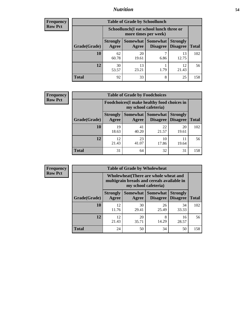## *Nutrition* **54**

| Frequency |
|-----------|
| Row Pct   |

| <b>Table of Grade by Schoollunch</b> |                                                                                                                          |                                                                 |           |             |     |  |  |
|--------------------------------------|--------------------------------------------------------------------------------------------------------------------------|-----------------------------------------------------------------|-----------|-------------|-----|--|--|
|                                      |                                                                                                                          | Schoollunch(I eat school lunch three or<br>more times per week) |           |             |     |  |  |
| Grade(Grade)                         | Somewhat Somewhat<br><b>Strongly</b><br><b>Strongly</b><br><b>Disagree</b><br>Agree<br>Disagree<br><b>Total</b><br>Agree |                                                                 |           |             |     |  |  |
| 10                                   | 62<br>60.78                                                                                                              | 20<br>19.61                                                     | 7<br>6.86 | 13<br>12.75 | 102 |  |  |
| 12                                   | 30<br>53.57                                                                                                              | 13<br>23.21                                                     | 1.79      | 12<br>21.43 | 56  |  |  |
| <b>Total</b>                         | 92                                                                                                                       | 33                                                              | 8         | 25          | 158 |  |  |

| <b>Frequency</b> |  |
|------------------|--|
| <b>Row Pct</b>   |  |

| <b>Table of Grade by Foodchoices</b> |                                                                     |             |                               |                                    |              |  |
|--------------------------------------|---------------------------------------------------------------------|-------------|-------------------------------|------------------------------------|--------------|--|
|                                      | Foodchoices (I make healthy food choices in<br>my school cafeteria) |             |                               |                                    |              |  |
| Grade(Grade)                         | <b>Strongly</b><br>Agree                                            | Agree       | Somewhat Somewhat<br>Disagree | <b>Strongly</b><br><b>Disagree</b> | <b>Total</b> |  |
| 10                                   | 19<br>18.63                                                         | 41<br>40.20 | 22<br>21.57                   | 20<br>19.61                        | 102          |  |
| 12                                   | 12<br>21.43                                                         | 23<br>41.07 | 10<br>17.86                   | 19.64                              | 56           |  |
| <b>Total</b>                         | 31                                                                  | 64          | 32                            | 31                                 | 158          |  |

| <b>Frequency</b> | <b>Table of Grade by Wholewheat</b> |                                                                                                             |             |                                      |                                    |              |  |  |
|------------------|-------------------------------------|-------------------------------------------------------------------------------------------------------------|-------------|--------------------------------------|------------------------------------|--------------|--|--|
| <b>Row Pct</b>   |                                     | Wholewheat (There are whole wheat and<br>multigrain breads and cereals available in<br>my school cafeteria) |             |                                      |                                    |              |  |  |
|                  | Grade(Grade)                        | <b>Strongly</b><br>Agree                                                                                    | Agree       | Somewhat Somewhat<br><b>Disagree</b> | <b>Strongly</b><br><b>Disagree</b> | <b>Total</b> |  |  |
|                  | 10                                  | 12<br>11.76                                                                                                 | 30<br>29.41 | 26<br>25.49                          | 34<br>33.33                        | 102          |  |  |
|                  | 12                                  | 12<br>21.43                                                                                                 | 20<br>35.71 | 8<br>14.29                           | 16<br>28.57                        | 56           |  |  |
|                  | <b>Total</b>                        | 24                                                                                                          | 50          | 34                                   | 50                                 | 158          |  |  |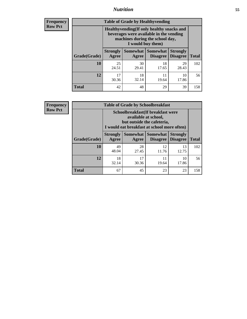## *Nutrition* **55**

**Frequency Row Pct**

| <b>Table of Grade by Healthyvending</b> |                                                                                                                                               |             |                                        |                                    |              |  |  |  |
|-----------------------------------------|-----------------------------------------------------------------------------------------------------------------------------------------------|-------------|----------------------------------------|------------------------------------|--------------|--|--|--|
|                                         | Healthyvending (If only healthy snacks and<br>beverages were available in the vending<br>machines during the school day,<br>I would buy them) |             |                                        |                                    |              |  |  |  |
| Grade(Grade)                            | <b>Strongly</b><br>Agree                                                                                                                      | Agree       | Somewhat   Somewhat<br><b>Disagree</b> | <b>Strongly</b><br><b>Disagree</b> | <b>Total</b> |  |  |  |
| 10                                      | 25<br>24.51                                                                                                                                   | 30<br>29.41 | 18<br>17.65                            | 29<br>28.43                        | 102          |  |  |  |
| 12                                      | 17<br>30.36                                                                                                                                   | 18<br>32.14 | 11<br>19.64                            | 10<br>17.86                        | 56           |  |  |  |
| <b>Total</b>                            | 42                                                                                                                                            | 48          | 29                                     | 39                                 | 158          |  |  |  |

**Frequency Row Pct**

| <b>Table of Grade by Schoolbreakfast</b> |                                                                                                                                         |             |                                 |                                    |              |  |  |
|------------------------------------------|-----------------------------------------------------------------------------------------------------------------------------------------|-------------|---------------------------------|------------------------------------|--------------|--|--|
|                                          | Schoolbreakfast (If breakfast were<br>available at school,<br>but outside the cafeteria,<br>I would eat breakfast at school more often) |             |                                 |                                    |              |  |  |
| Grade(Grade)                             | <b>Strongly</b><br>Agree                                                                                                                | Agree       | Somewhat   Somewhat<br>Disagree | <b>Strongly</b><br><b>Disagree</b> | <b>Total</b> |  |  |
| 10                                       | 49<br>48.04                                                                                                                             | 28<br>27.45 | 12<br>11.76                     | 13<br>12.75                        | 102          |  |  |
| 12                                       | 18<br>32.14                                                                                                                             | 17<br>30.36 | 11<br>19.64                     | 10<br>17.86                        | 56           |  |  |
| <b>Total</b>                             | 67                                                                                                                                      | 45          | 23                              | 23                                 | 158          |  |  |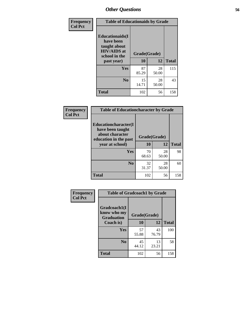| Frequency<br><b>Col Pct</b> | <b>Table of Educationaids by Grade</b>                                                                    |                           |              |     |  |  |
|-----------------------------|-----------------------------------------------------------------------------------------------------------|---------------------------|--------------|-----|--|--|
|                             | <b>Educationaids</b> (I<br>have been<br>taught about<br><b>HIV/AIDS</b> at<br>school in the<br>past year) | Grade(Grade)<br><b>10</b> | <b>Total</b> |     |  |  |
|                             | Yes                                                                                                       | 87<br>85.29               | 28<br>50.00  | 115 |  |  |
|                             | N <sub>0</sub>                                                                                            | 15<br>14.71               | 28<br>50.00  | 43  |  |  |
|                             | <b>Total</b>                                                                                              | 102                       | 56           | 158 |  |  |

| Frequency      | <b>Table of Educationcharacter by Grade</b>                                                  |              |             |              |
|----------------|----------------------------------------------------------------------------------------------|--------------|-------------|--------------|
| <b>Col Pct</b> | <b>Educationcharacter(I)</b><br>have been taught<br>about character<br>education in the past | Grade(Grade) |             |              |
|                | year at school)                                                                              | 10           | 12          | <b>Total</b> |
|                | Yes                                                                                          | 70<br>68.63  | 28<br>50.00 | 98           |
|                | N <sub>0</sub>                                                                               | 32<br>31.37  | 28<br>50.00 | 60           |
|                | <b>Total</b>                                                                                 | 102          | 56          | 158          |

| Frequency      | <b>Table of Gradcoach1 by Grade</b>              |              |             |              |  |
|----------------|--------------------------------------------------|--------------|-------------|--------------|--|
| <b>Col Pct</b> | Gradcoach1(I<br>know who my<br><b>Graduation</b> | Grade(Grade) |             |              |  |
|                | Coach is)                                        | 10           | 12          | <b>Total</b> |  |
|                | Yes                                              | 57<br>55.88  | 43<br>76.79 | 100          |  |
|                | N <sub>0</sub>                                   | 45<br>44.12  | 13<br>23.21 | 58           |  |
|                | <b>Total</b>                                     | 102          | 56          | 158          |  |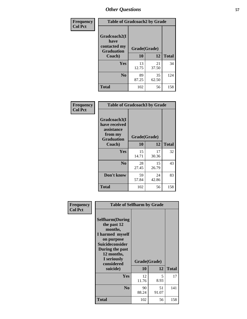| Frequency      | <b>Table of Gradcoach2 by Grade</b>         |              |             |              |
|----------------|---------------------------------------------|--------------|-------------|--------------|
| <b>Col Pct</b> | Gradcoach2(I<br>have                        |              |             |              |
|                | contacted my<br><b>Graduation</b><br>Coach) | Grade(Grade) |             |              |
|                |                                             | 10           | 12          | <b>Total</b> |
|                | Yes                                         | 13<br>12.75  | 21<br>37.50 | 34           |
|                | N <sub>0</sub>                              | 89<br>87.25  | 35<br>62.50 | 124          |
|                | <b>Total</b>                                | 102          | 56          | 158          |

| <b>Frequency</b><br><b>Col Pct</b> | <b>Table of Gradcoach3 by Grade</b>                                         |              |             |              |
|------------------------------------|-----------------------------------------------------------------------------|--------------|-------------|--------------|
|                                    | Gradcoach3(I<br>have received<br>assistance<br>from my<br><b>Graduation</b> | Grade(Grade) |             |              |
|                                    | Coach)                                                                      | 10           | 12          | <b>Total</b> |
|                                    | Yes                                                                         | 15<br>14.71  | 17<br>30.36 | 32           |
|                                    | N <sub>0</sub>                                                              | 28<br>27.45  | 15<br>26.79 | 43           |
|                                    | Don't know                                                                  | 59<br>57.84  | 24<br>42.86 | 83           |
|                                    | <b>Total</b>                                                                | 102          | 56          | 158          |

| Frequency      | <b>Table of Selfharm by Grade</b>                                                                                                                                                      |                    |             |              |
|----------------|----------------------------------------------------------------------------------------------------------------------------------------------------------------------------------------|--------------------|-------------|--------------|
| <b>Col Pct</b> | <b>Selfharm</b> (During<br>the past 12<br>months,<br>I harmed myself<br>on purpose<br><b>Suicideconsider</b><br>During the past<br>12 months,<br>I seriously<br>considered<br>suicide) | Grade(Grade)<br>10 | 12          | <b>Total</b> |
|                | Yes                                                                                                                                                                                    | 12<br>11.76        | 5.<br>8.93  | 17           |
|                | N <sub>0</sub>                                                                                                                                                                         | 90<br>88.24        | 51<br>91.07 | 141          |
|                | <b>Total</b>                                                                                                                                                                           | 102                | 56          | 158          |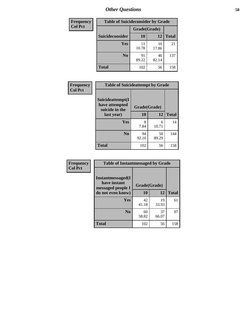| <b>Frequency</b> | <b>Table of Suicideconsider by Grade</b> |              |             |              |  |
|------------------|------------------------------------------|--------------|-------------|--------------|--|
| <b>Col Pct</b>   |                                          | Grade(Grade) |             |              |  |
|                  | Suicideconsider                          | <b>10</b>    | 12          | <b>Total</b> |  |
|                  | <b>Yes</b>                               | 11<br>10.78  | 10<br>17.86 | 21           |  |
|                  | N <sub>0</sub>                           | 91<br>89.22  | 46<br>82.14 | 137          |  |
|                  | <b>Total</b>                             | 102          | 56          | 158          |  |

| Frequency      | <b>Table of Suicideattempt by Grade</b>              |              |             |              |
|----------------|------------------------------------------------------|--------------|-------------|--------------|
| <b>Col Pct</b> | Suicideattempt(I<br>have attempted<br>suicide in the | Grade(Grade) |             |              |
|                | last year)                                           | 10           | 12          | <b>Total</b> |
|                | Yes                                                  | 8<br>7.84    | 6<br>10.71  | 14           |
|                | $\bf No$                                             | 94<br>92.16  | 50<br>89.29 | 144          |
|                | <b>Total</b>                                         | 102          | 56          | 158          |

| Frequency      | <b>Table of Instantmessaged by Grade</b>               |              |             |              |  |  |
|----------------|--------------------------------------------------------|--------------|-------------|--------------|--|--|
| <b>Col Pct</b> | Instantmessaged(I<br>have instant<br>messaged people I | Grade(Grade) |             |              |  |  |
|                | do not even know)                                      | 10           | 12          | <b>Total</b> |  |  |
|                | Yes                                                    | 42<br>41.18  | 19<br>33.93 | 61           |  |  |
|                | N <sub>0</sub>                                         | 60<br>58.82  | 37<br>66.07 | 97           |  |  |
|                | <b>Total</b>                                           | 102          | 56          | 158          |  |  |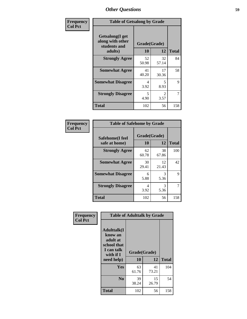| Frequency      | <b>Table of Getsalong by Grade</b>                  |              |                        |              |  |
|----------------|-----------------------------------------------------|--------------|------------------------|--------------|--|
| <b>Col Pct</b> | Getsalong(I get<br>along with other<br>students and | Grade(Grade) |                        |              |  |
|                | adults)                                             | 10           | 12                     | <b>Total</b> |  |
|                | <b>Strongly Agree</b>                               | 52<br>50.98  | 32<br>57.14            | 84           |  |
|                | <b>Somewhat Agree</b>                               | 41<br>40.20  | 17<br>30.36            | 58           |  |
|                | <b>Somewhat Disagree</b>                            | 4<br>3.92    | 5<br>8.93              | 9            |  |
|                | <b>Strongly Disagree</b>                            | 5<br>4.90    | $\mathfrak{D}$<br>3.57 | 7            |  |
|                | <b>Total</b>                                        | 102          | 56                     | 158          |  |

| Frequency      | <b>Table of Safehome by Grade</b> |                    |             |              |  |
|----------------|-----------------------------------|--------------------|-------------|--------------|--|
| <b>Col Pct</b> | Safehome(I feel<br>safe at home)  | Grade(Grade)<br>10 | 12          | <b>Total</b> |  |
|                | <b>Strongly Agree</b>             | 62<br>60.78        | 38<br>67.86 | 100          |  |
|                | <b>Somewhat Agree</b>             | 30<br>29.41        | 12<br>21.43 | 42           |  |
|                | <b>Somewhat Disagree</b>          | 6<br>5.88          | 3<br>5.36   | 9            |  |
|                | <b>Strongly Disagree</b>          | 4<br>3.92          | 3<br>5.36   |              |  |
|                | <b>Total</b>                      | 102                | 56          | 158          |  |

| Frequency      | <b>Table of Adulttalk by Grade</b>                                                   |              |             |              |  |  |
|----------------|--------------------------------------------------------------------------------------|--------------|-------------|--------------|--|--|
| <b>Col Pct</b> | <b>Adulttalk</b> (I<br>know an<br>adult at<br>school that<br>I can talk<br>with if I | Grade(Grade) |             |              |  |  |
|                | need help)                                                                           | 10           | 12          | <b>Total</b> |  |  |
|                | <b>Yes</b>                                                                           | 63<br>61.76  | 41<br>73.21 | 104          |  |  |
|                | N <sub>0</sub>                                                                       | 39<br>38.24  | 15<br>26.79 | 54           |  |  |
|                | <b>Total</b>                                                                         | 102          | 56          | 158          |  |  |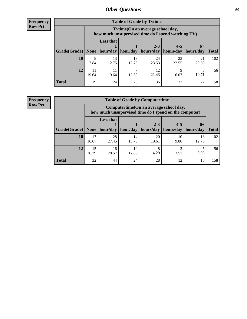**Frequency Row Pct**

| <b>Table of Grade by Tytime</b> |             |                                                                                         |             |                                                                      |             |             |              |
|---------------------------------|-------------|-----------------------------------------------------------------------------------------|-------------|----------------------------------------------------------------------|-------------|-------------|--------------|
|                                 |             | Tytime (On an average school day,<br>how much unsupervised time do I spend watching TV) |             |                                                                      |             |             |              |
| Grade(Grade)   None             |             | <b>Less that</b>                                                                        |             | $2 - 3$<br>$hour/day$   hour/day   hours/day   hours/day   hours/day | $4 - 5$     | $6+$        | <b>Total</b> |
|                                 |             |                                                                                         |             |                                                                      |             |             |              |
| 10                              | 8<br>7.84   | 13<br>12.75                                                                             | 13<br>12.75 | 24<br>23.53                                                          | 23<br>22.55 | 21<br>20.59 | 102          |
| 12                              | 11<br>19.64 | 11<br>19.64                                                                             | 12.50       | 12<br>21.43                                                          | Q<br>16.07  | h<br>10.71  | 56           |
| <b>Total</b>                    | 19          | 24                                                                                      | 20          | 36                                                                   | 32          | 27          | 158          |

**Frequency Row Pct**

| <b>Table of Grade by Computertime</b> |             |                                                                                                   |                     |             |            |             |              |  |  |
|---------------------------------------|-------------|---------------------------------------------------------------------------------------------------|---------------------|-------------|------------|-------------|--------------|--|--|
|                                       |             | Computertime (On an average school day,<br>how much unsupervised time do I spend on the computer) |                     |             |            |             |              |  |  |
|                                       |             | <b>Less that</b>                                                                                  |                     | $2 - 3$     | $4 - 5$    | $6+$        |              |  |  |
| Grade(Grade)                          | None        |                                                                                                   | hour/day   hour/day | hours/day   | hours/day  | hours/day   | <b>Total</b> |  |  |
| 10                                    | 17<br>16.67 | 28<br>27.45                                                                                       | 14<br>13.73         | 20<br>19.61 | 10<br>9.80 | 13<br>12.75 | 102          |  |  |
| 12                                    | 15<br>26.79 | 16<br>28.57                                                                                       | 10<br>17.86         | 8<br>14.29  | 3.57       | 8.93        | 56           |  |  |
| <b>Total</b>                          | 32          | 44                                                                                                | 24                  | 28          | 12         | 18          | 158          |  |  |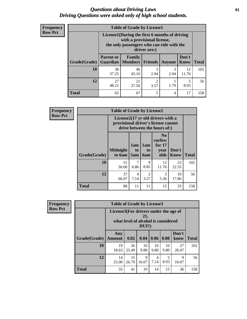#### *Questions about Driving Laws* **61** *Driving Questions were asked only of high school students.*

| <b>Frequency</b> |
|------------------|
| <b>Row Pct</b>   |

| <b>Table of Grade by License1</b> |                                                                                                                                           |                          |                        |           |                      |              |  |  |  |
|-----------------------------------|-------------------------------------------------------------------------------------------------------------------------------------------|--------------------------|------------------------|-----------|----------------------|--------------|--|--|--|
|                                   | License1(During the first 6 months of driving<br>with a provisional license,<br>the only passengers who can ride with the<br>driver are:) |                          |                        |           |                      |              |  |  |  |
| Grade(Grade)                      | <b>Parent or</b><br>Guardian                                                                                                              | Family<br><b>Members</b> | <b>Friends</b>         | Anyone    | Don't<br><b>Know</b> | <b>Total</b> |  |  |  |
| 10                                | 38<br>37.25                                                                                                                               | 46<br>45.10              | 3<br>2.94              | 3<br>2.94 | 12<br>11.76          | 102          |  |  |  |
| 12                                | 27<br>48.21                                                                                                                               | 21<br>37.50              | $\mathfrak{D}$<br>3.57 | 1.79      | 5<br>8.93            | 56           |  |  |  |
| Total                             | 65                                                                                                                                        | 67                       | 5                      | 4         | 17                   | 158          |  |  |  |

| <b>Frequency</b> | <b>Table of Grade by License2</b> |                                                                                                          |                              |                              |                                                      |                      |              |  |  |
|------------------|-----------------------------------|----------------------------------------------------------------------------------------------------------|------------------------------|------------------------------|------------------------------------------------------|----------------------|--------------|--|--|
| <b>Row Pct</b>   |                                   | License2(17 yr old drivers with a<br>provisional driver's license cannot<br>drive between the hours of:) |                              |                              |                                                      |                      |              |  |  |
|                  | <b>Grade(Grade)</b>               | <b>Midnight</b><br>to 6am                                                                                | 1am<br>t <sub>0</sub><br>5am | 1am<br>t <sub>0</sub><br>6am | N <sub>0</sub><br>curfew<br>for $17$<br>year<br>olds | Don't<br><b>Know</b> | <b>Total</b> |  |  |
|                  | 10                                | 51<br>50.00                                                                                              | 7<br>6.86                    | 9<br>8.82                    | 12<br>11.76                                          | 23<br>22.55          | 102          |  |  |
|                  | 12                                | 37<br>66.07                                                                                              | 4<br>7.14                    | $\mathfrak{D}$<br>3.57       | 3<br>5.36                                            | 10<br>17.86          | 56           |  |  |
|                  | <b>Total</b>                      | 88                                                                                                       | 11                           | 11                           | 15                                                   | 33                   | 158          |  |  |

| Frequency      | <b>Table of Grade by License3</b> |                                                                              |             |            |            |            |               |              |  |
|----------------|-----------------------------------|------------------------------------------------------------------------------|-------------|------------|------------|------------|---------------|--------------|--|
| <b>Row Pct</b> |                                   | License3(For drivers under the age of<br>what level of alcohol is considered |             |            |            |            |               |              |  |
|                | Grade(Grade)                      | Any<br><b>Amount</b>                                                         | 0.02        | 0.04       | 0.06       | 0.08       | Don't<br>know | <b>Total</b> |  |
|                | <b>10</b>                         | 19<br>18.63                                                                  | 26<br>25.49 | 10<br>9.80 | 10<br>9.80 | 10<br>9.80 | 27<br>26.47   | 102          |  |
|                | 12                                | 14<br>25.00                                                                  | 15<br>26.79 | 9<br>16.07 | 4<br>7.14  | 8.93       | 9<br>16.07    | 56           |  |
|                | <b>Total</b>                      | 33                                                                           | 41          | 19         | 14         | 15         | 36            | 158          |  |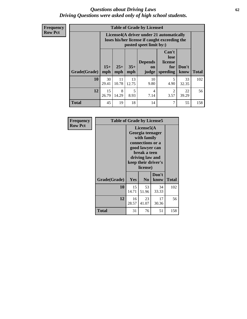#### *Questions about Driving Laws* **62** *Driving Questions were asked only of high school students.*

| <b>Frequency</b> |
|------------------|
| <b>Row Pct</b>   |

| <b>Table of Grade by License4</b> |              |                                                                                                                      |              |                               |                                             |               |              |  |  |
|-----------------------------------|--------------|----------------------------------------------------------------------------------------------------------------------|--------------|-------------------------------|---------------------------------------------|---------------|--------------|--|--|
|                                   |              | License4(A driver under 21 automatically<br>loses his/her license if caught exceeding the<br>posted speet limit by:) |              |                               |                                             |               |              |  |  |
| Grade(Grade)                      | $15+$<br>mph | $25+$<br>mph                                                                                                         | $35+$<br>mph | <b>Depends</b><br>on<br>judge | Can't<br>lose<br>license<br>for<br>speeding | Don't<br>know | <b>Total</b> |  |  |
| 10                                | 30<br>29.41  | 11<br>10.78                                                                                                          | 13<br>12.75  | 10<br>9.80                    | 5<br>4.90                                   | 33<br>32.35   | 102          |  |  |
| 12                                | 15<br>26.79  | 8<br>14.29                                                                                                           | 5<br>8.93    | 4<br>7.14                     | $\mathfrak{D}$<br>3.57                      | 22<br>39.29   | 56           |  |  |
| <b>Total</b>                      | 45           | 19                                                                                                                   | 18           | 14                            | 7                                           | 55            | 158          |  |  |

| Frequency      | <b>Table of Grade by License5</b> |                                                                                                                                                             |                |               |       |  |  |
|----------------|-----------------------------------|-------------------------------------------------------------------------------------------------------------------------------------------------------------|----------------|---------------|-------|--|--|
| <b>Row Pct</b> |                                   | License5(A)<br>Georgia teenager<br>with family<br>connections or a<br>good lawyer can<br>break a teen<br>driving law and<br>keep their driver's<br>license) |                |               |       |  |  |
|                | Grade(Grade)                      | <b>Yes</b>                                                                                                                                                  | N <sub>0</sub> | Don't<br>know | Total |  |  |
|                | 10                                | 15<br>14.71                                                                                                                                                 | 53<br>51.96    | 34<br>33.33   | 102   |  |  |
|                | 12                                | 16<br>28.57                                                                                                                                                 | 23<br>41.07    | 17<br>30.36   | 56    |  |  |
|                | <b>Total</b>                      | 31                                                                                                                                                          | 76             | 51            | 158   |  |  |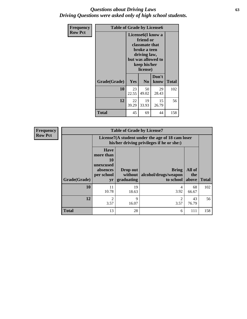### *Questions about Driving Laws* **63** *Driving Questions were asked only of high school students.*

| <b>Frequency</b> | <b>Table of Grade by License6</b> |                                                                                                                                                 |                |               |              |  |
|------------------|-----------------------------------|-------------------------------------------------------------------------------------------------------------------------------------------------|----------------|---------------|--------------|--|
| <b>Row Pct</b>   |                                   | License <sub>6</sub> (I know a<br>friend or<br>classmate that<br>broke a teen<br>driving law,<br>but was allowed to<br>keep his/her<br>license) |                |               |              |  |
|                  | Grade(Grade)                      | <b>Yes</b>                                                                                                                                      | N <sub>0</sub> | Don't<br>know | <b>Total</b> |  |
|                  | 10                                | 23<br>22.55                                                                                                                                     | 50<br>49.02    | 29<br>28.43   | 102          |  |
|                  | 12                                | 22<br>39.29                                                                                                                                     | 19<br>33.93    | 15<br>26.79   | 56           |  |
|                  | <b>Total</b>                      | 45                                                                                                                                              | 69             | 44            | 158          |  |

| <b>Frequency</b> | <b>Table of Grade by License7</b> |                                                                                               |                                     |                                                   |                        |              |  |  |  |  |
|------------------|-----------------------------------|-----------------------------------------------------------------------------------------------|-------------------------------------|---------------------------------------------------|------------------------|--------------|--|--|--|--|
| <b>Row Pct</b>   |                                   | License7(A student under the age of 18 cam loser<br>his/her driving privileges if he or she:) |                                     |                                                   |                        |              |  |  |  |  |
|                  | Grade(Grade)                      | <b>Have</b><br>more than<br>10<br>unexcused<br>absences<br>per school<br>yr                   | Drop out<br>without  <br>graduating | <b>Bring</b><br>alcohol/drugs/weapon<br>to school | All of<br>the<br>above | <b>Total</b> |  |  |  |  |
|                  | 10                                | 11<br>10.78                                                                                   | 19<br>18.63                         | 4<br>3.92                                         | 68<br>66.67            | 102          |  |  |  |  |
|                  | 12                                | $\overline{2}$<br>3.57                                                                        | 9<br>16.07                          | $\overline{c}$<br>3.57                            | 43<br>76.79            | 56           |  |  |  |  |
|                  | <b>Total</b>                      | 13                                                                                            | 28                                  | 6                                                 | 111                    | 158          |  |  |  |  |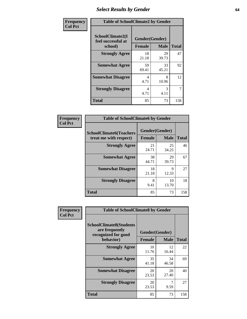# *Select Results by Gender* **64**

| Frequency      | <b>Table of SchoolClimate2 by Gender</b>          |                                 |             |              |  |  |
|----------------|---------------------------------------------------|---------------------------------|-------------|--------------|--|--|
| <b>Col Pct</b> | SchoolClimate2(I<br>feel successful at<br>school) | Gender(Gender)<br><b>Female</b> | <b>Male</b> | <b>Total</b> |  |  |
|                | <b>Strongly Agree</b>                             | 18<br>21.18                     | 29<br>39.73 | 47           |  |  |
|                | <b>Somewhat Agree</b>                             | 59<br>69.41                     | 33<br>45.21 | 92           |  |  |
|                | <b>Somewhat Disagree</b>                          | 4<br>4.71                       | 8<br>10.96  | 12           |  |  |
|                | <b>Strongly Disagree</b>                          | 4<br>4.71                       | 3<br>4.11   | 7            |  |  |
|                | <b>Total</b>                                      | 85                              | 73          | 158          |  |  |

| Frequency      | <b>Table of SchoolClimate6 by Gender</b>                 |                                 |             |              |  |  |  |
|----------------|----------------------------------------------------------|---------------------------------|-------------|--------------|--|--|--|
| <b>Col Pct</b> | <b>SchoolClimate6(Teachers</b><br>treat me with respect) | Gender(Gender)<br><b>Female</b> | <b>Male</b> | <b>Total</b> |  |  |  |
|                | <b>Strongly Agree</b>                                    | 21<br>24.71                     | 25<br>34.25 | 46           |  |  |  |
|                | <b>Somewhat Agree</b>                                    | 38<br>44.71                     | 29<br>39.73 | 67           |  |  |  |
|                | <b>Somewhat Disagree</b>                                 | 18<br>21.18                     | Q<br>12.33  | 27           |  |  |  |
|                | <b>Strongly Disagree</b>                                 | 8<br>9.41                       | 10<br>13.70 | 18           |  |  |  |
|                | <b>Total</b>                                             | 85                              | 73          | 158          |  |  |  |

| <b>Frequency</b> | <b>Table of SchoolClimate8 by Gender</b>                                             |                                                |             |              |
|------------------|--------------------------------------------------------------------------------------|------------------------------------------------|-------------|--------------|
| <b>Col Pct</b>   | <b>SchoolClimate8(Students</b><br>are frequently<br>recognized for good<br>behavior) | Gender(Gender)<br><b>Female</b><br><b>Male</b> |             | <b>Total</b> |
|                  | <b>Strongly Agree</b>                                                                | 10<br>11.76                                    | 12<br>16.44 | 22           |
|                  | <b>Somewhat Agree</b>                                                                | 35<br>41.18                                    | 34<br>46.58 | 69           |
|                  | <b>Somewhat Disagree</b>                                                             | 20<br>23.53                                    | 20<br>27.40 | 40           |
|                  | <b>Strongly Disagree</b>                                                             | 20<br>23.53                                    | 7<br>9.59   | 27           |
|                  | Total                                                                                | 85                                             | 73          | 158          |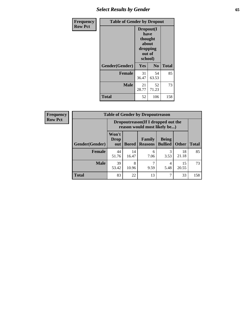# *Select Results by Gender* **65**

| <b>Frequency</b> | <b>Table of Gender by Dropout</b> |                                                                               |                |              |
|------------------|-----------------------------------|-------------------------------------------------------------------------------|----------------|--------------|
| <b>Row Pct</b>   |                                   | Dropout(I<br>have<br>thought<br><b>about</b><br>dropping<br>out of<br>school) |                |              |
|                  | Gender(Gender)                    | Yes                                                                           | N <sub>o</sub> | <b>Total</b> |
|                  | <b>Female</b>                     | 31<br>36.47                                                                   | 54<br>63.53    | 85           |
|                  | <b>Male</b>                       | 21<br>28.77                                                                   | 52<br>71.23    | 73           |
|                  | <b>Total</b>                      | 52                                                                            | 106            | 158          |

| <b>Frequency</b> |                | <b>Table of Gender by Dropoutreason</b>                            |              |                                 |                                |              |              |
|------------------|----------------|--------------------------------------------------------------------|--------------|---------------------------------|--------------------------------|--------------|--------------|
| <b>Row Pct</b>   |                | Dropoutreason(If I dropped out the<br>reason would most likely be) |              |                                 |                                |              |              |
|                  | Gender(Gender) | Won't<br>Drop<br>out                                               | <b>Bored</b> | <b>Family</b><br><b>Reasons</b> | <b>Being</b><br><b>Bullied</b> | <b>Other</b> | <b>Total</b> |
|                  | Female         | 44<br>51.76                                                        | 14<br>16.47  | 6<br>7.06                       | 3<br>3.53                      | 18<br>21.18  | 85           |
|                  | <b>Male</b>    | 39<br>53.42                                                        | 8<br>10.96   | 9.59                            | 4<br>5.48                      | 15<br>20.55  | 73           |
|                  | <b>Total</b>   | 83                                                                 | 22           | 13                              |                                | 33           | 158          |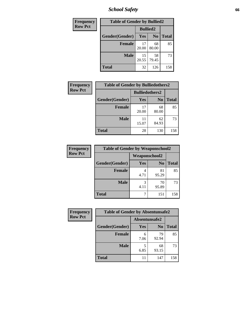*School Safety* **66**

| Frequency      | <b>Table of Gender by Bullied2</b> |                 |                |              |
|----------------|------------------------------------|-----------------|----------------|--------------|
| <b>Row Pct</b> |                                    | <b>Bullied2</b> |                |              |
|                | Gender(Gender)                     | Yes             | N <sub>0</sub> | <b>Total</b> |
|                | <b>Female</b>                      | 17<br>20.00     | 68<br>80.00    | 85           |
|                | <b>Male</b>                        | 15<br>20.55     | 58<br>79.45    | 73           |
|                | Total                              | 32              | 126            | 158          |

| Frequency      | <b>Table of Gender by Bulliedothers2</b> |                       |                |              |
|----------------|------------------------------------------|-----------------------|----------------|--------------|
| <b>Row Pct</b> |                                          | <b>Bulliedothers2</b> |                |              |
|                | Gender(Gender)                           | <b>Yes</b>            | N <sub>0</sub> | <b>Total</b> |
|                | <b>Female</b>                            | 17<br>20.00           | 68<br>80.00    | 85           |
|                | <b>Male</b>                              | 11<br>15.07           | 62<br>84.93    | 73           |
|                | <b>Total</b>                             | 28                    | 130            | 158          |

| <b>Frequency</b> | <b>Table of Gender by Weaponschool2</b> |               |                |              |
|------------------|-----------------------------------------|---------------|----------------|--------------|
| <b>Row Pct</b>   |                                         | Weaponschool2 |                |              |
|                  | Gender(Gender)                          | Yes           | N <sub>0</sub> | <b>Total</b> |
|                  | Female                                  | 4<br>4.71     | 81<br>95.29    | 85           |
|                  | <b>Male</b>                             | 3<br>4.11     | 70<br>95.89    | 73           |
|                  | <b>Total</b>                            | ℸ             | 151            | 158          |

| Frequency      | <b>Table of Gender by Absentunsafe2</b> |               |                |              |
|----------------|-----------------------------------------|---------------|----------------|--------------|
| <b>Row Pct</b> |                                         | Absentunsafe2 |                |              |
|                | Gender(Gender)                          | Yes           | N <sub>0</sub> | <b>Total</b> |
|                | <b>Female</b>                           | 6<br>7.06     | 79<br>92.94    | 85           |
|                | <b>Male</b>                             | 6.85          | 68<br>93.15    | 73           |
|                | <b>Total</b>                            | 11            | 147            | 158          |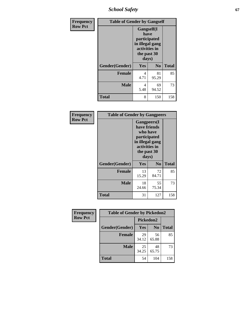*School Safety* **67**

| Frequency      |                | <b>Table of Gender by Gangself</b>                                                             |             |              |
|----------------|----------------|------------------------------------------------------------------------------------------------|-------------|--------------|
| <b>Row Pct</b> |                | Gangself(I<br>have<br>participated<br>in illegal gang<br>activities in<br>the past 30<br>days) |             |              |
|                | Gender(Gender) | Yes                                                                                            | $\bf No$    | <b>Total</b> |
|                | <b>Female</b>  | 4<br>4.71                                                                                      | 81<br>95.29 | 85           |
|                | <b>Male</b>    | 4<br>5.48                                                                                      | 69<br>94.52 | 73           |
|                | <b>Total</b>   | 8                                                                                              | 150         | 158          |

| Frequency      | <b>Table of Gender by Gangpeers</b> |                                                                                                                             |                |              |
|----------------|-------------------------------------|-----------------------------------------------------------------------------------------------------------------------------|----------------|--------------|
| <b>Row Pct</b> |                                     | <b>Gangpeers</b> (I<br>have friends<br>who have<br>participated<br>in illegal gang<br>activities in<br>the past 30<br>days) |                |              |
|                | Gender(Gender)                      | <b>Yes</b>                                                                                                                  | N <sub>0</sub> | <b>Total</b> |
|                | <b>Female</b>                       | 13<br>15.29                                                                                                                 | 72<br>84.71    | 85           |
|                | <b>Male</b>                         | 18<br>24.66                                                                                                                 | 55<br>75.34    | 73           |
|                | Total                               | 31                                                                                                                          | 127            | 158          |

| Frequency      | <b>Table of Gender by Pickedon2</b> |             |                |              |
|----------------|-------------------------------------|-------------|----------------|--------------|
| <b>Row Pct</b> |                                     | Pickedon2   |                |              |
|                | Gender(Gender)                      | <b>Yes</b>  | N <sub>0</sub> | <b>Total</b> |
|                | <b>Female</b>                       | 29<br>34.12 | 56<br>65.88    | 85           |
|                | <b>Male</b>                         | 25<br>34.25 | 48<br>65.75    | 73           |
|                | <b>Total</b>                        | 54          | 104            | 158          |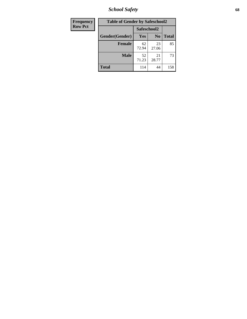*School Safety* **68**

| Frequency      | <b>Table of Gender by Safeschool2</b> |             |                |              |
|----------------|---------------------------------------|-------------|----------------|--------------|
| <b>Row Pct</b> |                                       | Safeschool2 |                |              |
|                | Gender(Gender)                        | Yes         | N <sub>0</sub> | <b>Total</b> |
|                | <b>Female</b>                         | 62<br>72.94 | 23<br>27.06    | 85           |
|                | <b>Male</b>                           | 52<br>71.23 | 21<br>28.77    | 73           |
|                | <b>Total</b>                          | 114         | 44             | 158          |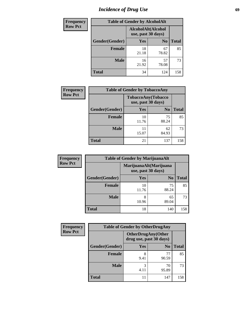# *Incidence of Drug Use* 69

| <b>Frequency</b> | <b>Table of Gender by AlcoholAlt</b> |                                          |                |              |  |
|------------------|--------------------------------------|------------------------------------------|----------------|--------------|--|
| <b>Row Pct</b>   |                                      | AlcoholAlt(Alcohol<br>use, past 30 days) |                |              |  |
|                  | Gender(Gender)                       | <b>Yes</b>                               | N <sub>0</sub> | <b>Total</b> |  |
|                  | <b>Female</b>                        | 18<br>21.18                              | 67<br>78.82    | 85           |  |
|                  | <b>Male</b>                          | 16<br>21.92                              | 57<br>78.08    | 73           |  |
|                  | <b>Total</b>                         | 34                                       | 124            | 158          |  |

| <b>Frequency</b> | <b>Table of Gender by TobaccoAny</b> |                    |                    |              |
|------------------|--------------------------------------|--------------------|--------------------|--------------|
| <b>Row Pct</b>   |                                      | use, past 30 days) | TobaccoAny(Tobacco |              |
|                  | Gender(Gender)                       | Yes                | N <sub>0</sub>     | <b>Total</b> |
|                  | <b>Female</b>                        | 10<br>11.76        | 75<br>88.24        | 85           |
|                  | <b>Male</b>                          | 11<br>15.07        | 62<br>84.93        | 73           |
|                  | <b>Total</b>                         | 21                 | 137                | 158          |

| <b>Frequency</b> | <b>Table of Gender by MarijuanaAlt</b> |             |                                              |              |
|------------------|----------------------------------------|-------------|----------------------------------------------|--------------|
| <b>Row Pct</b>   |                                        |             | MarijuanaAlt(Marijuana<br>use, past 30 days) |              |
|                  | Gender(Gender)                         | <b>Yes</b>  | N <sub>0</sub>                               | <b>Total</b> |
|                  | <b>Female</b>                          | 10<br>11.76 | 75<br>88.24                                  | 85           |
|                  | <b>Male</b>                            | 8<br>10.96  | 65<br>89.04                                  | 73           |
|                  | <b>Total</b>                           | 18          | 140                                          | 158          |

| <b>Frequency</b> | <b>Table of Gender by OtherDrugAny</b> |                         |                           |              |
|------------------|----------------------------------------|-------------------------|---------------------------|--------------|
| <b>Row Pct</b>   |                                        | drug use, past 30 days) | <b>OtherDrugAny(Other</b> |              |
|                  | Gender(Gender)                         | <b>Yes</b>              | N <sub>0</sub>            | <b>Total</b> |
|                  | <b>Female</b>                          | 8<br>9.41               | 77<br>90.59               | 85           |
|                  | <b>Male</b>                            | 3<br>4.11               | 70<br>95.89               | 73           |
|                  | <b>Total</b>                           |                         | 147                       | 158          |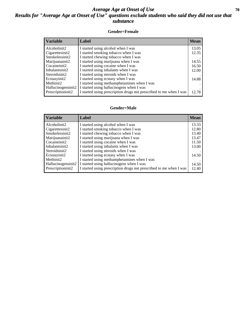### *Average Age at Onset of Use* 70 *Results for "Average Age at Onset of Use" questions exclude students who said they did not use that substance*

#### **Gender=Female**

| <b>Variable</b>    | <b>Label</b>                                                       | <b>Mean</b> |
|--------------------|--------------------------------------------------------------------|-------------|
| Alcoholinit2       | I started using alcohol when I was                                 | 13.05       |
| Cigarettesinit2    | I started smoking tobacco when I was                               | 12.35       |
| Smokelessinit2     | I started chewing tobacco when I was                               |             |
| Marijuanainit2     | I started using marijuana when I was                               | 14.55       |
| Cocaineinit2       | I started using cocaine when I was                                 | 16.50       |
| Inhalantsinit2     | I started using inhalants when I was                               | 12.00       |
| Steroidsinit2      | I started using steroids when I was                                |             |
| Ecstasyinit2       | I started using ecstasy when I was                                 | 14.88       |
| Methinit2          | I started using methamphetamines when I was                        |             |
| Hallucinogensinit2 | I started using hallucinogens when I was                           |             |
| Prescription in t2 | I started using prescription drugs not prescribed to me when I was | 12.78       |

#### **Gender=Male**

| <b>Variable</b>                 | Label                                                                             | <b>Mean</b> |
|---------------------------------|-----------------------------------------------------------------------------------|-------------|
| Alcoholinit2                    | I started using alcohol when I was                                                | 13.33       |
| Cigarettesinit2                 | I started smoking tobacco when I was                                              | 12.80       |
| Smokelessinit2                  | I started chewing tobacco when I was                                              | 13.40       |
| Marijuanainit2                  | I started using marijuana when I was                                              | 13.47       |
| Cocaineinit2                    | I started using cocaine when I was                                                | 11.50       |
| Inhalantsinit2<br>Steroidsinit2 | I started using inhalants when I was<br>I started using steroids when I was       | 13.00       |
| Ecstasyinit2<br>Methinit2       | I started using ecstasy when I was<br>I started using methamphetamines when I was | 14.50       |
| Hallucinogensinit2              | I started using hallucinogens when I was                                          | 14.50       |
| Prescription in t2              | I started using prescription drugs not prescribed to me when I was                | 12.40       |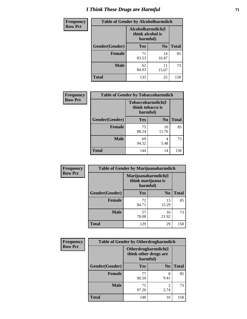# *I Think These Drugs are Harmful* **71**

| <b>Frequency</b> | <b>Table of Gender by Alcoholharmdich</b> |                                                   |                |              |
|------------------|-------------------------------------------|---------------------------------------------------|----------------|--------------|
| <b>Row Pct</b>   |                                           | Alcoholharmdich(I<br>think alcohol is<br>harmful) |                |              |
|                  | Gender(Gender)                            | <b>Yes</b>                                        | N <sub>0</sub> | <b>Total</b> |
|                  | <b>Female</b>                             | 71<br>83.53                                       | 14<br>16.47    | 85           |
|                  | <b>Male</b>                               | 62<br>84.93                                       | 11<br>15.07    | 73           |
|                  | <b>Total</b>                              | 133                                               | 25             | 158          |

| Frequency      | <b>Table of Gender by Tobaccoharmdich</b> |                  |                               |              |
|----------------|-------------------------------------------|------------------|-------------------------------|--------------|
| <b>Row Pct</b> |                                           | think tobacco is | Tobaccoharmdich(I<br>harmful) |              |
|                | Gender(Gender)                            | Yes              | N <sub>0</sub>                | <b>Total</b> |
|                | <b>Female</b>                             | 75<br>88.24      | 10<br>11.76                   | 85           |
|                | <b>Male</b>                               | 69<br>94.52      | 4<br>5.48                     | 73           |
|                | <b>Total</b>                              | 144              | 14                            | 158          |

| Frequency      | <b>Table of Gender by Marijuanaharmdich</b> |                                |                     |              |  |
|----------------|---------------------------------------------|--------------------------------|---------------------|--------------|--|
| <b>Row Pct</b> |                                             | think marijuana is<br>harmful) | Marijuanaharmdich(I |              |  |
|                | Gender(Gender)                              | <b>Yes</b>                     | N <sub>0</sub>      | <b>Total</b> |  |
|                | <b>Female</b>                               | 72<br>84.71                    | 13<br>15.29         | 85           |  |
|                | <b>Male</b>                                 | 57<br>78.08                    | 16<br>21.92         | 73           |  |
|                | <b>Total</b>                                | 129                            | 29                  | 158          |  |

| Frequency      | <b>Table of Gender by Otherdrugharmdich</b> |                                                          |                |              |  |
|----------------|---------------------------------------------|----------------------------------------------------------|----------------|--------------|--|
| <b>Row Pct</b> |                                             | Otherdrugharmdich(I<br>think other drugs are<br>harmful) |                |              |  |
|                | Gender(Gender)                              | <b>Yes</b>                                               | N <sub>0</sub> | <b>Total</b> |  |
|                | <b>Female</b>                               | 77<br>90.59                                              | 8<br>9.41      | 85           |  |
|                | <b>Male</b>                                 | 71<br>97.26                                              | 2<br>2.74      | 73           |  |
|                | <b>Total</b>                                | 148                                                      | 10             | 158          |  |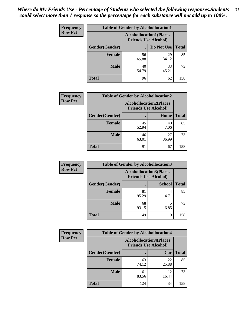| <b>Frequency</b> | <b>Table of Gender by Alcohollocation1</b> |                                                               |             |              |
|------------------|--------------------------------------------|---------------------------------------------------------------|-------------|--------------|
| <b>Row Pct</b>   |                                            | <b>Alcohollocation1(Places</b><br><b>Friends Use Alcohol)</b> |             |              |
|                  | Gender(Gender)                             |                                                               | Do Not Use  | <b>Total</b> |
|                  | <b>Female</b>                              | 56<br>65.88                                                   | 29<br>34.12 | 85           |
|                  | <b>Male</b>                                | 40<br>54.79                                                   | 33<br>45.21 | 73           |
|                  | Total                                      | 96                                                            | 62          | 158          |

| <b>Frequency</b> | <b>Table of Gender by Alcohollocation2</b> |             |                                                               |              |
|------------------|--------------------------------------------|-------------|---------------------------------------------------------------|--------------|
| <b>Row Pct</b>   |                                            |             | <b>Alcohollocation2(Places</b><br><b>Friends Use Alcohol)</b> |              |
|                  | Gender(Gender)                             |             | Home                                                          | <b>Total</b> |
|                  | <b>Female</b>                              | 45<br>52.94 | 40<br>47.06                                                   | 85           |
|                  | <b>Male</b>                                | 46<br>63.01 | 27<br>36.99                                                   | 73           |
|                  | <b>Total</b>                               | 91          | 67                                                            | 158          |

| Frequency      | <b>Table of Gender by Alcohollocation3</b> |                                                               |               |              |
|----------------|--------------------------------------------|---------------------------------------------------------------|---------------|--------------|
| <b>Row Pct</b> |                                            | <b>Alcohollocation3(Places</b><br><b>Friends Use Alcohol)</b> |               |              |
|                | Gender(Gender)                             |                                                               | <b>School</b> | <b>Total</b> |
|                | <b>Female</b>                              | 81<br>95.29                                                   | 4.71          | 85           |
|                | <b>Male</b>                                | 68<br>93.15                                                   | 6.85          | 73           |
|                | <b>Total</b>                               | 149                                                           | 9             | 158          |

| Frequency      | <b>Table of Gender by Alcohollocation4</b> |                                                               |             |              |
|----------------|--------------------------------------------|---------------------------------------------------------------|-------------|--------------|
| <b>Row Pct</b> |                                            | <b>Alcohollocation4(Places</b><br><b>Friends Use Alcohol)</b> |             |              |
|                | Gender(Gender)                             |                                                               | Car         | <b>Total</b> |
|                | <b>Female</b>                              | 63<br>74.12                                                   | 22<br>25.88 | 85           |
|                | <b>Male</b>                                | 61<br>83.56                                                   | 12<br>16.44 | 73           |
|                | <b>Total</b>                               | 124                                                           | 34          | 158          |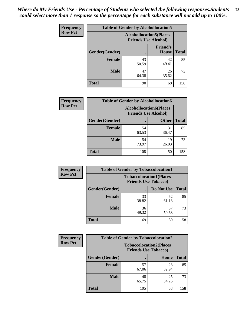| <b>Frequency</b> |                | <b>Table of Gender by Alcohollocation5</b> |                                                                |              |
|------------------|----------------|--------------------------------------------|----------------------------------------------------------------|--------------|
| <b>Row Pct</b>   |                |                                            | <b>Alcohollocation5</b> (Places<br><b>Friends Use Alcohol)</b> |              |
|                  | Gender(Gender) | $\bullet$                                  | <b>Friend's</b><br>House                                       | <b>Total</b> |
|                  | <b>Female</b>  | 43<br>50.59                                | 42<br>49.41                                                    | 85           |
|                  | <b>Male</b>    | 47<br>64.38                                | 26<br>35.62                                                    | 73           |
|                  | <b>Total</b>   | 90                                         | 68                                                             | 158          |

| Frequency      | <b>Table of Gender by Alcohollocation6</b> |                                                               |              |              |
|----------------|--------------------------------------------|---------------------------------------------------------------|--------------|--------------|
| <b>Row Pct</b> |                                            | <b>Alcohollocation6(Places</b><br><b>Friends Use Alcohol)</b> |              |              |
|                | <b>Gender</b> (Gender)                     |                                                               | <b>Other</b> | <b>Total</b> |
|                | Female                                     | 54<br>63.53                                                   | 31<br>36.47  | 85           |
|                | <b>Male</b>                                | 54<br>73.97                                                   | 19<br>26.03  | 73           |
|                | <b>Total</b>                               | 108                                                           | 50           | 158          |

| Frequency      | <b>Table of Gender by Tobaccolocation1</b> |                                                               |             |              |  |
|----------------|--------------------------------------------|---------------------------------------------------------------|-------------|--------------|--|
| <b>Row Pct</b> |                                            | <b>Tobaccolocation1(Places</b><br><b>Friends Use Tobacco)</b> |             |              |  |
|                | Gender(Gender)                             |                                                               | Do Not Use  | <b>Total</b> |  |
|                | Female                                     | 33<br>38.82                                                   | 52<br>61.18 | 85           |  |
|                | <b>Male</b>                                | 36<br>49.32                                                   | 37<br>50.68 | 73           |  |
|                | <b>Total</b>                               | 69                                                            | 89          | 158          |  |

| <b>Frequency</b> |                | <b>Table of Gender by Tobaccolocation2</b> |                                |              |
|------------------|----------------|--------------------------------------------|--------------------------------|--------------|
| <b>Row Pct</b>   |                | <b>Friends Use Tobacco)</b>                | <b>Tobaccolocation2(Places</b> |              |
|                  | Gender(Gender) |                                            | Home                           | <b>Total</b> |
|                  | Female         | 57<br>67.06                                | 28<br>32.94                    | 85           |
|                  | <b>Male</b>    | 48<br>65.75                                | 25<br>34.25                    | 73           |
|                  | <b>Total</b>   | 105                                        | 53                             | 158          |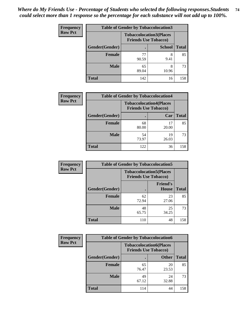| <b>Frequency</b> | <b>Table of Gender by Tobaccolocation3</b> |                             |                                |              |
|------------------|--------------------------------------------|-----------------------------|--------------------------------|--------------|
| <b>Row Pct</b>   |                                            | <b>Friends Use Tobacco)</b> | <b>Tobaccolocation3(Places</b> |              |
|                  | Gender(Gender)                             |                             | <b>School</b>                  | <b>Total</b> |
|                  | Female                                     | 90.59                       | 8<br>9.41                      | 85           |
|                  | <b>Male</b>                                | 65<br>89.04                 | 8<br>10.96                     | 73           |
|                  | <b>Total</b>                               | 142                         | 16                             | 158          |

| <b>Frequency</b> | <b>Table of Gender by Tobaccolocation4</b> |                             |                                |              |
|------------------|--------------------------------------------|-----------------------------|--------------------------------|--------------|
| <b>Row Pct</b>   |                                            | <b>Friends Use Tobacco)</b> | <b>Tobaccolocation4(Places</b> |              |
|                  | Gender(Gender)                             |                             | Car                            | <b>Total</b> |
|                  | <b>Female</b>                              | 68<br>80.00                 | 17<br>20.00                    | 85           |
|                  | <b>Male</b>                                | 54<br>73.97                 | 19<br>26.03                    | 73           |
|                  | <b>Total</b>                               | 122                         | 36                             | 158          |

| <b>Frequency</b> | <b>Table of Gender by Tobaccolocation5</b> |                             |                                |              |
|------------------|--------------------------------------------|-----------------------------|--------------------------------|--------------|
| <b>Row Pct</b>   |                                            | <b>Friends Use Tobacco)</b> | <b>Tobaccolocation5(Places</b> |              |
|                  | Gender(Gender)                             |                             | <b>Friend's</b><br>House       | <b>Total</b> |
|                  | Female                                     | 62<br>72.94                 | 23<br>27.06                    | 85           |
|                  | <b>Male</b>                                | 48<br>65.75                 | 25<br>34.25                    | 73           |
|                  | <b>Total</b>                               | 110                         | 48                             | 158          |

| <b>Frequency</b> | <b>Table of Gender by Tobaccolocation6</b> |                                                               |              |              |
|------------------|--------------------------------------------|---------------------------------------------------------------|--------------|--------------|
| <b>Row Pct</b>   |                                            | <b>Tobaccolocation6(Places</b><br><b>Friends Use Tobacco)</b> |              |              |
|                  | Gender(Gender)                             |                                                               | <b>Other</b> | <b>Total</b> |
|                  | Female                                     | 65<br>76.47                                                   | 20<br>23.53  | 85           |
|                  | <b>Male</b>                                | 49<br>67.12                                                   | 24<br>32.88  | 73           |
|                  | <b>Total</b>                               | 114                                                           | 44           | 158          |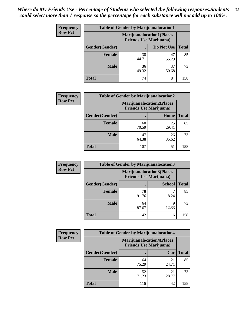| <b>Frequency</b> | <b>Table of Gender by Marijuanalocation1</b> |                                |                                  |              |  |
|------------------|----------------------------------------------|--------------------------------|----------------------------------|--------------|--|
| <b>Row Pct</b>   |                                              | <b>Friends Use Marijuana</b> ) | <b>Marijuanalocation1(Places</b> |              |  |
|                  | <b>Gender</b> (Gender)                       |                                | Do Not Use                       | <b>Total</b> |  |
|                  | <b>Female</b>                                | 38<br>44.71                    | 47<br>55.29                      | 85           |  |
|                  | <b>Male</b>                                  | 36<br>49.32                    | 37<br>50.68                      | 73           |  |
|                  | <b>Total</b>                                 | 74                             | 84                               | 158          |  |

| <b>Frequency</b> | <b>Table of Gender by Marijuanalocation2</b> |                                                                    |             |              |
|------------------|----------------------------------------------|--------------------------------------------------------------------|-------------|--------------|
| <b>Row Pct</b>   |                                              | <b>Marijuanalocation2(Places</b><br><b>Friends Use Marijuana</b> ) |             |              |
|                  | Gender(Gender)                               |                                                                    | Home        | <b>Total</b> |
|                  | Female                                       | 60<br>70.59                                                        | 25<br>29.41 | 85           |
|                  | <b>Male</b>                                  | 47<br>64.38                                                        | 26<br>35.62 | 73           |
|                  | <b>Total</b>                                 | 107                                                                | 51          | 158          |

| Frequency      | <b>Table of Gender by Marijuanalocation3</b> |                                                                    |               |              |
|----------------|----------------------------------------------|--------------------------------------------------------------------|---------------|--------------|
| <b>Row Pct</b> |                                              | <b>Marijuanalocation3(Places</b><br><b>Friends Use Marijuana</b> ) |               |              |
|                | Gender(Gender)                               |                                                                    | <b>School</b> | <b>Total</b> |
|                | Female                                       | 78<br>91.76                                                        | 8.24          | 85           |
|                | <b>Male</b>                                  | 64<br>87.67                                                        | 9<br>12.33    | 73           |
|                | <b>Total</b>                                 | 142                                                                | 16            | 158          |

| Frequency      |                | <b>Table of Gender by Marijuanalocation4</b> |                                  |              |  |  |
|----------------|----------------|----------------------------------------------|----------------------------------|--------------|--|--|
| <b>Row Pct</b> |                | <b>Friends Use Marijuana</b> )               | <b>Marijuanalocation4(Places</b> |              |  |  |
|                | Gender(Gender) |                                              | Car                              | <b>Total</b> |  |  |
|                | <b>Female</b>  | 64<br>75.29                                  | 21<br>24.71                      | 85           |  |  |
|                | <b>Male</b>    | 52<br>71.23                                  | 21<br>28.77                      | 73           |  |  |
|                | <b>Total</b>   | 116                                          | 42                               | 158          |  |  |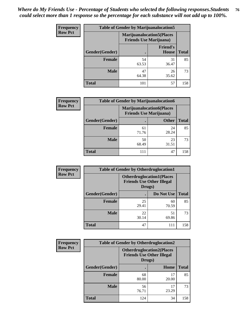| <b>Frequency</b> | <b>Table of Gender by Marijuanalocation5</b> |             |                                                                    |              |
|------------------|----------------------------------------------|-------------|--------------------------------------------------------------------|--------------|
| <b>Row Pct</b>   |                                              |             | <b>Marijuanalocation5(Places</b><br><b>Friends Use Marijuana</b> ) |              |
|                  | Gender(Gender)                               |             | <b>Friend's</b><br>House                                           | <b>Total</b> |
|                  | <b>Female</b>                                | 54<br>63.53 | 31<br>36.47                                                        | 85           |
|                  | <b>Male</b>                                  | 47<br>64.38 | 26<br>35.62                                                        | 73           |
|                  | <b>Total</b>                                 | 101         | 57                                                                 | 158          |

| <b>Frequency</b> | <b>Table of Gender by Marijuanalocation6</b> |                                |                                  |              |
|------------------|----------------------------------------------|--------------------------------|----------------------------------|--------------|
| <b>Row Pct</b>   |                                              | <b>Friends Use Marijuana</b> ) | <b>Marijuanalocation6(Places</b> |              |
|                  | <b>Gender</b> (Gender)                       |                                | <b>Other</b>                     | <b>Total</b> |
|                  | <b>Female</b>                                | 61<br>71.76                    | 24<br>28.24                      | 85           |
|                  | <b>Male</b>                                  | 50<br>68.49                    | 23<br>31.51                      | 73           |
|                  | <b>Total</b>                                 | 111                            | 47                               | 158          |

| <b>Frequency</b> | <b>Table of Gender by Otherdruglocation1</b> |                                                                                |             |              |
|------------------|----------------------------------------------|--------------------------------------------------------------------------------|-------------|--------------|
| <b>Row Pct</b>   |                                              | <b>Otherdruglocation1(Places</b><br><b>Friends Use Other Illegal</b><br>Drugs) |             |              |
|                  | Gender(Gender)                               |                                                                                | Do Not Use  | <b>Total</b> |
|                  | Female                                       | 25<br>29.41                                                                    | 60<br>70.59 | 85           |
|                  | <b>Male</b>                                  | 22<br>30.14                                                                    | 51<br>69.86 | 73           |
|                  | <b>Total</b>                                 | 47                                                                             | 111         | 158          |

| <b>Frequency</b> | <b>Table of Gender by Otherdruglocation2</b> |                                                                                |             |              |
|------------------|----------------------------------------------|--------------------------------------------------------------------------------|-------------|--------------|
| <b>Row Pct</b>   |                                              | <b>Otherdruglocation2(Places</b><br><b>Friends Use Other Illegal</b><br>Drugs) |             |              |
|                  | Gender(Gender)                               |                                                                                | Home        | <b>Total</b> |
|                  | <b>Female</b>                                | 68<br>80.00                                                                    | 17<br>20.00 | 85           |
|                  | <b>Male</b>                                  | 56<br>76.71                                                                    | 17<br>23.29 | 73           |
|                  | <b>Total</b>                                 | 124                                                                            | 34          | 158          |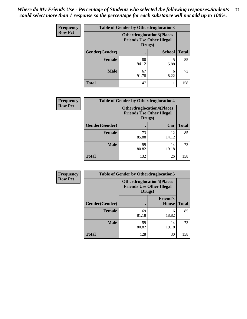| <b>Frequency</b> | <b>Table of Gender by Otherdruglocation3</b> |                                                                                |               |              |
|------------------|----------------------------------------------|--------------------------------------------------------------------------------|---------------|--------------|
| <b>Row Pct</b>   |                                              | <b>Otherdruglocation3(Places</b><br><b>Friends Use Other Illegal</b><br>Drugs) |               |              |
|                  | Gender(Gender)                               |                                                                                | <b>School</b> | <b>Total</b> |
|                  | Female                                       | 80<br>94.12                                                                    | 5<br>5.88     | 85           |
|                  | <b>Male</b>                                  | 67<br>91.78                                                                    | 6<br>8.22     | 73           |
|                  | <b>Total</b>                                 | 147                                                                            | 11            | 158          |

| <b>Frequency</b> | <b>Table of Gender by Otherdruglocation4</b> |             |                                                                                |              |
|------------------|----------------------------------------------|-------------|--------------------------------------------------------------------------------|--------------|
| <b>Row Pct</b>   |                                              |             | <b>Otherdruglocation4(Places</b><br><b>Friends Use Other Illegal</b><br>Drugs) |              |
|                  | Gender(Gender)                               |             | Car                                                                            | <b>Total</b> |
|                  | Female                                       | 73<br>85.88 | 12<br>14.12                                                                    | 85           |
|                  | <b>Male</b>                                  | 59<br>80.82 | 14<br>19.18                                                                    | 73           |
|                  | <b>Total</b>                                 | 132         | 26                                                                             | 158          |

| <b>Frequency</b> | <b>Table of Gender by Otherdruglocation5</b> |                                            |                                  |              |
|------------------|----------------------------------------------|--------------------------------------------|----------------------------------|--------------|
| <b>Row Pct</b>   |                                              | <b>Friends Use Other Illegal</b><br>Drugs) | <b>Otherdruglocation5(Places</b> |              |
|                  | Gender(Gender)                               |                                            | <b>Friend's</b><br><b>House</b>  | <b>Total</b> |
|                  | <b>Female</b>                                | 69<br>81.18                                | 16<br>18.82                      | 85           |
|                  | <b>Male</b>                                  | 59<br>80.82                                | 14<br>19.18                      | 73           |
|                  | <b>Total</b>                                 | 128                                        | 30                               | 158          |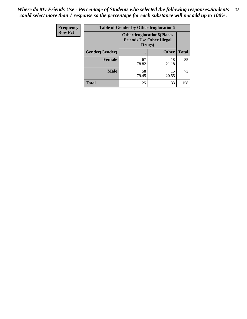| <b>Frequency</b> | <b>Table of Gender by Otherdruglocation6</b> |                                            |                                  |              |
|------------------|----------------------------------------------|--------------------------------------------|----------------------------------|--------------|
| <b>Row Pct</b>   |                                              | <b>Friends Use Other Illegal</b><br>Drugs) | <b>Otherdruglocation6(Places</b> |              |
|                  | Gender(Gender)                               |                                            | <b>Other</b>                     | <b>Total</b> |
|                  | <b>Female</b>                                | 67<br>78.82                                | 18<br>21.18                      | 85           |
|                  | <b>Male</b>                                  | 58<br>79.45                                | 15<br>20.55                      | 73           |
|                  | <b>Total</b>                                 | 125                                        | 33                               | 158          |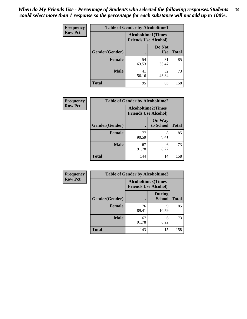| <b>Frequency</b> | <b>Table of Gender by Alcoholtime1</b> |                                                          |                      |              |
|------------------|----------------------------------------|----------------------------------------------------------|----------------------|--------------|
| <b>Row Pct</b>   |                                        | <b>Alcoholtime1(Times</b><br><b>Friends Use Alcohol)</b> |                      |              |
|                  | Gender(Gender)                         | $\bullet$                                                | Do Not<br><b>Use</b> | <b>Total</b> |
|                  | <b>Female</b>                          | 54<br>63.53                                              | 31<br>36.47          | 85           |
|                  | <b>Male</b>                            | 41<br>56.16                                              | 32<br>43.84          | 73           |
|                  | <b>Total</b>                           | 95                                                       | 63                   | 158          |

| <b>Frequency</b> | <b>Table of Gender by Alcoholtime2</b> |                                                          |                            |              |
|------------------|----------------------------------------|----------------------------------------------------------|----------------------------|--------------|
| <b>Row Pct</b>   |                                        | <b>Alcoholtime2(Times</b><br><b>Friends Use Alcohol)</b> |                            |              |
|                  | Gender(Gender)                         |                                                          | <b>On Way</b><br>to School | <b>Total</b> |
|                  | <b>Female</b>                          | 77<br>90.59                                              | 8<br>9.41                  | 85           |
|                  | <b>Male</b>                            | 67<br>91.78                                              | 6<br>8.22                  | 73           |
|                  | <b>Total</b>                           | 144                                                      | 14                         | 158          |

| <b>Frequency</b> | <b>Table of Gender by Alcoholtime3</b> |                                                          |                                |              |
|------------------|----------------------------------------|----------------------------------------------------------|--------------------------------|--------------|
| <b>Row Pct</b>   |                                        | <b>Alcoholtime3(Times</b><br><b>Friends Use Alcohol)</b> |                                |              |
|                  | Gender(Gender)                         |                                                          | <b>During</b><br><b>School</b> | <b>Total</b> |
|                  | Female                                 | 76<br>89.41                                              | 9<br>10.59                     | 85           |
|                  | <b>Male</b>                            | 67<br>91.78                                              | 6<br>8.22                      | 73           |
|                  | <b>Total</b>                           | 143                                                      | 15                             | 158          |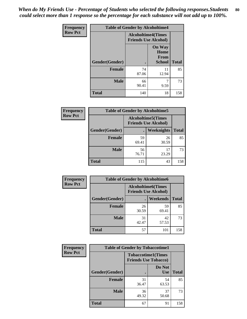*When do My Friends Use - Percentage of Students who selected the following responses.Students could select more than 1 response so the percentage for each substance will not add up to 100%.* **80**

| <b>Frequency</b> | <b>Table of Gender by Alcoholtime4</b> |                                                          |                                         |              |
|------------------|----------------------------------------|----------------------------------------------------------|-----------------------------------------|--------------|
| <b>Row Pct</b>   |                                        | <b>Alcoholtime4(Times</b><br><b>Friends Use Alcohol)</b> |                                         |              |
|                  | Gender(Gender)                         | $\bullet$                                                | <b>On Way</b><br>Home<br>From<br>School | <b>Total</b> |
|                  | <b>Female</b>                          | 74<br>87.06                                              | 11<br>12.94                             | 85           |
|                  | <b>Male</b>                            | 66<br>90.41                                              | 7<br>9.59                               | 73           |
|                  | <b>Total</b>                           | 140                                                      | 18                                      | 158          |

| <b>Frequency</b> | <b>Table of Gender by Alcoholtime5</b> |                                                           |                   |              |
|------------------|----------------------------------------|-----------------------------------------------------------|-------------------|--------------|
| <b>Row Pct</b>   |                                        | <b>Alcoholtime5</b> (Times<br><b>Friends Use Alcohol)</b> |                   |              |
|                  | Gender(Gender)                         |                                                           | <b>Weeknights</b> | <b>Total</b> |
|                  | <b>Female</b>                          | 59<br>69.41                                               | 26<br>30.59       | 85           |
|                  | <b>Male</b>                            | 56<br>76.71                                               | 17<br>23.29       | 73           |
|                  | <b>Total</b>                           | 115                                                       | 43                | 158          |

| <b>Frequency</b> | <b>Table of Gender by Alcoholtime6</b> |                                                           |                 |              |
|------------------|----------------------------------------|-----------------------------------------------------------|-----------------|--------------|
| <b>Row Pct</b>   |                                        | <b>Alcoholtime6</b> (Times<br><b>Friends Use Alcohol)</b> |                 |              |
|                  | Gender(Gender)                         |                                                           | <b>Weekends</b> | <b>Total</b> |
|                  | <b>Female</b>                          | 26<br>30.59                                               | 59<br>69.41     | 85           |
|                  | <b>Male</b>                            | 31<br>42.47                                               | 42<br>57.53     | 73           |
|                  | Total                                  | 57                                                        | 101             | 158          |

| Frequency      | <b>Table of Gender by Tobaccotime1</b> |                                                          |                      |              |
|----------------|----------------------------------------|----------------------------------------------------------|----------------------|--------------|
| <b>Row Pct</b> |                                        | <b>Tobaccotime1(Times</b><br><b>Friends Use Tobacco)</b> |                      |              |
|                | Gender(Gender)                         |                                                          | Do Not<br><b>Use</b> | <b>Total</b> |
|                | <b>Female</b>                          | 31<br>36.47                                              | 54<br>63.53          | 85           |
|                | <b>Male</b>                            | 36<br>49.32                                              | 37<br>50.68          | 73           |
|                | <b>Total</b>                           | 67                                                       | 91                   | 158          |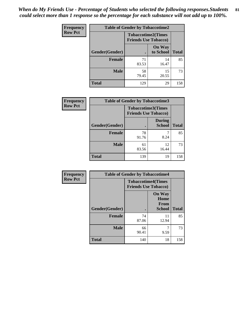| <b>Frequency</b> | <b>Table of Gender by Tobaccotime2</b> |                                                          |                            |              |
|------------------|----------------------------------------|----------------------------------------------------------|----------------------------|--------------|
| <b>Row Pct</b>   |                                        | <b>Tobaccotime2(Times</b><br><b>Friends Use Tobacco)</b> |                            |              |
|                  | Gender(Gender)                         |                                                          | <b>On Way</b><br>to School | <b>Total</b> |
|                  | <b>Female</b>                          | 71<br>83.53                                              | 14<br>16.47                | 85           |
|                  | <b>Male</b>                            | 58<br>79.45                                              | 15<br>20.55                | 73           |
|                  | <b>Total</b>                           | 129                                                      | 29                         | 158          |

| <b>Frequency</b> | <b>Table of Gender by Tobaccotime3</b> |                                                          |                                |              |
|------------------|----------------------------------------|----------------------------------------------------------|--------------------------------|--------------|
| <b>Row Pct</b>   |                                        | <b>Tobaccotime3(Times</b><br><b>Friends Use Tobacco)</b> |                                |              |
|                  | Gender(Gender)                         |                                                          | <b>During</b><br><b>School</b> | <b>Total</b> |
|                  | <b>Female</b>                          | 78<br>91.76                                              | 8.24                           | 85           |
|                  | <b>Male</b>                            | 61<br>83.56                                              | 12<br>16.44                    | 73           |
|                  | <b>Total</b>                           | 139                                                      | 19                             | 158          |

| <b>Frequency</b> | <b>Table of Gender by Tobaccotime4</b> |                                                          |                                                |              |
|------------------|----------------------------------------|----------------------------------------------------------|------------------------------------------------|--------------|
| <b>Row Pct</b>   |                                        | <b>Tobaccotime4(Times</b><br><b>Friends Use Tobacco)</b> |                                                |              |
|                  | Gender(Gender)                         |                                                          | <b>On Way</b><br>Home<br>From<br><b>School</b> | <b>Total</b> |
|                  | <b>Female</b>                          | 74<br>87.06                                              | 11<br>12.94                                    | 85           |
|                  | <b>Male</b>                            | 66<br>90.41                                              | 7<br>9.59                                      | 73           |
|                  | <b>Total</b>                           | 140                                                      | 18                                             | 158          |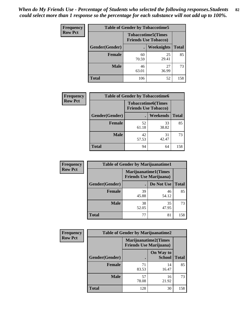| <b>Frequency</b> | <b>Table of Gender by Tobaccotime5</b> |                                                          |                   |              |
|------------------|----------------------------------------|----------------------------------------------------------|-------------------|--------------|
| <b>Row Pct</b>   |                                        | <b>Tobaccotime5(Times</b><br><b>Friends Use Tobacco)</b> |                   |              |
|                  | Gender(Gender)                         |                                                          | <b>Weeknights</b> | <b>Total</b> |
|                  | Female                                 | 60<br>70.59                                              | 25<br>29.41       | 85           |
|                  | <b>Male</b>                            | 46<br>63.01                                              | 27<br>36.99       | 73           |
|                  | <b>Total</b>                           | 106                                                      | 52                | 158          |

| Frequency      | <b>Table of Gender by Tobaccotime6</b> |                             |                           |              |
|----------------|----------------------------------------|-----------------------------|---------------------------|--------------|
| <b>Row Pct</b> |                                        | <b>Friends Use Tobacco)</b> | <b>Tobaccotime6(Times</b> |              |
|                | Gender(Gender)                         |                             | <b>Weekends</b>           | <b>Total</b> |
|                | Female                                 | 52<br>61.18                 | 33<br>38.82               | 85           |
|                | <b>Male</b>                            | 42<br>57.53                 | 31<br>42.47               | 73           |
|                | <b>Total</b>                           | 94                          | 64                        | 158          |

| <b>Frequency</b> |                | <b>Table of Gender by Marijuanatime1</b>                      |             |              |  |
|------------------|----------------|---------------------------------------------------------------|-------------|--------------|--|
| <b>Row Pct</b>   |                | <b>Marijuanatime1(Times</b><br><b>Friends Use Marijuana</b> ) |             |              |  |
|                  | Gender(Gender) |                                                               | Do Not Use  | <b>Total</b> |  |
|                  | <b>Female</b>  | 39<br>45.88                                                   | 46<br>54.12 | 85           |  |
|                  | <b>Male</b>    | 38<br>52.05                                                   | 35<br>47.95 | 73           |  |
|                  | <b>Total</b>   | 77                                                            | 81          | 158          |  |

| <b>Frequency</b> | <b>Table of Gender by Marijuanatime2</b> |                                                               |                            |              |
|------------------|------------------------------------------|---------------------------------------------------------------|----------------------------|--------------|
| <b>Row Pct</b>   |                                          | <b>Marijuanatime2(Times</b><br><b>Friends Use Marijuana</b> ) |                            |              |
|                  | Gender(Gender)                           |                                                               | On Way to<br><b>School</b> | <b>Total</b> |
|                  | Female                                   | 71<br>83.53                                                   | 14<br>16.47                | 85           |
|                  | <b>Male</b>                              | 57<br>78.08                                                   | 16<br>21.92                | 73           |
|                  | <b>Total</b>                             | 128                                                           | 30                         | 158          |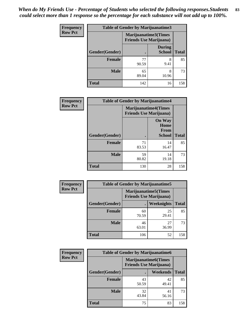| <b>Frequency</b> | <b>Table of Gender by Marijuanatime3</b> |                                |                                |              |
|------------------|------------------------------------------|--------------------------------|--------------------------------|--------------|
| <b>Row Pct</b>   |                                          | <b>Friends Use Marijuana</b> ) | Marijuanatime3(Times           |              |
|                  | Gender(Gender)                           |                                | <b>During</b><br><b>School</b> | <b>Total</b> |
|                  | <b>Female</b>                            | 77<br>90.59                    | 8<br>9.41                      | 85           |
|                  | <b>Male</b>                              | 65<br>89.04                    | 8<br>10.96                     | 73           |
|                  | <b>Total</b>                             | 142                            | 16                             | 158          |

| Frequency      | <b>Table of Gender by Marijuanatime4</b> |                                                                |                                                       |              |
|----------------|------------------------------------------|----------------------------------------------------------------|-------------------------------------------------------|--------------|
| <b>Row Pct</b> |                                          | <b>Marijuanatime4</b> (Times<br><b>Friends Use Marijuana</b> ) |                                                       |              |
|                | Gender(Gender)                           |                                                                | <b>On Way</b><br>Home<br><b>From</b><br><b>School</b> | <b>Total</b> |
|                | <b>Female</b>                            | 71<br>83.53                                                    | 14<br>16.47                                           | 85           |
|                | <b>Male</b>                              | 59<br>80.82                                                    | 14<br>19.18                                           | 73           |
|                | <b>Total</b>                             | 130                                                            | 28                                                    | 158          |

| Frequency      | <b>Table of Gender by Marijuanatime5</b> |                                                                |             |              |  |  |
|----------------|------------------------------------------|----------------------------------------------------------------|-------------|--------------|--|--|
| <b>Row Pct</b> |                                          | <b>Marijuanatime5</b> (Times<br><b>Friends Use Marijuana</b> ) |             |              |  |  |
|                | Gender(Gender)                           |                                                                | Weeknights  | <b>Total</b> |  |  |
|                | <b>Female</b>                            | 60<br>70.59                                                    | 25<br>29.41 | 85           |  |  |
|                | <b>Male</b>                              | 46<br>63.01                                                    | 27<br>36.99 | 73           |  |  |
|                | <b>Total</b>                             | 106                                                            | 52          | 158          |  |  |

| Frequency      | <b>Table of Gender by Marijuanatime6</b> |                                                               |                 |              |  |  |
|----------------|------------------------------------------|---------------------------------------------------------------|-----------------|--------------|--|--|
| <b>Row Pct</b> |                                          | <b>Marijuanatime6(Times</b><br><b>Friends Use Marijuana</b> ) |                 |              |  |  |
|                | Gender(Gender)                           |                                                               | <b>Weekends</b> | <b>Total</b> |  |  |
|                | <b>Female</b>                            | 43<br>50.59                                                   | 42<br>49.41     | 85           |  |  |
|                | <b>Male</b>                              | 32<br>43.84                                                   | 41<br>56.16     | 73           |  |  |
|                | <b>Total</b>                             | 75                                                            | 83              | 158          |  |  |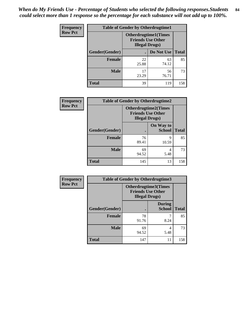*When do My Friends Use - Percentage of Students who selected the following responses.Students could select more than 1 response so the percentage for each substance will not add up to 100%.* **84**

| <b>Frequency</b> |                | <b>Table of Gender by Otherdrugtime1</b>                                          |             |              |
|------------------|----------------|-----------------------------------------------------------------------------------|-------------|--------------|
| <b>Row Pct</b>   |                | <b>Otherdrugtime1</b> (Times<br><b>Friends Use Other</b><br><b>Illegal Drugs)</b> |             |              |
|                  | Gender(Gender) |                                                                                   | Do Not Use  | <b>Total</b> |
|                  | <b>Female</b>  | 22<br>25.88                                                                       | 63<br>74.12 | 85           |
|                  | <b>Male</b>    | 17<br>23.29                                                                       | 56<br>76.71 | 73           |
|                  | Total          | 39                                                                                | 119         | 158          |

| Frequency      | <b>Table of Gender by Otherdrugtime2</b> |                                                                                   |                            |              |  |  |
|----------------|------------------------------------------|-----------------------------------------------------------------------------------|----------------------------|--------------|--|--|
| <b>Row Pct</b> |                                          | <b>Otherdrugtime2(Times</b><br><b>Friends Use Other</b><br><b>Illegal Drugs</b> ) |                            |              |  |  |
|                | Gender(Gender)                           |                                                                                   | On Way to<br><b>School</b> | <b>Total</b> |  |  |
|                | <b>Female</b>                            | 76<br>89.41                                                                       | 9<br>10.59                 | 85           |  |  |
|                | <b>Male</b>                              | 69<br>94.52                                                                       | 4<br>5.48                  | 73           |  |  |
|                | <b>Total</b>                             | 145                                                                               | 13                         | 158          |  |  |

| Frequency      | <b>Table of Gender by Otherdrugtime3</b> |                        |                                                  |              |  |
|----------------|------------------------------------------|------------------------|--------------------------------------------------|--------------|--|
| <b>Row Pct</b> |                                          | <b>Illegal Drugs</b> ) | Otherdrugtime3(Times<br><b>Friends Use Other</b> |              |  |
|                | Gender(Gender)                           |                        | <b>During</b><br><b>School</b>                   | <b>Total</b> |  |
|                | <b>Female</b>                            | 78<br>91.76            | 8.24                                             | 85           |  |
|                | <b>Male</b>                              | 69<br>94.52            | 4<br>5.48                                        | 73           |  |
|                | <b>Total</b>                             | 147                    | 11                                               | 158          |  |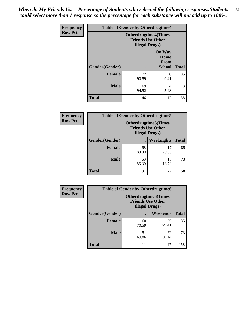*When do My Friends Use - Percentage of Students who selected the following responses.Students could select more than 1 response so the percentage for each substance will not add up to 100%.* **85**

| <b>Frequency</b> |                | <b>Table of Gender by Otherdrugtime4</b>                                          |                                                       |              |
|------------------|----------------|-----------------------------------------------------------------------------------|-------------------------------------------------------|--------------|
| <b>Row Pct</b>   |                | <b>Otherdrugtime4(Times</b><br><b>Friends Use Other</b><br><b>Illegal Drugs</b> ) |                                                       |              |
|                  | Gender(Gender) | ٠                                                                                 | <b>On Way</b><br>Home<br><b>From</b><br><b>School</b> | <b>Total</b> |
|                  | Female         | 77<br>90.59                                                                       | 8<br>9.41                                             | 85           |
|                  | <b>Male</b>    | 69<br>94.52                                                                       | 4<br>5.48                                             | 73           |
|                  | <b>Total</b>   | 146                                                                               | 12                                                    | 158          |

| <b>Frequency</b> | <b>Table of Gender by Otherdrugtime5</b> |                                                                                    |                   |              |
|------------------|------------------------------------------|------------------------------------------------------------------------------------|-------------------|--------------|
| <b>Row Pct</b>   |                                          | <b>Otherdrugtime5</b> (Times<br><b>Friends Use Other</b><br><b>Illegal Drugs</b> ) |                   |              |
|                  | Gender(Gender)                           |                                                                                    | <b>Weeknights</b> | <b>Total</b> |
|                  | <b>Female</b>                            | 68<br>80.00                                                                        | 17<br>20.00       | 85           |
|                  | <b>Male</b>                              | 63<br>86.30                                                                        | 10<br>13.70       | 73           |
|                  | <b>Total</b>                             | 131                                                                                | 27                | 158          |

| <b>Frequency</b> | <b>Table of Gender by Otherdrugtime6</b> |                                                                                   |             |              |  |
|------------------|------------------------------------------|-----------------------------------------------------------------------------------|-------------|--------------|--|
| <b>Row Pct</b>   |                                          | <b>Otherdrugtime6(Times</b><br><b>Friends Use Other</b><br><b>Illegal Drugs</b> ) |             |              |  |
|                  | Gender(Gender)                           |                                                                                   | Weekends    | <b>Total</b> |  |
|                  | <b>Female</b>                            | 60<br>70.59                                                                       | 25<br>29.41 | 85           |  |
|                  | <b>Male</b>                              | 51<br>69.86                                                                       | 22<br>30.14 | 73           |  |
|                  | <b>Total</b>                             | 111                                                                               | 47          | 158          |  |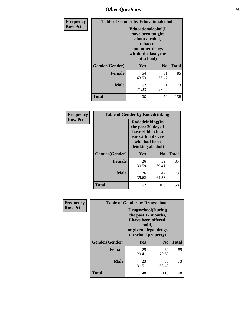# *Other Questions* **86**

| <b>Frequency</b> | <b>Table of Gender by Educationalcohol</b> |                                                                                                                                       |                |              |  |
|------------------|--------------------------------------------|---------------------------------------------------------------------------------------------------------------------------------------|----------------|--------------|--|
| <b>Row Pct</b>   |                                            | <b>Educationalcohol</b> (I<br>have been taught<br>about alcohol,<br>tobacco,<br>and other drugs<br>within the last year<br>at school) |                |              |  |
|                  | Gender(Gender)                             | Yes                                                                                                                                   | N <sub>0</sub> | <b>Total</b> |  |
|                  | <b>Female</b>                              | 54<br>63.53                                                                                                                           | 31<br>36.47    | 85           |  |
|                  | <b>Male</b>                                | 52<br>71.23                                                                                                                           | 21<br>28.77    | 73           |  |
|                  | <b>Total</b>                               | 106                                                                                                                                   | 52             | 158          |  |

| Frequency      | <b>Table of Gender by Rodedrinking</b> |                                                                                                                     |                |              |  |  |
|----------------|----------------------------------------|---------------------------------------------------------------------------------------------------------------------|----------------|--------------|--|--|
| <b>Row Pct</b> |                                        | Rodedrinking(In<br>the past 30 days I<br>have ridden in a<br>car with a driver<br>who had been<br>drinking alcohol) |                |              |  |  |
|                | Gender(Gender)                         | Yes                                                                                                                 | N <sub>0</sub> | <b>Total</b> |  |  |
|                | <b>Female</b>                          | 26<br>30.59                                                                                                         | 59<br>69.41    | 85           |  |  |
|                | <b>Male</b>                            | 26<br>35.62                                                                                                         | 47<br>64.38    | 73           |  |  |
|                | <b>Total</b>                           | 52                                                                                                                  | 106            | 158          |  |  |

| Frequency      |                | <b>Table of Gender by Drugsschool</b>                                                                                               |                |              |
|----------------|----------------|-------------------------------------------------------------------------------------------------------------------------------------|----------------|--------------|
| <b>Row Pct</b> |                | <b>Drugsschool</b> (During<br>the past 12 months,<br>I have been offered,<br>sold,<br>or given illegal drugs<br>on school property) |                |              |
|                | Gender(Gender) | Yes                                                                                                                                 | N <sub>0</sub> | <b>Total</b> |
|                | <b>Female</b>  | 25<br>29.41                                                                                                                         | 60<br>70.59    | 85           |
|                | <b>Male</b>    | 23<br>31.51                                                                                                                         | 50<br>68.49    | 73           |
|                | <b>Total</b>   | 48                                                                                                                                  | 110            | 158          |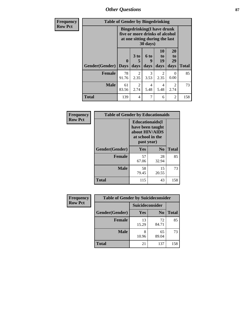*Other Questions* **87**

| Frequency      | <b>Table of Gender by Bingedrinking</b> |                                                                                                                            |                        |                        |                        |                        |              |
|----------------|-----------------------------------------|----------------------------------------------------------------------------------------------------------------------------|------------------------|------------------------|------------------------|------------------------|--------------|
| <b>Row Pct</b> |                                         | <b>Bingedrinking(I have drunk</b><br>five or more drinks of alcohol<br>at one sitting during the last<br>$30 \text{ days}$ |                        |                        |                        |                        |              |
|                | Gender(Gender)                          | $\mathbf{0}$<br><b>Days</b>                                                                                                | 3 to<br>5<br>days      | 6 to<br>9<br>days      | 10<br>to<br>19<br>days | 20<br>to<br>29<br>days | <b>Total</b> |
|                | Female                                  | 78<br>91.76                                                                                                                | 2<br>2.35              | 3<br>3.53              | 2<br>2.35              | $\mathbf{0}$<br>0.00   | 85           |
|                | <b>Male</b>                             | 61<br>83.56                                                                                                                | $\mathfrak{D}$<br>2.74 | $\overline{4}$<br>5.48 | 4<br>5.48              | $\mathfrak{D}$<br>2.74 | 73           |
|                | <b>Total</b>                            | 139                                                                                                                        | 4                      | 7                      | 6                      | 2                      | 158          |

| Frequency      | <b>Table of Gender by Educationaids</b> |                                                                                                 |                |              |
|----------------|-----------------------------------------|-------------------------------------------------------------------------------------------------|----------------|--------------|
| <b>Row Pct</b> |                                         | <b>Educationaids</b> (I<br>have been taught<br>about HIV/AIDS<br>at school in the<br>past year) |                |              |
|                | Gender(Gender)                          | Yes                                                                                             | N <sub>0</sub> | <b>Total</b> |
|                | <b>Female</b>                           | 57<br>67.06                                                                                     | 28<br>32.94    | 85           |
|                | <b>Male</b>                             | 58<br>79.45                                                                                     | 15<br>20.55    | 73           |
|                | <b>Total</b>                            | 115                                                                                             | 43             | 158          |

| Frequency      | <b>Table of Gender by Suicideconsider</b> |                 |                |              |
|----------------|-------------------------------------------|-----------------|----------------|--------------|
| <b>Row Pct</b> |                                           | Suicideconsider |                |              |
|                | Gender(Gender)                            | Yes             | N <sub>0</sub> | <b>Total</b> |
|                | <b>Female</b>                             | 13<br>15.29     | 72<br>84.71    | 85           |
|                | <b>Male</b>                               | 10.96           | 65<br>89.04    | 73           |
|                | <b>Total</b>                              | 21              | 137            | 158          |